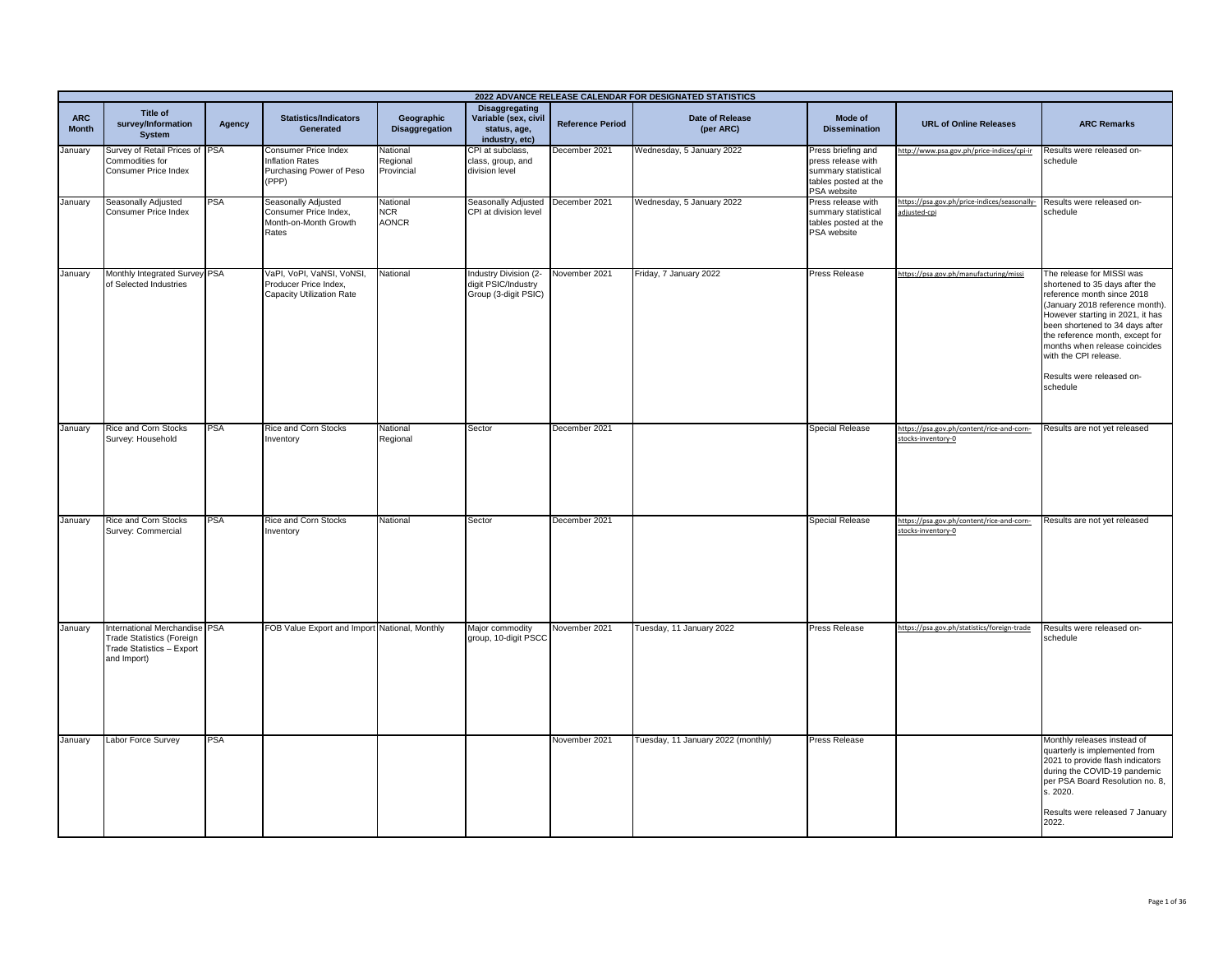|                            |                                                                                                               |            |                                                                                     |                                        |                                                                                 |                         | 2022 ADVANCE RELEASE CALENDAR FOR DESIGNATED STATISTICS |                                                                                                        |                                                                 |                                                                                                                                                                                                                                                                                                                                           |
|----------------------------|---------------------------------------------------------------------------------------------------------------|------------|-------------------------------------------------------------------------------------|----------------------------------------|---------------------------------------------------------------------------------|-------------------------|---------------------------------------------------------|--------------------------------------------------------------------------------------------------------|-----------------------------------------------------------------|-------------------------------------------------------------------------------------------------------------------------------------------------------------------------------------------------------------------------------------------------------------------------------------------------------------------------------------------|
| <b>ARC</b><br><b>Month</b> | Title of<br>survey/Information<br>System                                                                      | Agency     | <b>Statistics/Indicators</b><br>Generated                                           | Geographic<br><b>Disaggregation</b>    | <b>Disaggregating</b><br>Variable (sex, civil<br>status, age,<br>industry, etc) | <b>Reference Period</b> | <b>Date of Release</b><br>(per ARC)                     | Mode of<br><b>Dissemination</b>                                                                        | <b>URL of Online Releases</b>                                   | <b>ARC Remarks</b>                                                                                                                                                                                                                                                                                                                        |
| January                    | Survey of Retail Prices of PSA<br>Commodities for<br>Consumer Price Index                                     |            | Consumer Price Index<br><b>Inflation Rates</b><br>Purchasing Power of Peso<br>(PPP) | National<br>Regional<br>Provincial     | CPI at subclass,<br>class, group, and<br>division level                         | December 2021           | Wednesday, 5 January 2022                               | Press briefing and<br>press release with<br>summary statistical<br>tables posted at the<br>PSA website | http://www.psa.gov.ph/price-indices/cpi-ir                      | Results were released on-<br>schedule                                                                                                                                                                                                                                                                                                     |
| January                    | Seasonally Adjusted<br>Consumer Price Index                                                                   | <b>PSA</b> | Seasonally Adjusted<br>Consumer Price Index,<br>Month-on-Month Growth<br>Rates      | National<br><b>NCR</b><br><b>AONCR</b> | Seasonally Adjusted<br>CPI at division level                                    | December 2021           | Wednesday, 5 January 2022                               | Press release with<br>summary statistical<br>tables posted at the<br>PSA website                       | https://psa.gov.ph/price-indices/seasonally-<br>adjusted-cpi    | Results were released on-<br>schedule                                                                                                                                                                                                                                                                                                     |
| January                    | Monthly Integrated Survey PSA<br>of Selected Industries                                                       |            | VaPI, VoPI, VaNSI, VoNSI,<br>Producer Price Index,<br>Capacity Utilization Rate     | National                               | Industry Division (2-<br>digit PSIC/Industry<br>Group (3-digit PSIC)            | November 2021           | Friday, 7 January 2022                                  | <b>Press Release</b>                                                                                   | https://psa.gov.ph/manufacturing/missi                          | The release for MISSI was<br>shortened to 35 days after the<br>reference month since 2018<br>(January 2018 reference month).<br>However starting in 2021, it has<br>been shortened to 34 days after<br>the reference month, except for<br>months when release coincides<br>with the CPI release.<br>Results were released on-<br>schedule |
| January                    | Rice and Corn Stocks<br>Survey: Household                                                                     | PSA        | Rice and Corn Stocks<br>Inventory                                                   | National<br>Regional                   | Sector                                                                          | December 2021           |                                                         | <b>Special Release</b>                                                                                 | https://psa.gov.ph/content/rice-and-corn-<br>stocks-inventory-0 | Results are not yet released                                                                                                                                                                                                                                                                                                              |
| January                    | Rice and Corn Stocks<br>Survey: Commercial                                                                    | <b>PSA</b> | Rice and Corn Stocks<br>Inventory                                                   | National                               | Sector                                                                          | December 2021           |                                                         | <b>Special Release</b>                                                                                 | https://psa.gov.ph/content/rice-and-corn-<br>stocks-inventory-0 | Results are not yet released                                                                                                                                                                                                                                                                                                              |
| January                    | International Merchandise PSA<br><b>Trade Statistics (Foreign</b><br>Trade Statistics - Export<br>and Import) |            | FOB Value Export and Import National, Monthly                                       |                                        | Major commodity<br>group, 10-digit PSCC                                         | November 2021           | Tuesday, 11 January 2022                                | Press Release                                                                                          | https://psa.gov.ph/statistics/foreign-trade                     | Results were released on-<br>schedule                                                                                                                                                                                                                                                                                                     |
| January                    | Labor Force Survey                                                                                            | <b>PSA</b> |                                                                                     |                                        |                                                                                 | November 2021           | Tuesday, 11 January 2022 (monthly)                      | Press Release                                                                                          |                                                                 | Monthly releases instead of<br>quarterly is implemented from<br>2021 to provide flash indicators<br>during the COVID-19 pandemic<br>per PSA Board Resolution no. 8,<br>s. 2020.<br>Results were released 7 January<br>2022.                                                                                                               |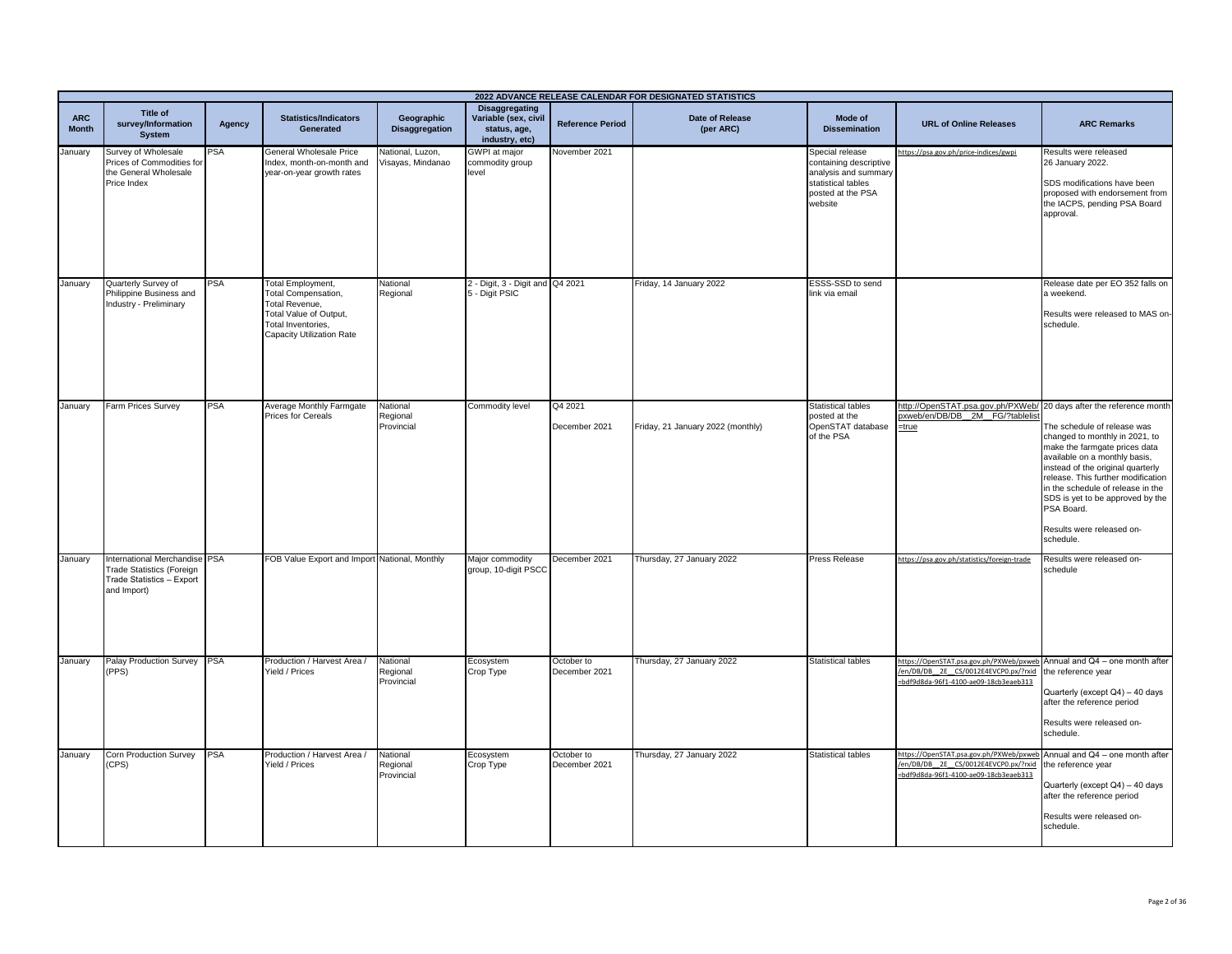|                            | 2022 ADVANCE RELEASE CALENDAR FOR DESIGNATED STATISTICS                                                      |            |                                                                                                                                                |                                       |                                                                                 |                             |                                     |                                                                                                                         |                                                                                                                                                         |                                                                                                                                                                                                                                                                                                                                             |
|----------------------------|--------------------------------------------------------------------------------------------------------------|------------|------------------------------------------------------------------------------------------------------------------------------------------------|---------------------------------------|---------------------------------------------------------------------------------|-----------------------------|-------------------------------------|-------------------------------------------------------------------------------------------------------------------------|---------------------------------------------------------------------------------------------------------------------------------------------------------|---------------------------------------------------------------------------------------------------------------------------------------------------------------------------------------------------------------------------------------------------------------------------------------------------------------------------------------------|
| <b>ARC</b><br><b>Month</b> | Title of<br>survey/Information<br>System                                                                     | Agency     | <b>Statistics/Indicators</b><br>Generated                                                                                                      | Geographic<br><b>Disaggregation</b>   | <b>Disaggregating</b><br>Variable (sex, civil<br>status, age,<br>industry, etc) | <b>Reference Period</b>     | <b>Date of Release</b><br>(per ARC) | Mode of<br><b>Dissemination</b>                                                                                         | <b>URL of Online Releases</b>                                                                                                                           | <b>ARC Remarks</b>                                                                                                                                                                                                                                                                                                                          |
| January                    | Survey of Wholesale<br>Prices of Commodities for<br>the General Wholesale<br>Price Index                     | PSA        | General Wholesale Price<br>Index, month-on-month and<br>year-on-year growth rates                                                              | Vational, Luzon,<br>Visayas, Mindanao | <b>GWPI</b> at major<br>commodity group<br>level                                | November 2021               |                                     | Special release<br>containing descriptive<br>analysis and summary<br>statistical tables<br>posted at the PSA<br>website | nttps://psa.gov.ph/price-indices/gwpi                                                                                                                   | Results were released<br>26 January 2022.<br>SDS modifications have been<br>proposed with endorsement from<br>the IACPS, pending PSA Board<br>approval.                                                                                                                                                                                     |
| January                    | Quarterly Survey of<br>Philippine Business and<br>Industry - Preliminary                                     | PSA        | Total Employment,<br>Total Compensation,<br>Total Revenue,<br>Total Value of Output,<br>Total Inventories,<br><b>Capacity Utilization Rate</b> | National<br>Regional                  | 2 - Digit, 3 - Digit and Q4 2021<br>5 - Digit PSIC                              |                             | Friday, 14 January 2022             | ESSS-SSD to send<br>link via email                                                                                      |                                                                                                                                                         | Release date per EO 352 falls on<br>a weekend.<br>Results were released to MAS on-<br>schedule.                                                                                                                                                                                                                                             |
| January                    | Farm Prices Survey                                                                                           | <b>PSA</b> | Average Monthly Farmgate<br><b>Prices for Cereals</b>                                                                                          | National<br>Regional<br>Provincial    | Commodity level                                                                 | Q4 2021<br>December 2021    | Friday, 21 January 2022 (monthly)   | <b>Statistical tables</b><br>posted at the<br>OpenSTAT database<br>of the PSA                                           | http://OpenSTAT.psa.gov.ph/PXWeb/ 20 days after the reference month<br>pxweb/en/DB/DB_2M_FG/?tablelist<br>$=$ true                                      | The schedule of release was<br>changed to monthly in 2021, to<br>make the farmgate prices data<br>available on a monthly basis,<br>instead of the original quarterly<br>release. This further modification<br>in the schedule of release in the<br>SDS is yet to be approved by the<br>PSA Board.<br>Results were released on-<br>schedule. |
| January                    | nternational Merchandise PSA<br><b>Trade Statistics (Foreign</b><br>Trade Statistics - Export<br>and Import) |            | FOB Value Export and Import National, Monthly                                                                                                  |                                       | Major commodity<br>group, 10-digit PSCC                                         | December 2021               | Thursday, 27 January 2022           | Press Release                                                                                                           | https://psa.gov.ph/statistics/foreign-trade                                                                                                             | Results were released on-<br>schedule                                                                                                                                                                                                                                                                                                       |
| January                    | Palay Production Survey PSA<br>PPS)                                                                          |            | Production / Harvest Area /<br>Yield / Prices                                                                                                  | National<br>Regional<br>Provincial    | Ecosystem<br>Crop Type                                                          | October to<br>December 2021 | Thursday, 27 January 2022           | <b>Statistical tables</b>                                                                                               | https://OpenSTAT.psa.gov.ph/PXWeb/pxweb Annual and Q4 - one month after<br>/en/DB/DB_2E_CS/0012E4EVCP0.px/?rxid<br>bdf9d8da-96f1-4100-ae09-18cb3eaeb313 | the reference year<br>Quarterly (except Q4) - 40 days<br>after the reference period<br>Results were released on-<br>schedule.                                                                                                                                                                                                               |
| January                    | Corn Production Survey<br>CPS)                                                                               | <b>PSA</b> | Production / Harvest Area /<br>Yield / Prices                                                                                                  | National<br>Regional<br>Provincial    | Ecosystem<br>Crop Type                                                          | October to<br>December 2021 | Thursday, 27 January 2022           | Statistical tables                                                                                                      | https://OpenSTAT.psa.gov.ph/PXWeb/pxweb<br>en/DB/DB 2E CS/0012E4EVCP0.px/?rxid<br>bdf9d8da-96f1-4100-ae09-18cb3eaeb313                                  | Annual and Q4 - one month after<br>he reference year<br>Quarterly (except Q4) - 40 days<br>after the reference period<br>Results were released on-<br>schedule.                                                                                                                                                                             |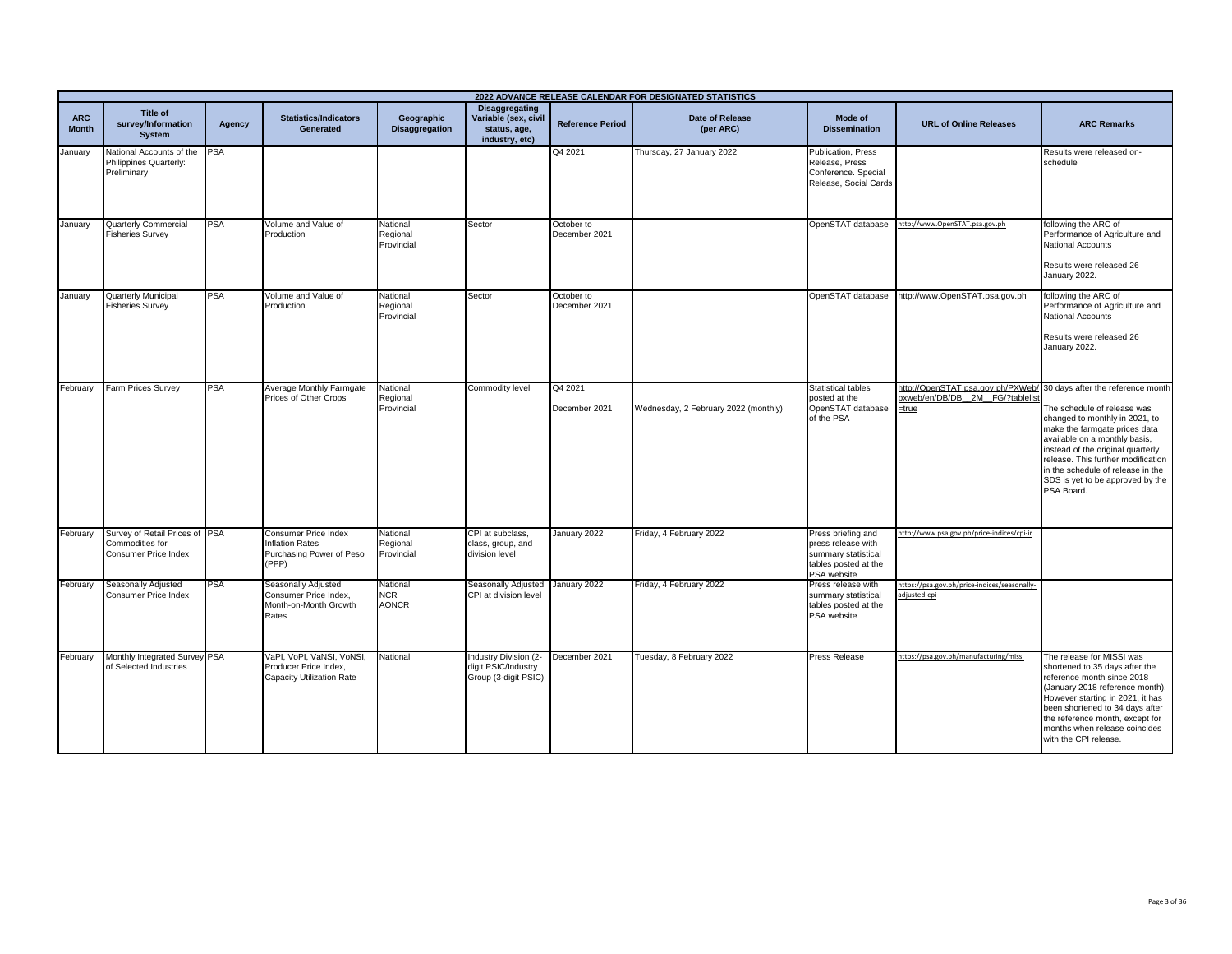|                            | 2022 ADVANCE RELEASE CALENDAR FOR DESIGNATED STATISTICS                   |            |                                                                                     |                                        |                                                                                 |                             |                                      |                                                                                                        |                                                                                                                 |                                                                                                                                                                                                                                                                                                   |  |
|----------------------------|---------------------------------------------------------------------------|------------|-------------------------------------------------------------------------------------|----------------------------------------|---------------------------------------------------------------------------------|-----------------------------|--------------------------------------|--------------------------------------------------------------------------------------------------------|-----------------------------------------------------------------------------------------------------------------|---------------------------------------------------------------------------------------------------------------------------------------------------------------------------------------------------------------------------------------------------------------------------------------------------|--|
| <b>ARC</b><br><b>Month</b> | Title of<br>survey/Information<br><b>System</b>                           | Agency     | <b>Statistics/Indicators</b><br>Generated                                           | Geographic<br><b>Disaggregation</b>    | <b>Disaggregating</b><br>Variable (sex, civil<br>status, age,<br>industry, etc) | <b>Reference Period</b>     | <b>Date of Release</b><br>(per ARC)  | Mode of<br><b>Dissemination</b>                                                                        | <b>URL of Online Releases</b>                                                                                   | <b>ARC Remarks</b>                                                                                                                                                                                                                                                                                |  |
| January                    | National Accounts of the<br>Philippines Quarterly:<br>Preliminary         | <b>PSA</b> |                                                                                     |                                        |                                                                                 | Q4 2021                     | Thursday, 27 January 2022            | Publication, Press<br>Release, Press<br>Conference. Special<br>Release, Social Cards                   |                                                                                                                 | Results were released on-<br>schedule                                                                                                                                                                                                                                                             |  |
| January                    | <b>Quarterly Commercial</b><br><b>Fisheries Survey</b>                    | <b>PSA</b> | Volume and Value of<br>Production                                                   | National<br>Regional<br>Provincial     | Sector                                                                          | October to<br>December 2021 |                                      | OpenSTAT database                                                                                      | http://www.OpenSTAT.psa.gov.ph                                                                                  | following the ARC of<br>Performance of Agriculture and<br><b>National Accounts</b><br>Results were released 26<br>January 2022.                                                                                                                                                                   |  |
| January                    | Quarterly Municipal<br><b>Fisheries Survey</b>                            | PSA        | Volume and Value of<br>Production                                                   | National<br>Regional<br>Provincial     | Sector                                                                          | October to<br>December 2021 |                                      | OpenSTAT database                                                                                      | http://www.OpenSTAT.psa.gov.ph                                                                                  | following the ARC of<br>Performance of Agriculture and<br>National Accounts<br>Results were released 26<br>January 2022.                                                                                                                                                                          |  |
| February                   | Farm Prices Survey                                                        | PSA        | Average Monthly Farmgate<br>Prices of Other Crops                                   | National<br>Regional<br>Provincial     | Commodity level                                                                 | Q4 2021<br>December 2021    | Wednesday, 2 February 2022 (monthly) | <b>Statistical tables</b><br>posted at the<br>OpenSTAT database<br>of the PSA                          | http://OpenSTAT.psa.gov.ph/PXWeb/ 30 days after the reference month<br>oxweb/en/DB/DB 2M FG/?tablelist<br>=true | The schedule of release was<br>changed to monthly in 2021, to<br>make the farmgate prices data<br>available on a monthly basis,<br>instead of the original quarterly<br>release. This further modification<br>in the schedule of release in the<br>SDS is yet to be approved by the<br>PSA Board. |  |
| February                   | Survey of Retail Prices of PSA<br>Commodities for<br>Consumer Price Index |            | Consumer Price Index<br><b>Inflation Rates</b><br>Purchasing Power of Peso<br>(PPP) | National<br>Regional<br>Provincial     | CPI at subclass.<br>class, group, and<br>division level                         | January 2022                | Friday, 4 February 2022              | Press briefing and<br>press release with<br>summary statistical<br>tables posted at the<br>PSA website | http://www.psa.gov.ph/price-indices/cpi-ir                                                                      |                                                                                                                                                                                                                                                                                                   |  |
| February                   | Seasonally Adjusted<br>Consumer Price Index                               | <b>PSA</b> | Seasonally Adjusted<br>Consumer Price Index,<br>Month-on-Month Growth<br>Rates      | National<br><b>NCR</b><br><b>AONCR</b> | Seasonally Adjusted<br>CPI at division level                                    | January 2022                | Friday, 4 February 2022              | Press release with<br>summary statistical<br>tables posted at the<br>PSA website                       | https://psa.gov.ph/price-indices/seasonally-<br>djusted-cpi                                                     |                                                                                                                                                                                                                                                                                                   |  |
| February                   | Monthly Integrated Survey PSA<br>of Selected Industries                   |            | VaPI, VoPI, VaNSI, VoNSI,<br>Producer Price Index,<br>Capacity Utilization Rate     | National                               | Industry Division (2-<br>digit PSIC/Industry<br>Group (3-digit PSIC)            | December 2021               | Tuesday, 8 February 2022             | <b>Press Release</b>                                                                                   | https://psa.gov.ph/manufacturing/missi                                                                          | The release for MISSI was<br>shortened to 35 days after the<br>reference month since 2018<br>(January 2018 reference month).<br>However starting in 2021, it has<br>been shortened to 34 days after<br>the reference month, except for<br>months when release coincides<br>with the CPI release.  |  |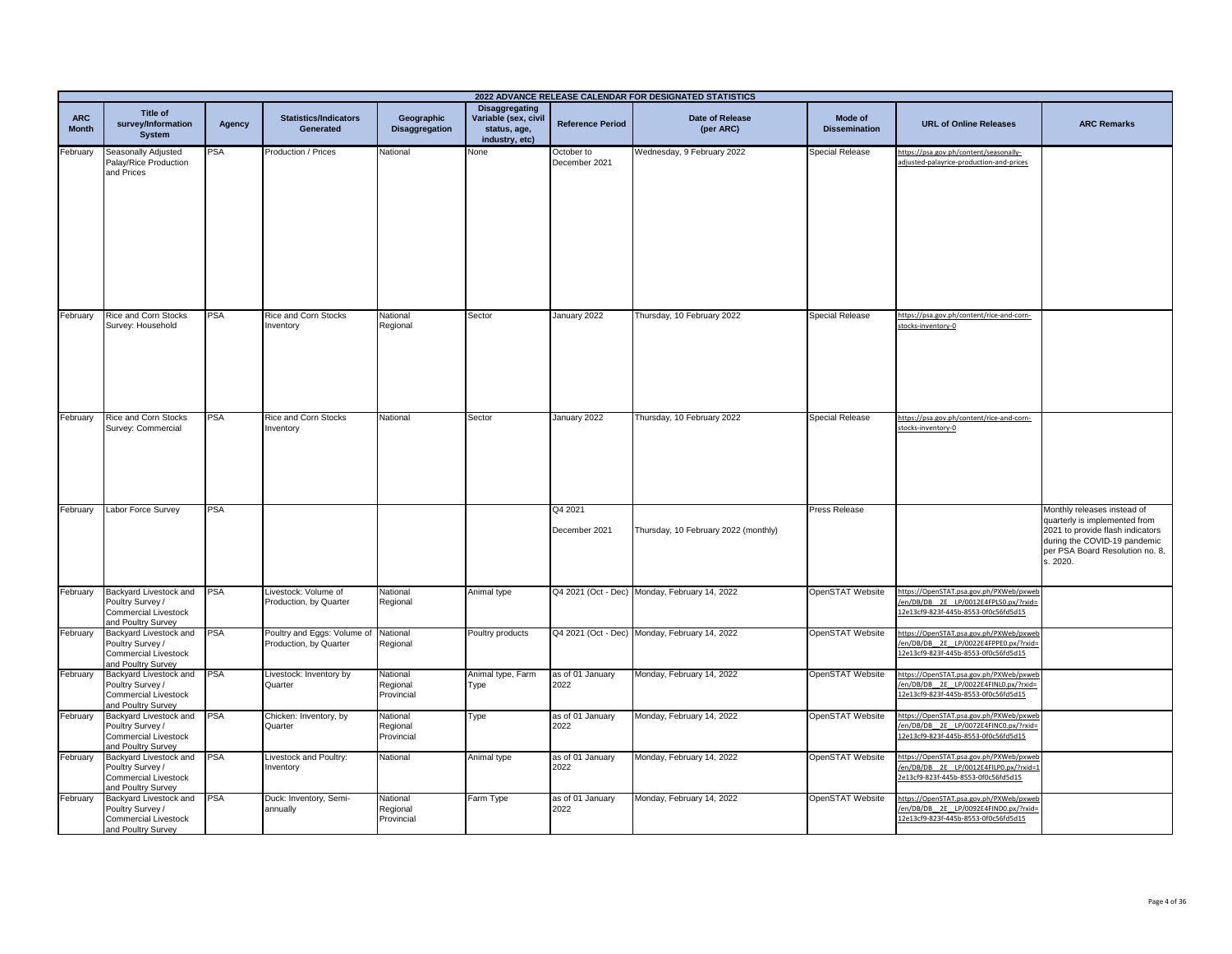| 2022 ADVANCE RELEASE CALENDAR FOR DESIGNATED STATISTICS |                                                                                                 |            |                                                       |                                     |                                                                                 |                             |                                               |                                 |                                                                                                                         |                                                                                                                                                                                 |
|---------------------------------------------------------|-------------------------------------------------------------------------------------------------|------------|-------------------------------------------------------|-------------------------------------|---------------------------------------------------------------------------------|-----------------------------|-----------------------------------------------|---------------------------------|-------------------------------------------------------------------------------------------------------------------------|---------------------------------------------------------------------------------------------------------------------------------------------------------------------------------|
| <b>ARC</b><br><b>Month</b>                              | Title of<br>survey/Information<br><b>System</b>                                                 | Agency     | <b>Statistics/Indicators</b><br><b>Generated</b>      | Geographic<br><b>Disaggregation</b> | <b>Disaggregating</b><br>Variable (sex, civil<br>status, age,<br>industry, etc) | <b>Reference Period</b>     | <b>Date of Release</b><br>(per ARC)           | Mode of<br><b>Dissemination</b> | <b>URL of Online Releases</b>                                                                                           | <b>ARC Remarks</b>                                                                                                                                                              |
| February                                                | Seasonally Adjusted<br>Palay/Rice Production<br>and Prices                                      | <b>PSA</b> | Production / Prices                                   | National                            | None                                                                            | October to<br>December 2021 | Wednesday, 9 February 2022                    | Special Release                 | https://psa.gov.ph/content/seasonally-<br>adjusted-palayrice-production-and-prices                                      |                                                                                                                                                                                 |
| February                                                | Rice and Corn Stocks<br>Survey: Household                                                       | <b>PSA</b> | Rice and Corn Stocks<br>Inventory                     | National<br>Regional                | Sector                                                                          | January 2022                | Thursday, 10 February 2022                    | <b>Special Release</b>          | https://psa.gov.ph/content/rice-and-corn-<br>stocks-inventory-0                                                         |                                                                                                                                                                                 |
| February                                                | Rice and Corn Stocks<br>Survey: Commercial                                                      | PSA        | Rice and Corn Stocks<br>Inventory                     | National                            | Sector                                                                          | January 2022                | Thursday, 10 February 2022                    | <b>Special Release</b>          | https://psa.gov.ph/content/rice-and-corn-<br>stocks-inventory-0                                                         |                                                                                                                                                                                 |
| February                                                | Labor Force Survey                                                                              | PSA        |                                                       |                                     |                                                                                 | Q4 2021<br>December 2021    | Thursday, 10 February 2022 (monthly)          | Press Release                   |                                                                                                                         | Monthly releases instead of<br>quarterly is implemented from<br>2021 to provide flash indicators<br>during the COVID-19 pandemic<br>per PSA Board Resolution no. 8,<br>s. 2020. |
| February                                                | Backyard Livestock and<br>Poultry Survey /<br><b>Commercial Livestock</b><br>and Poultry Survey | <b>PSA</b> | Livestock: Volume of<br>Production, by Quarter        | National<br>Regional                | Animal type                                                                     |                             | Q4 2021 (Oct - Dec) Monday, February 14, 2022 | OpenSTAT Website                | https://OpenSTAT.psa.gov.ph/PXWeb/pxweb<br>en/DB/DB_2E_LP/0012E4FPLS0.px/?rxid=<br>12e13cf9-823f-445b-8553-0f0c56fd5d15 |                                                                                                                                                                                 |
| February                                                | Backyard Livestock and<br>Poultry Survey /<br><b>Commercial Livestock</b><br>and Poultry Survey | <b>PSA</b> | Poultry and Eggs: Volume of<br>Production, by Quarter | National<br>Regional                | Poultry products                                                                |                             | Q4 2021 (Oct - Dec) Monday, February 14, 2022 | OpenSTAT Website                | https://OpenSTAT.psa.gov.ph/PXWeb/pxweb<br>en/DB/DB 2E LP/0022E4FPPE0.px/?rxid=<br>12e13cf9-823f-445b-8553-0f0c56fd5d15 |                                                                                                                                                                                 |
| February                                                | Backyard Livestock and<br>Poultry Survey /<br><b>Commercial Livestock</b><br>and Poultry Survey | <b>PSA</b> | Livestock: Inventory by<br>Quarter                    | National<br>Regional<br>Provincial  | Animal type, Farm<br>Type                                                       | as of 01 January<br>2022    | Monday, February 14, 2022                     | OpenSTAT Website                | https://OpenSTAT.psa.gov.ph/PXWeb/pxweb<br>en/DB/DB_2E_LP/0022E4FINL0.px/?rxid=<br>12e13cf9-823f-445b-8553-0f0c56fd5d15 |                                                                                                                                                                                 |
| February                                                | Backyard Livestock and<br>Poultry Survey /<br><b>Commercial Livestock</b><br>and Poultry Survey | <b>PSA</b> | Chicken: Inventory, by<br>Quarter                     | National<br>Regional<br>Provincial  | Type                                                                            | as of 01 January<br>2022    | Monday, February 14, 2022                     | OpenSTAT Website                | https://OpenSTAT.psa.gov.ph/PXWeb/pxweb<br>en/DB/DB_2E_LP/0072E4FINC0.px/?rxid=<br>12e13cf9-823f-445b-8553-0f0c56fd5d15 |                                                                                                                                                                                 |
| February                                                | Backyard Livestock and<br>Poultry Survey /<br><b>Commercial Livestock</b><br>and Poultry Survey | PSA        | Livestock and Poultry:<br>Inventory                   | Vational                            | Animal type                                                                     | as of 01 January<br>2022    | Monday, February 14, 2022                     | OpenSTAT Website                | https://OpenSTAT.psa.gov.ph/PXWeb/pxweb<br>en/DB/DB_2E_LP/0012E4FILP0.px/?rxid=1<br>2e13cf9-823f-445b-8553-0f0c56fd5d15 |                                                                                                                                                                                 |
| February                                                | Backyard Livestock and<br>Poultry Survey /<br><b>Commercial Livestock</b><br>and Poultry Survey | <b>PSA</b> | Duck: Inventory, Semi-<br>annually                    | National<br>Regional<br>Provincial  | Farm Type                                                                       | as of 01 January<br>2022    | Monday, February 14, 2022                     | OpenSTAT Website                | https://OpenSTAT.psa.gov.ph/PXWeb/pxweb<br>en/DB/DB 2E LP/0092E4FIND0.px/?rxid=<br>12e13cf9-823f-445b-8553-0f0c56fd5d15 |                                                                                                                                                                                 |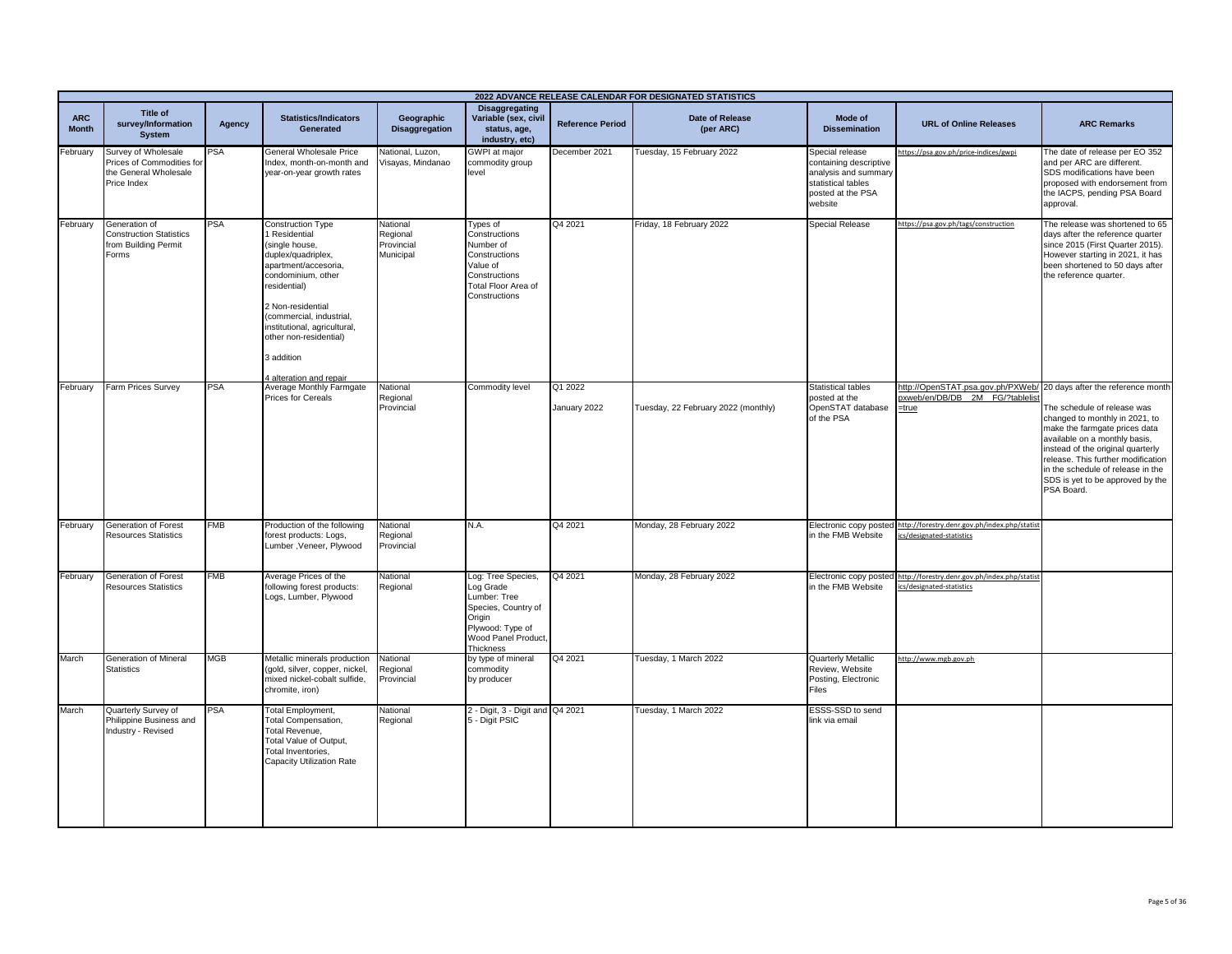|                            |                                                                                          |            |                                                                                                                                                                                                                                                                                            |                                                 |                                                                                                                                          |                         | 2022 ADVANCE RELEASE CALENDAR FOR DESIGNATED STATISTICS |                                                                                                                         |                                                                                                                   |                                                                                                                                                                                                                                                                                                   |
|----------------------------|------------------------------------------------------------------------------------------|------------|--------------------------------------------------------------------------------------------------------------------------------------------------------------------------------------------------------------------------------------------------------------------------------------------|-------------------------------------------------|------------------------------------------------------------------------------------------------------------------------------------------|-------------------------|---------------------------------------------------------|-------------------------------------------------------------------------------------------------------------------------|-------------------------------------------------------------------------------------------------------------------|---------------------------------------------------------------------------------------------------------------------------------------------------------------------------------------------------------------------------------------------------------------------------------------------------|
| <b>ARC</b><br><b>Month</b> | Title of<br>survey/Information<br><b>System</b>                                          | Agency     | <b>Statistics/Indicators</b><br>Generated                                                                                                                                                                                                                                                  | Geographic<br>Disaggregation                    | <b>Disaggregating</b><br>Variable (sex, civil<br>status, age,<br>industry, etc)                                                          | <b>Reference Period</b> | <b>Date of Release</b><br>(per ARC)                     | Mode of<br><b>Dissemination</b>                                                                                         | <b>URL of Online Releases</b>                                                                                     | <b>ARC Remarks</b>                                                                                                                                                                                                                                                                                |
| February                   | Survey of Wholesale<br>Prices of Commodities for<br>the General Wholesale<br>Price Index | <b>PSA</b> | General Wholesale Price<br>Index, month-on-month and<br>year-on-year growth rates                                                                                                                                                                                                          | National, Luzon,<br>Visayas, Mindanao           | <b>GWPI</b> at major<br>commodity group<br>level                                                                                         | December 2021           | Tuesday, 15 February 2022                               | Special release<br>containing descriptive<br>analysis and summary<br>statistical tables<br>posted at the PSA<br>website | https://psa.gov.ph/price-indices/gwpi                                                                             | The date of release per EO 352<br>and per ARC are different.<br>SDS modifications have been<br>proposed with endorsement from<br>the IACPS, pending PSA Board<br>approval.                                                                                                                        |
| February                   | Generation of<br><b>Construction Statistics</b><br>from Building Permit<br>Forms         | <b>PSA</b> | Construction Type<br>Residential<br>(single house,<br>duplex/quadriplex,<br>apartment/accesoria,<br>condominium, other<br>residential)<br>2 Non-residential<br>(commercial, industrial,<br>institutional, agricultural,<br>other non-residential)<br>3 addition<br>4 alteration and repair | National<br>Regional<br>Provincial<br>Municipal | Types of<br>Constructions<br>Number of<br>Constructions<br>Value of<br>Constructions<br>Total Floor Area of<br>Constructions             | Q4 2021                 | Friday, 18 February 2022                                | <b>Special Release</b>                                                                                                  | https://psa.gov.ph/tags/construction                                                                              | The release was shortened to 65<br>days after the reference quarter<br>since 2015 (First Quarter 2015).<br>However starting in 2021, it has<br>been shortened to 50 days after<br>the reference quarter.                                                                                          |
| February                   | Farm Prices Survey                                                                       | <b>PSA</b> | Average Monthly Farmgate<br>Prices for Cereals                                                                                                                                                                                                                                             | National<br>Regional<br>Provincial              | Commodity level                                                                                                                          | Q1 2022<br>January 2022 | Tuesday, 22 February 2022 (monthly)                     | Statistical tables<br>posted at the<br>OpenSTAT database<br>of the PSA                                                  | http://OpenSTAT.psa.gov.ph/PXWeb/ 20 days after the reference month<br>pxweb/en/DB/DB 2M FG/?tablelis<br>$=$ true | The schedule of release was<br>changed to monthly in 2021, to<br>make the farmgate prices data<br>available on a monthly basis,<br>instead of the original quarterly<br>release. This further modification<br>in the schedule of release in the<br>SDS is yet to be approved by the<br>PSA Board. |
| February                   | Generation of Forest<br>Resources Statistics                                             | <b>FMB</b> | Production of the following<br>forest products: Logs,<br>Lumber, Veneer, Plywood                                                                                                                                                                                                           | National<br>Regional<br>Provincial              | N.A.                                                                                                                                     | Q4 2021                 | Monday, 28 February 2022                                | Electronic copy posted<br>in the FMB Website                                                                            | http://forestry.denr.gov.ph/index.php/statist<br>ics/designated-statistics                                        |                                                                                                                                                                                                                                                                                                   |
| February                   | Generation of Forest<br>Resources Statistics                                             | <b>FMB</b> | Average Prices of the<br>following forest products:<br>Logs, Lumber, Plywood                                                                                                                                                                                                               | National<br>Regional                            | Log: Tree Species,<br>Log Grade<br>Lumber: Tree<br>Species, Country of<br>Origin<br>Plywood: Type of<br>Wood Panel Product,<br>Thickness | Q4 2021                 | Monday, 28 February 2022                                | in the FMB Website                                                                                                      | Electronic copy posted http://forestry.denr.gov.ph/index.php/statist<br>ics/designated-statistics                 |                                                                                                                                                                                                                                                                                                   |
| March                      | Generation of Mineral<br><b>Statistics</b>                                               | <b>MGB</b> | Metallic minerals production<br>(gold, silver, copper, nickel,<br>mixed nickel-cobalt sulfide,<br>chromite, iron)                                                                                                                                                                          | National<br>Regional<br>Provincial              | by type of mineral<br>commodity<br>by producer                                                                                           | Q4 2021                 | Tuesday, 1 March 2022                                   | Quarterly Metallic<br>Review, Website<br>Posting, Electronic<br>Files                                                   | http://www.mgb.gov.ph                                                                                             |                                                                                                                                                                                                                                                                                                   |
| March                      | Quarterly Survey of<br>Philippine Business and<br>Industry - Revised                     | PSA        | <b>Total Employment,</b><br>Total Compensation,<br>Total Revenue,<br>Total Value of Output,<br>Total Inventories,<br>Capacity Utilization Rate                                                                                                                                             | National<br>Regional                            | 2 - Digit, 3 - Digit and Q4 2021<br>5 - Digit PSIC                                                                                       |                         | Tuesday, 1 March 2022                                   | ESSS-SSD to send<br>link via email                                                                                      |                                                                                                                   |                                                                                                                                                                                                                                                                                                   |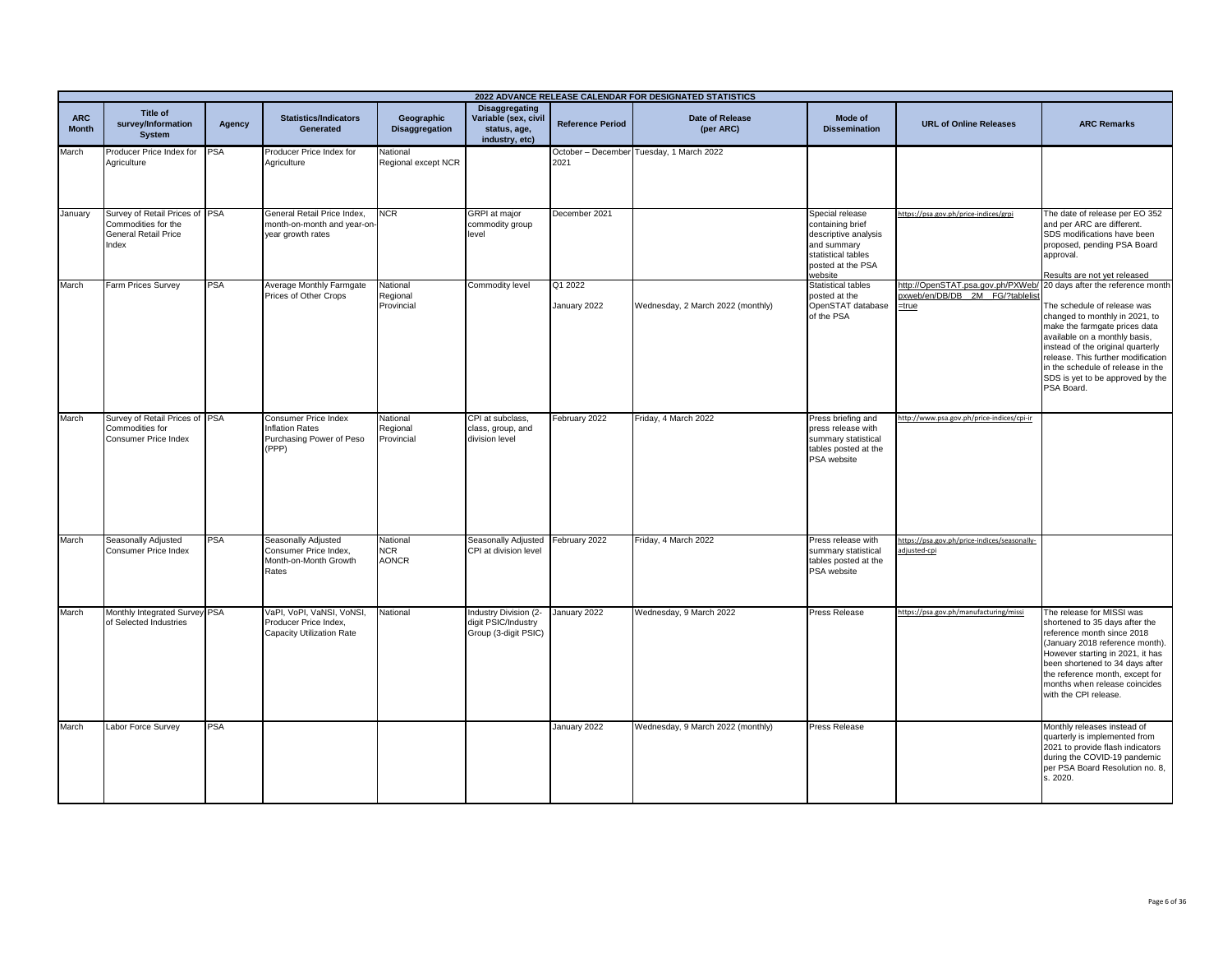|                            | 2022 ADVANCE RELEASE CALENDAR FOR DESIGNATED STATISTICS                                       |            |                                                                                     |                                        |                                                                                 |                         |                                          |                                                                                                                                  |                                                                               |                                                                                                                                                                                                                                                                                                                                        |
|----------------------------|-----------------------------------------------------------------------------------------------|------------|-------------------------------------------------------------------------------------|----------------------------------------|---------------------------------------------------------------------------------|-------------------------|------------------------------------------|----------------------------------------------------------------------------------------------------------------------------------|-------------------------------------------------------------------------------|----------------------------------------------------------------------------------------------------------------------------------------------------------------------------------------------------------------------------------------------------------------------------------------------------------------------------------------|
| <b>ARC</b><br><b>Month</b> | Title of<br>survey/Information<br><b>System</b>                                               | Agency     | <b>Statistics/Indicators</b><br><b>Generated</b>                                    | Geographic<br><b>Disaggregation</b>    | <b>Disaggregating</b><br>Variable (sex, civil<br>status, age,<br>industry, etc) | <b>Reference Period</b> | Date of Release<br>(per ARC)             | Mode of<br><b>Dissemination</b>                                                                                                  | <b>URL of Online Releases</b>                                                 | <b>ARC Remarks</b>                                                                                                                                                                                                                                                                                                                     |
| March                      | Producer Price Index for PSA<br>Agriculture                                                   |            | Producer Price Index for<br>Agriculture                                             | National<br>Regional except NCR        |                                                                                 | 2021                    | October - December Tuesday, 1 March 2022 |                                                                                                                                  |                                                                               |                                                                                                                                                                                                                                                                                                                                        |
| January                    | Survey of Retail Prices of PSA<br>Commodities for the<br><b>General Retail Price</b><br>Index |            | General Retail Price Index,<br>month-on-month and year-on-<br>year growth rates     | <b>VCR</b>                             | <b>GRPI</b> at major<br>commodity group<br>level                                | December 2021           |                                          | Special release<br>containing brief<br>descriptive analysis<br>and summary<br>statistical tables<br>posted at the PSA<br>website | https://psa.gov.ph/price-indices/grpi                                         | The date of release per EO 352<br>and per ARC are different.<br>SDS modifications have been<br>proposed, pending PSA Board<br>approval.<br>Results are not yet released                                                                                                                                                                |
| March                      | Farm Prices Survey                                                                            | <b>PSA</b> | Average Monthly Farmgate<br>Prices of Other Crops                                   | National<br>Regional<br>Provincial     | Commodity level                                                                 | Q1 2022<br>January 2022 | Wednesday, 2 March 2022 (monthly)        | <b>Statistical tables</b><br>posted at the<br>OpenSTAT database<br>of the PSA                                                    | http://OpenSTAT.psa.gov.ph/PXWeb/<br>oxweb/en/DB/DB 2M FG/?tablelist<br>=true | 20 days after the reference month<br>The schedule of release was<br>changed to monthly in 2021, to<br>make the farmgate prices data<br>available on a monthly basis,<br>instead of the original quarterly<br>release. This further modification<br>in the schedule of release in the<br>SDS is yet to be approved by the<br>PSA Board. |
| March                      | Survey of Retail Prices of PSA<br>Commodities for<br><b>Consumer Price Index</b>              |            | Consumer Price Index<br><b>Inflation Rates</b><br>Purchasing Power of Peso<br>(PPP) | National<br>Regional<br>Provincial     | CPI at subclass,<br>class, group, and<br>division level                         | February 2022           | Friday, 4 March 2022                     | Press briefing and<br>press release with<br>summary statistical<br>tables posted at the<br>PSA website                           | http://www.psa.gov.ph/price-indices/cpi-ir                                    |                                                                                                                                                                                                                                                                                                                                        |
| March                      | Seasonally Adjusted<br><b>Consumer Price Index</b>                                            | <b>PSA</b> | Seasonally Adjusted<br>Consumer Price Index,<br>Month-on-Month Growth<br>Rates      | National<br><b>NCR</b><br><b>AONCR</b> | Seasonally Adjusted February 2022<br>CPI at division level                      |                         | Friday, 4 March 2022                     | Press release with<br>summary statistical<br>tables posted at the<br>PSA website                                                 | https://psa.gov.ph/price-indices/seasonally-<br>adjusted-cpi                  |                                                                                                                                                                                                                                                                                                                                        |
| March                      | Monthly Integrated Survey PSA<br>of Selected Industries                                       |            | VaPI, VoPI, VaNSI, VoNSI,<br>Producer Price Index,<br>Capacity Utilization Rate     | National                               | Industry Division (2-<br>digit PSIC/Industry<br>Group (3-digit PSIC)            | January 2022            | Wednesday, 9 March 2022                  | Press Release                                                                                                                    | https://psa.gov.ph/manufacturing/missi                                        | The release for MISSI was<br>shortened to 35 days after the<br>reference month since 2018<br>(January 2018 reference month).<br>However starting in 2021, it has<br>been shortened to 34 days after<br>the reference month, except for<br>months when release coincides<br>with the CPI release.                                       |
| March                      | Labor Force Survey                                                                            | <b>PSA</b> |                                                                                     |                                        |                                                                                 | January 2022            | Wednesday, 9 March 2022 (monthly)        | Press Release                                                                                                                    |                                                                               | Monthly releases instead of<br>quarterly is implemented from<br>2021 to provide flash indicators<br>during the COVID-19 pandemic<br>per PSA Board Resolution no. 8,<br>s. 2020.                                                                                                                                                        |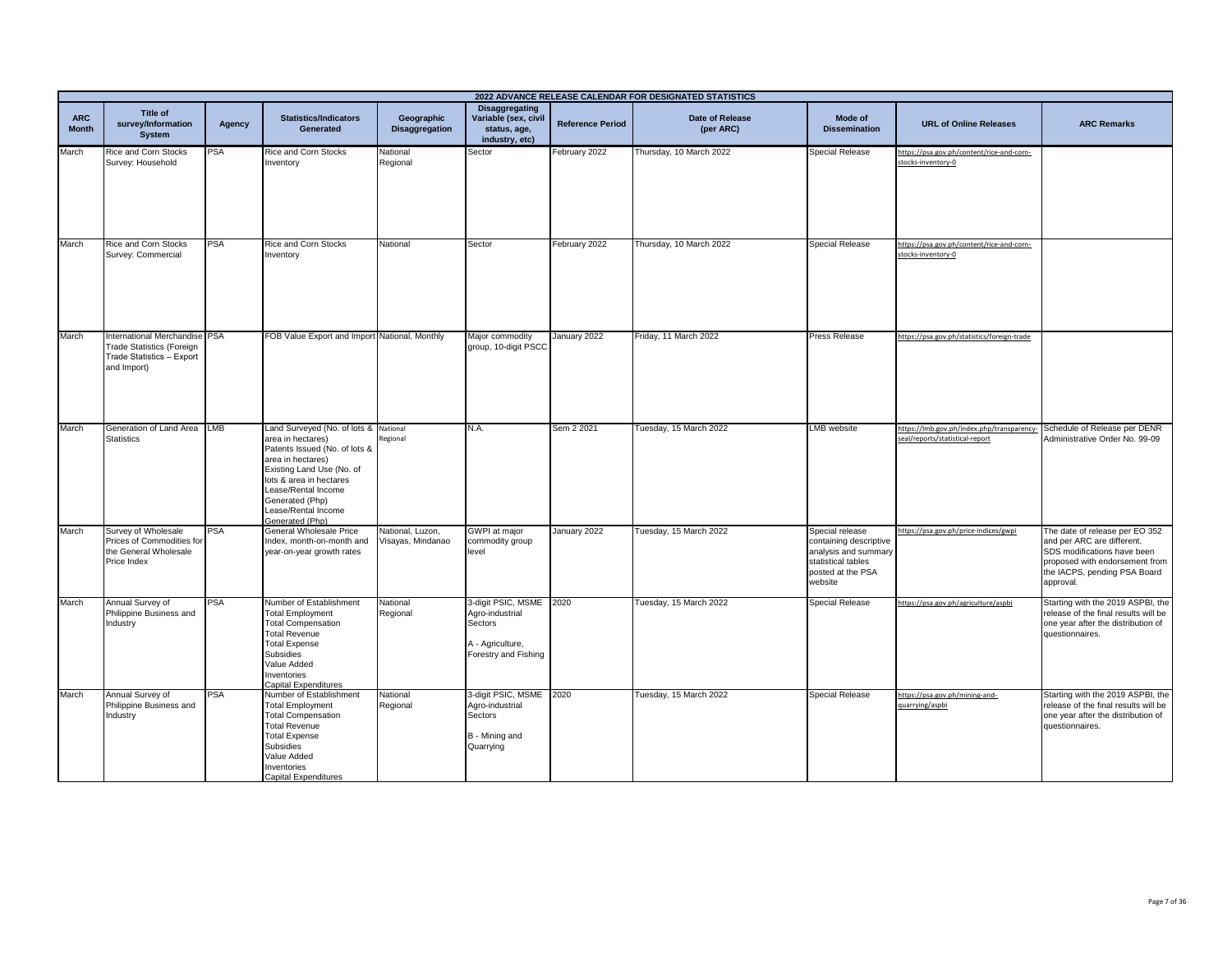|                            | 2022 ADVANCE RELEASE CALENDAR FOR DESIGNATED STATISTICS                                                       |            |                                                                                                                                                                                                                                                     |                                       |                                                                                                   |                         |                                     |                                                                                                                         |                                                                               |                                                                                                                                                                            |  |
|----------------------------|---------------------------------------------------------------------------------------------------------------|------------|-----------------------------------------------------------------------------------------------------------------------------------------------------------------------------------------------------------------------------------------------------|---------------------------------------|---------------------------------------------------------------------------------------------------|-------------------------|-------------------------------------|-------------------------------------------------------------------------------------------------------------------------|-------------------------------------------------------------------------------|----------------------------------------------------------------------------------------------------------------------------------------------------------------------------|--|
| <b>ARC</b><br><b>Month</b> | Title of<br>survey/Information<br><b>System</b>                                                               | Agency     | <b>Statistics/Indicators</b><br>Generated                                                                                                                                                                                                           | Geographic<br>Disaggregation          | Disaggregating<br>Variable (sex, civil<br>status, age,<br>industry, etc)                          | <b>Reference Period</b> | <b>Date of Release</b><br>(per ARC) | Mode of<br><b>Dissemination</b>                                                                                         | <b>URL of Online Releases</b>                                                 | <b>ARC Remarks</b>                                                                                                                                                         |  |
| March                      | Rice and Corn Stocks<br>Survey: Household                                                                     | <b>PSA</b> | Rice and Corn Stocks<br>Inventory                                                                                                                                                                                                                   | National<br>Regional                  | Sector                                                                                            | February 2022           | Thursday, 10 March 2022             | <b>Special Release</b>                                                                                                  | https://psa.gov.ph/content/rice-and-corn-<br>stocks-inventory-0               |                                                                                                                                                                            |  |
| March                      | <b>Rice and Corn Stocks</b><br>Survey: Commercial                                                             | <b>PSA</b> | <b>Rice and Corn Stocks</b><br>Inventory                                                                                                                                                                                                            | National                              | Sector                                                                                            | February 2022           | Thursday, 10 March 2022             | <b>Special Release</b>                                                                                                  | https://psa.gov.ph/content/rice-and-corn-<br>stocks-inventory-0               |                                                                                                                                                                            |  |
| March                      | International Merchandise PSA<br><b>Trade Statistics (Foreign</b><br>Trade Statistics - Export<br>and Import) |            | FOB Value Export and Import National, Monthly                                                                                                                                                                                                       |                                       | Major commodity<br>group, 10-digit PSCC                                                           | January 2022            | Friday, 11 March 2022               | <b>Press Release</b>                                                                                                    | https://psa.gov.ph/statistics/foreign-trade                                   |                                                                                                                                                                            |  |
| March                      | Generation of Land Area LMB<br><b>Statistics</b>                                                              |            | Land Surveyed (No. of lots &<br>area in hectares)<br>Patents Issued (No. of lots &<br>area in hectares)<br>Existing Land Use (No. of<br>lots & area in hectares<br>Lease/Rental Income<br>Generated (Php)<br>Lease/Rental Income<br>Generated (Php) | National<br>Regional                  | N.A.                                                                                              | Sem 2 2021              | Tuesday, 15 March 2022              | <b>LMB</b> website                                                                                                      | https://lmb.gov.ph/index.php/transparency-<br>seal/reports/statistical-report | Schedule of Release per DENR<br>Administrative Order No. 99-09                                                                                                             |  |
| March                      | Survey of Wholesale<br>Prices of Commodities for<br>the General Wholesale<br>Price Index                      | <b>PSA</b> | General Wholesale Price<br>Index, month-on-month and<br>year-on-year growth rates                                                                                                                                                                   | National, Luzon,<br>Visayas, Mindanao | GWPI at major<br>commodity group<br>level                                                         | January 2022            | Tuesday, 15 March 2022              | Special release<br>containing descriptive<br>analysis and summary<br>statistical tables<br>posted at the PSA<br>website | https://psa.gov.ph/price-indices/gwpi                                         | The date of release per EO 352<br>and per ARC are different.<br>SDS modifications have been<br>proposed with endorsement from<br>the IACPS, pending PSA Board<br>approval. |  |
| March                      | Annual Survey of<br>Philippine Business and<br>Industry                                                       | PSA        | Number of Establishment<br><b>Total Employment</b><br><b>Total Compensation</b><br><b>Total Revenue</b><br><b>Total Expense</b><br>Subsidies<br>Value Added<br>Inventories<br>Capital Expenditures                                                  | National<br>Regional                  | 3-digit PSIC, MSME 2020<br>Agro-industrial<br>Sectors<br>A - Agriculture,<br>Forestry and Fishing |                         | Tuesday, 15 March 2022              | <b>Special Release</b>                                                                                                  | https://psa.gov.ph/agriculture/aspbi                                          | Starting with the 2019 ASPBI, the<br>release of the final results will be<br>one year after the distribution of<br>questionnaires.                                         |  |
| March                      | Annual Survey of<br>Philippine Business and<br>Industry                                                       | <b>PSA</b> | Number of Establishment<br><b>Total Employment</b><br><b>Total Compensation</b><br><b>Total Revenue</b><br><b>Total Expense</b><br>Subsidies<br>Value Added<br>Inventories<br><b>Capital Expenditures</b>                                           | National<br>Regional                  | 3-digit PSIC, MSME 2020<br>Agro-industrial<br>Sectors<br>B - Mining and<br>Quarrying              |                         | Tuesday, 15 March 2022              | <b>Special Release</b>                                                                                                  | https://psa.gov.ph/mining-and-<br>quarrying/aspbi                             | Starting with the 2019 ASPBI, the<br>release of the final results will be<br>one year after the distribution of<br>questionnaires.                                         |  |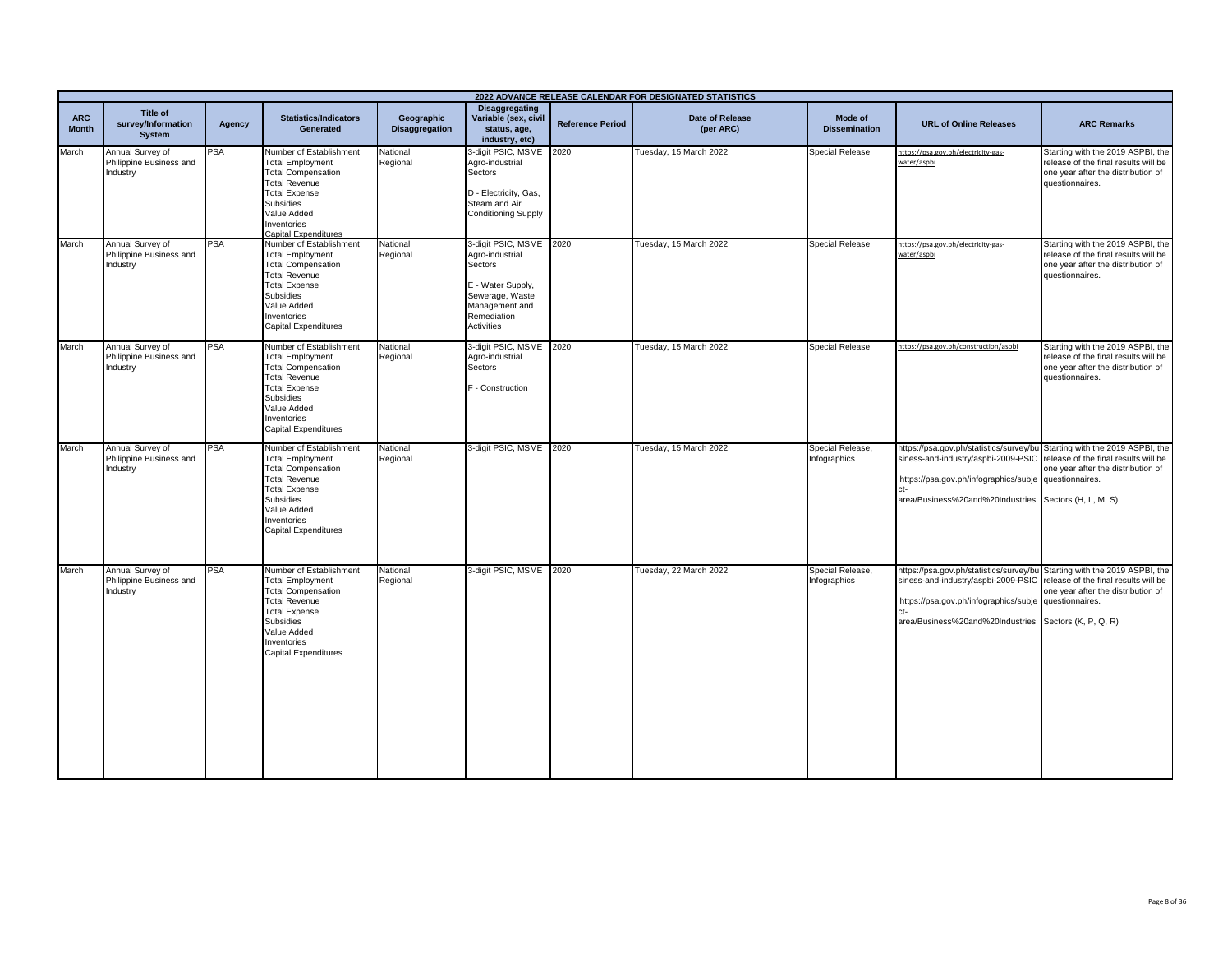|                            | 2022 ADVANCE RELEASE CALENDAR FOR DESIGNATED STATISTICS |            |                                                                                                                                                                                                           |                                     |                                                                                                                                                     |                         |                                     |                                  |                                                                                                                                                                                                                                                                         |                                                                                                                                    |  |
|----------------------------|---------------------------------------------------------|------------|-----------------------------------------------------------------------------------------------------------------------------------------------------------------------------------------------------------|-------------------------------------|-----------------------------------------------------------------------------------------------------------------------------------------------------|-------------------------|-------------------------------------|----------------------------------|-------------------------------------------------------------------------------------------------------------------------------------------------------------------------------------------------------------------------------------------------------------------------|------------------------------------------------------------------------------------------------------------------------------------|--|
| <b>ARC</b><br><b>Month</b> | Title of<br>survey/Information<br><b>System</b>         | Agency     | <b>Statistics/Indicators</b><br>Generated                                                                                                                                                                 | Geographic<br><b>Disaggregation</b> | <b>Disaggregating</b><br>Variable (sex, civil<br>status, age,<br>industry, etc)                                                                     | <b>Reference Period</b> | <b>Date of Release</b><br>(per ARC) | Mode of<br><b>Dissemination</b>  | <b>URL of Online Releases</b>                                                                                                                                                                                                                                           | <b>ARC Remarks</b>                                                                                                                 |  |
| March                      | Annual Survey of<br>Philippine Business and<br>Industry | PSA        | Number of Establishment<br><b>Total Employment</b><br><b>Total Compensation</b><br><b>Total Revenue</b><br><b>Total Expense</b><br>Subsidies<br>Value Added<br>Inventories<br>Capital Expenditures        | National<br>Regional                | 3-digit PSIC, MSME 2020<br>Agro-industrial<br>Sectors<br>D - Electricity, Gas,<br>Steam and Air<br><b>Conditioning Supply</b>                       |                         | Tuesday, 15 March 2022              | <b>Special Release</b>           | https://psa.gov.ph/electricity-gas-<br>water/aspbi                                                                                                                                                                                                                      | Starting with the 2019 ASPBI, the<br>release of the final results will be<br>one year after the distribution of<br>questionnaires. |  |
| March                      | Annual Survey of<br>Philippine Business and<br>Industry | PSA        | Number of Establishment<br><b>Total Employment</b><br><b>Total Compensation</b><br><b>Total Revenue</b><br><b>Total Expense</b><br>Subsidies<br>Value Added<br>nventories<br>Capital Expenditures         | National<br>Regional                | 3-digit PSIC, MSME 2020<br>Agro-industrial<br>Sectors<br>E - Water Supply,<br>Sewerage, Waste<br>Management and<br>Remediation<br><b>Activities</b> |                         | Tuesday, 15 March 2022              | Special Release                  | https://psa.gov.ph/electricity-gas-<br>water/aspbi                                                                                                                                                                                                                      | Starting with the 2019 ASPBI, the<br>release of the final results will be<br>one year after the distribution of<br>questionnaires. |  |
| March                      | Annual Survey of<br>Philippine Business and<br>Industry | PSA        | Number of Establishment<br><b>Total Employment</b><br><b>Total Compensation</b><br><b>Total Revenue</b><br><b>Total Expense</b><br>Subsidies<br>Value Added<br>Inventories<br><b>Capital Expenditures</b> | National<br>Regional                | 3-digit PSIC, MSME<br>Agro-industrial<br>Sectors<br>F - Construction                                                                                | 2020                    | Tuesday, 15 March 2022              | <b>Special Release</b>           | https://psa.gov.ph/construction/aspbi                                                                                                                                                                                                                                   | Starting with the 2019 ASPBI, the<br>release of the final results will be<br>one year after the distribution of<br>questionnaires. |  |
| March                      | Annual Survey of<br>Philippine Business and<br>Industry | PSA        | Number of Establishment<br><b>Total Employment</b><br><b>Total Compensation</b><br><b>Total Revenue</b><br><b>Total Expense</b><br>Subsidies<br>Value Added<br>Inventories<br>Capital Expenditures        | National<br>Regional                | 3-digit PSIC, MSME                                                                                                                                  | 2020                    | Tuesday, 15 March 2022              | Special Release,<br>Infographics | https://psa.gov.ph/statistics/survey/bu Starting with the 2019 ASPBI, the<br>siness-and-industry/aspbi-2009-PSIC release of the final results will be<br>https://psa.gov.ph/infographics/subje questionnaires.<br>area/Business%20and%20Industries Sectors (H, L, M, S) | one year after the distribution of                                                                                                 |  |
| March                      | Annual Survey of<br>Philippine Business and<br>Industry | <b>PSA</b> | Number of Establishment<br><b>Total Employment</b><br><b>Total Compensation</b><br><b>Total Revenue</b><br><b>Total Expense</b><br>Subsidies<br>Value Added<br>Inventories<br><b>Capital Expenditures</b> | National<br>Regional                | 3-digit PSIC, MSME                                                                                                                                  | 2020                    | Tuesday, 22 March 2022              | Special Release,<br>Infographics | https://psa.gov.ph/statistics/survey/bu Starting with the 2019 ASPBI, the<br>siness-and-industry/aspbi-2009-PSIC release of the final results will be<br>https://psa.gov.ph/infographics/subje questionnaires.<br>area/Business%20and%20Industries Sectors (K, P, Q, R) | one year after the distribution of                                                                                                 |  |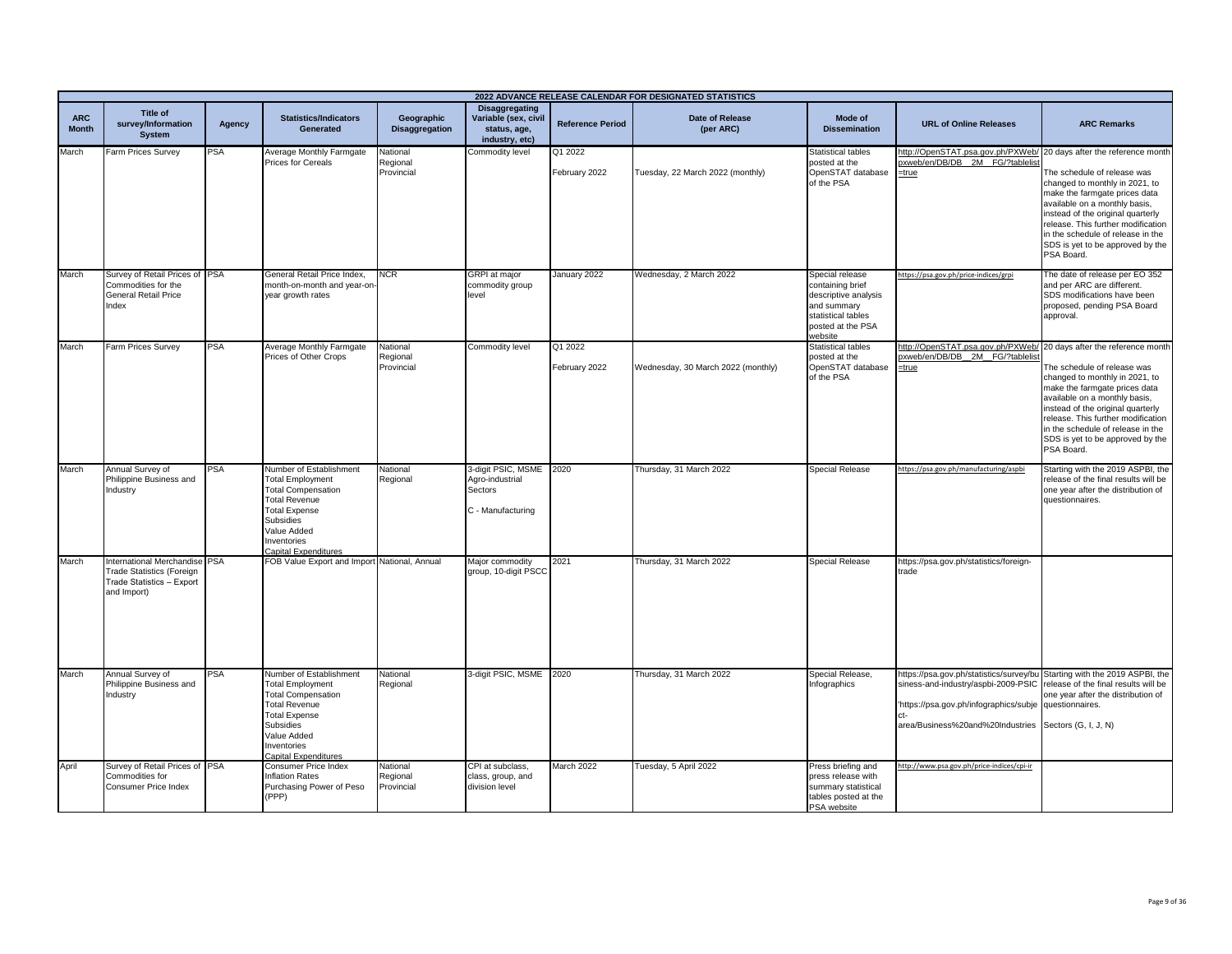|                            | 2022 ADVANCE RELEASE CALENDAR FOR DESIGNATED STATISTICS                                                       |            |                                                                                                                                                                                                    |                                     |                                                                                 |                          |                                     |                                                                                                                                  |                                                                                                                                                                                                |                                                                                                                                                                                                                                                                                                                                        |
|----------------------------|---------------------------------------------------------------------------------------------------------------|------------|----------------------------------------------------------------------------------------------------------------------------------------------------------------------------------------------------|-------------------------------------|---------------------------------------------------------------------------------|--------------------------|-------------------------------------|----------------------------------------------------------------------------------------------------------------------------------|------------------------------------------------------------------------------------------------------------------------------------------------------------------------------------------------|----------------------------------------------------------------------------------------------------------------------------------------------------------------------------------------------------------------------------------------------------------------------------------------------------------------------------------------|
| <b>ARC</b><br><b>Month</b> | <b>Title of</b><br>survey/Information<br><b>System</b>                                                        | Agency     | <b>Statistics/Indicators</b><br>Generated                                                                                                                                                          | Geographic<br><b>Disaggregation</b> | <b>Disaggregating</b><br>Variable (sex, civil<br>status, age,<br>industry, etc) | <b>Reference Period</b>  | <b>Date of Release</b><br>(per ARC) | Mode of<br><b>Dissemination</b>                                                                                                  | <b>URL of Online Releases</b>                                                                                                                                                                  | <b>ARC Remarks</b>                                                                                                                                                                                                                                                                                                                     |
| March                      | Farm Prices Survey                                                                                            | <b>PSA</b> | Average Monthly Farmgate<br><b>Prices for Cereals</b>                                                                                                                                              | National<br>Regional<br>Provincial  | Commodity level                                                                 | Q1 2022<br>February 2022 | Tuesday, 22 March 2022 (monthly)    | Statistical tables<br>posted at the<br>OpenSTAT database<br>of the PSA                                                           | http://OpenSTAT.psa.gov.ph/PXWeb/ 20 days after the reference month<br>oxweb/en/DB/DB 2M FG/?tablelist<br>=true                                                                                | The schedule of release was<br>changed to monthly in 2021, to<br>make the farmgate prices data<br>available on a monthly basis.<br>instead of the original quarterly<br>release. This further modification<br>in the schedule of release in the<br>SDS is yet to be approved by the<br>PSA Board.                                      |
| March                      | Survey of Retail Prices of PSA<br>Commodities for the<br><b>General Retail Price</b><br>Index                 |            | General Retail Price Index,<br>month-on-month and year-on<br>year growth rates                                                                                                                     | <b>NCR</b>                          | <b>GRPI</b> at major<br>commodity group<br>level                                | January 2022             | Wednesday, 2 March 2022             | Special release<br>containing brief<br>descriptive analysis<br>and summary<br>statistical tables<br>posted at the PSA<br>website | https://psa.gov.ph/price-indices/grpi                                                                                                                                                          | The date of release per EO 352<br>and per ARC are different.<br>SDS modifications have been<br>proposed, pending PSA Board<br>approval.                                                                                                                                                                                                |
| March                      | Farm Prices Survey                                                                                            | <b>PSA</b> | Average Monthly Farmgate<br>Prices of Other Crops                                                                                                                                                  | National<br>Regional<br>Provincial  | Commodity level                                                                 | Q1 2022<br>February 2022 | Wednesday, 30 March 2022 (monthly)  | <b>Statistical tables</b><br>posted at the<br>OpenSTAT database<br>of the PSA                                                    | http://OpenSTAT.psa.gov.ph/PXWeb/<br>oxweb/en/DB/DB_2M_FG/?tablelis<br>=true                                                                                                                   | 20 days after the reference month<br>The schedule of release was<br>changed to monthly in 2021, to<br>make the farmgate prices data<br>available on a monthly basis,<br>instead of the original quarterly<br>release. This further modification<br>in the schedule of release in the<br>SDS is yet to be approved by the<br>PSA Board. |
| March                      | Annual Survey of<br>Philippine Business and<br>Industry                                                       | <b>PSA</b> | Number of Establishment<br><b>Total Employment</b><br><b>Total Compensation</b><br><b>Total Revenue</b><br><b>Total Expense</b><br>Subsidies<br>Value Added<br>nventories<br>Capital Expenditures  | National<br>Regional                | 3-digit PSIC, MSME 2020<br>Agro-industrial<br>Sectors<br>C - Manufacturing      |                          | Thursday, 31 March 2022             | Special Release                                                                                                                  | https://psa.gov.ph/manufacturing/aspbi                                                                                                                                                         | Starting with the 2019 ASPBI, the<br>release of the final results will be<br>one year after the distribution of<br>questionnaires.                                                                                                                                                                                                     |
| March                      | International Merchandise PSA<br><b>Trade Statistics (Foreign</b><br>Trade Statistics - Export<br>and Import) |            | FOB Value Export and Import National, Annual                                                                                                                                                       |                                     | Major commodity<br>group, 10-digit PSCC                                         | 2021                     | Thursday, 31 March 2022             | Special Release                                                                                                                  | https://psa.gov.ph/statistics/foreign-<br>trade                                                                                                                                                |                                                                                                                                                                                                                                                                                                                                        |
| March                      | Annual Survey of<br>Philippine Business and<br>Industry                                                       | PSA        | Number of Establishment<br><b>Total Employment</b><br><b>Total Compensation</b><br><b>Total Revenue</b><br><b>Total Expense</b><br>Subsidies<br>Value Added<br>Inventories<br>Capital Expenditures | National<br>Regional                | 3-digit PSIC, MSME 2020                                                         |                          | Thursday, 31 March 2022             | Special Release,<br>Infographics                                                                                                 | https://psa.gov.ph/statistics/survey/bu Starting with the 2019 ASPBI, the<br>siness-and-industry/aspbi-2009-PSIC<br>'https://psa.gov.ph/infographics/subje<br>area/Business%20and%20Industries | release of the final results will be<br>one year after the distribution of<br>questionnaires.<br>Sectors (G, I, J, N)                                                                                                                                                                                                                  |
| April                      | Survey of Retail Prices of PSA<br>Commodities for<br>Consumer Price Index                                     |            | Consumer Price Index<br>Inflation Rates<br>Purchasing Power of Peso<br>(PPP)                                                                                                                       | National<br>Regional<br>Provincial  | CPI at subclass.<br>class, group, and<br>division level                         | March 2022               | Tuesday, 5 April 2022               | Press briefing and<br>press release with<br>summary statistical<br>tables posted at the<br>PSA website                           | http://www.psa.gov.ph/price-indices/cpi-ir                                                                                                                                                     |                                                                                                                                                                                                                                                                                                                                        |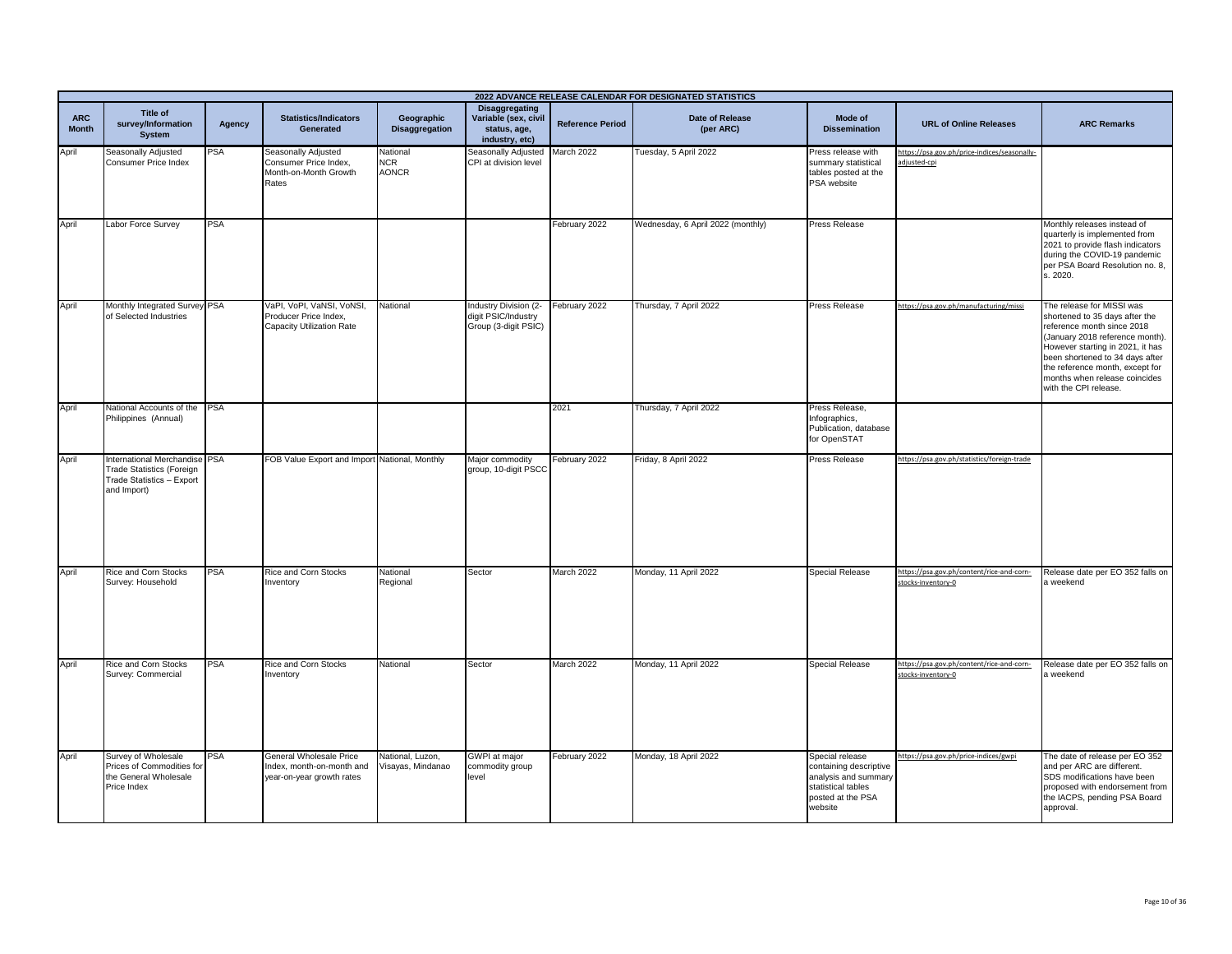|                            | 2022 ADVANCE RELEASE CALENDAR FOR DESIGNATED STATISTICS                                                       |            |                                                                                       |                                        |                                                                                 |                         |                                     |                                                                                                                         |                                                                 |                                                                                                                                                                                                                                                                                                  |
|----------------------------|---------------------------------------------------------------------------------------------------------------|------------|---------------------------------------------------------------------------------------|----------------------------------------|---------------------------------------------------------------------------------|-------------------------|-------------------------------------|-------------------------------------------------------------------------------------------------------------------------|-----------------------------------------------------------------|--------------------------------------------------------------------------------------------------------------------------------------------------------------------------------------------------------------------------------------------------------------------------------------------------|
| <b>ARC</b><br><b>Month</b> | Title of<br>survey/Information<br>System                                                                      | Agency     | <b>Statistics/Indicators</b><br>Generated                                             | Geographic<br><b>Disaggregation</b>    | <b>Disaggregating</b><br>Variable (sex, civil<br>status, age,<br>industry, etc) | <b>Reference Period</b> | <b>Date of Release</b><br>(per ARC) | Mode of<br><b>Dissemination</b>                                                                                         | <b>URL of Online Releases</b>                                   | <b>ARC Remarks</b>                                                                                                                                                                                                                                                                               |
| April                      | Seasonally Adjusted<br><b>Consumer Price Index</b>                                                            | PSA        | <b>Seasonally Adjusted</b><br>Consumer Price Index.<br>Month-on-Month Growth<br>Rates | National<br><b>NCR</b><br><b>AONCR</b> | Seasonally Adjusted<br>CPI at division level                                    | March 2022              | Tuesday, 5 April 2022               | Press release with<br>summary statistical<br>tables posted at the<br>PSA website                                        | https://psa.gov.ph/price-indices/seasonally-<br>adjusted-cpi    |                                                                                                                                                                                                                                                                                                  |
| April                      | Labor Force Survey                                                                                            | <b>PSA</b> |                                                                                       |                                        |                                                                                 | February 2022           | Wednesday, 6 April 2022 (monthly)   | Press Release                                                                                                           |                                                                 | Monthly releases instead of<br>quarterly is implemented from<br>2021 to provide flash indicators<br>during the COVID-19 pandemic<br>per PSA Board Resolution no. 8,<br>s. 2020.                                                                                                                  |
| April                      | Monthly Integrated Survey PSA<br>of Selected Industries                                                       |            | VaPI, VoPI, VaNSI, VoNSI,<br>Producer Price Index,<br>Capacity Utilization Rate       | National                               | Industry Division (2-<br>digit PSIC/Industry<br>Group (3-digit PSIC)            | February 2022           | Thursday, 7 April 2022              | <b>Press Release</b>                                                                                                    | https://psa.gov.ph/manufacturing/missi                          | The release for MISSI was<br>shortened to 35 days after the<br>reference month since 2018<br>(January 2018 reference month).<br>However starting in 2021, it has<br>been shortened to 34 days after<br>the reference month, except for<br>months when release coincides<br>with the CPI release. |
| April                      | National Accounts of the PSA<br>Philippines (Annual)                                                          |            |                                                                                       |                                        |                                                                                 | 2021                    | Thursday, 7 April 2022              | Press Release,<br>Infographics,<br>Publication, database<br>for OpenSTAT                                                |                                                                 |                                                                                                                                                                                                                                                                                                  |
| April                      | International Merchandise PSA<br><b>Trade Statistics (Foreign</b><br>Trade Statistics - Export<br>and Import) |            | FOB Value Export and Import National, Monthly                                         |                                        | Major commodity<br>group, 10-digit PSCC                                         | February 2022           | Friday, 8 April 2022                | Press Release                                                                                                           | https://psa.gov.ph/statistics/foreign-trade                     |                                                                                                                                                                                                                                                                                                  |
| April                      | Rice and Corn Stocks<br>Survey: Household                                                                     | <b>PSA</b> | Rice and Corn Stocks<br>nventory                                                      | National<br>Regional                   | Sector                                                                          | March 2022              | Monday, 11 April 2022               | <b>Special Release</b>                                                                                                  | https://psa.gov.ph/content/rice-and-corn-<br>stocks-inventory-0 | Release date per EO 352 falls on<br>a weekend                                                                                                                                                                                                                                                    |
| April                      | Rice and Corn Stocks<br>Survey: Commercial                                                                    | <b>PSA</b> | Rice and Corn Stocks<br>nventory                                                      | National                               | Sector                                                                          | March 2022              | Monday, 11 April 2022               | Special Release                                                                                                         | https://psa.gov.ph/content/rice-and-corn-<br>stocks-inventory-0 | Release date per EO 352 falls on<br>a weekend                                                                                                                                                                                                                                                    |
| April                      | Survey of Wholesale<br>Prices of Commodities for<br>the General Wholesale<br>Price Index                      | PSA        | General Wholesale Price<br>Index, month-on-month and<br>year-on-year growth rates     | National, Luzon,<br>/isayas, Mindanao  | GWPI at major<br>commodity group<br>level                                       | February 2022           | Monday, 18 April 2022               | Special release<br>containing descriptive<br>analysis and summary<br>statistical tables<br>posted at the PSA<br>website | https://psa.gov.ph/price-indices/gwpi                           | The date of release per EO 352<br>and per ARC are different.<br>SDS modifications have been<br>proposed with endorsement from<br>the IACPS, pending PSA Board<br>approval.                                                                                                                       |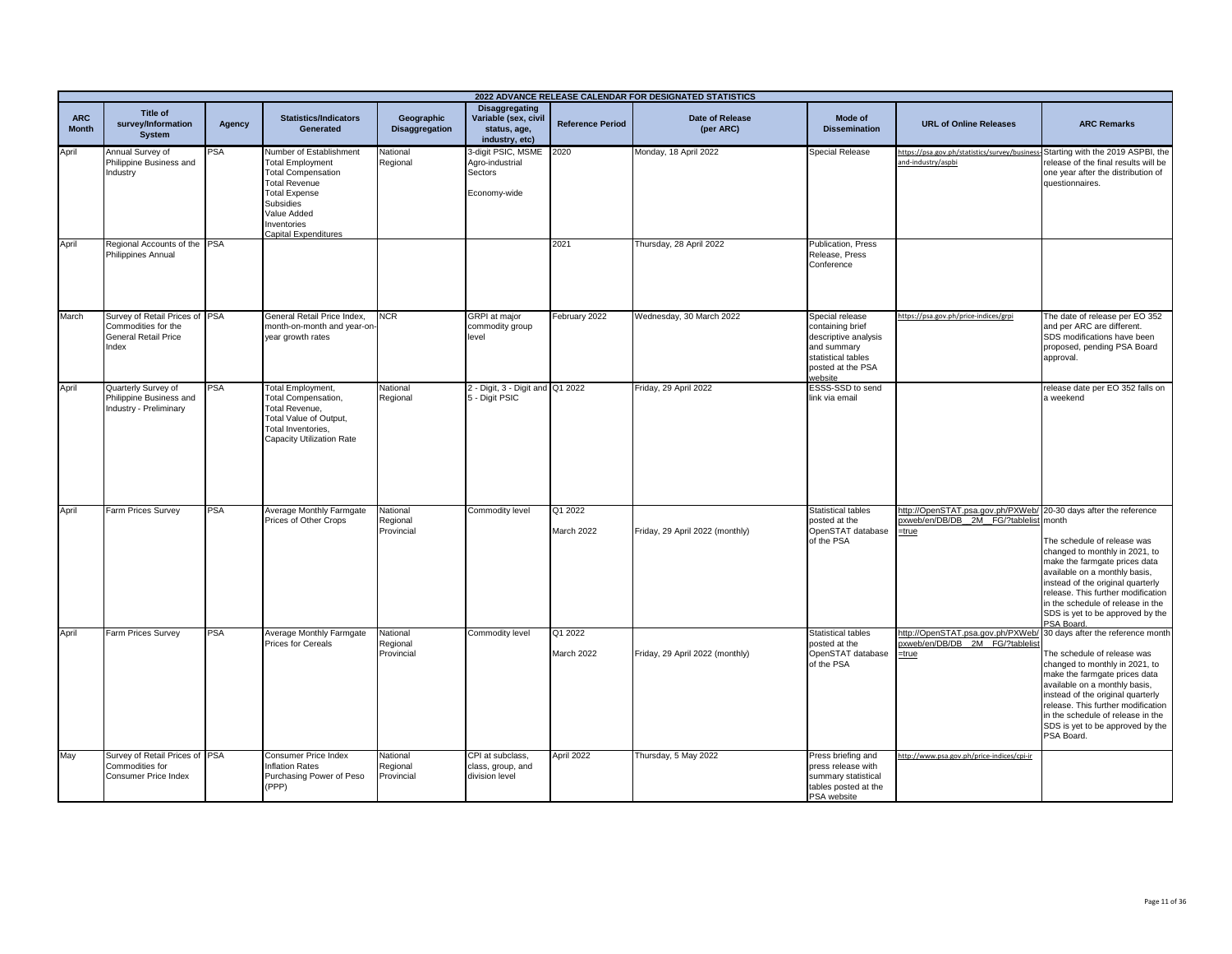|                            | 2022 ADVANCE RELEASE CALENDAR FOR DESIGNATED STATISTICS                                |            |                                                                                                                                                                                                    |                                    |                                                                                 |                         |                                 |                                                                                                                                  |                                                                                                                    |                                                                                                                                                                                                                                                                                                                                        |
|----------------------------|----------------------------------------------------------------------------------------|------------|----------------------------------------------------------------------------------------------------------------------------------------------------------------------------------------------------|------------------------------------|---------------------------------------------------------------------------------|-------------------------|---------------------------------|----------------------------------------------------------------------------------------------------------------------------------|--------------------------------------------------------------------------------------------------------------------|----------------------------------------------------------------------------------------------------------------------------------------------------------------------------------------------------------------------------------------------------------------------------------------------------------------------------------------|
| <b>ARC</b><br><b>Month</b> | <b>Title of</b><br>survey/Information<br><b>System</b>                                 | Agency     | <b>Statistics/Indicators</b><br>Generated                                                                                                                                                          | Geographic<br>Disaggregation       | <b>Disaggregating</b><br>Variable (sex, civil<br>status, age,<br>industry, etc) | <b>Reference Period</b> | Date of Release<br>(per ARC)    | Mode of<br><b>Dissemination</b>                                                                                                  | <b>URL of Online Releases</b>                                                                                      | <b>ARC Remarks</b>                                                                                                                                                                                                                                                                                                                     |
| April                      | Annual Survey of<br>Philippine Business and<br>Industry                                | <b>PSA</b> | Number of Establishment<br><b>Total Employment</b><br><b>Total Compensation</b><br><b>Total Revenue</b><br><b>Total Expense</b><br>Subsidies<br>Value Added<br>Inventories<br>Capital Expenditures | National<br>Regional               | 3-digit PSIC, MSME 2020<br>Agro-industrial<br>Sectors<br>Economy-wide           |                         | Monday, 18 April 2022           | <b>Special Release</b>                                                                                                           | https://psa.gov.ph/statistics/survey/business-Starting with the 2019 ASPBI, the<br>and-industry/aspbi              | release of the final results will be<br>one year after the distribution of<br>questionnaires.                                                                                                                                                                                                                                          |
| April                      | Regional Accounts of the PSA<br>Philippines Annual                                     |            |                                                                                                                                                                                                    |                                    |                                                                                 | 2021                    | Thursday, 28 April 2022         | <b>Publication, Press</b><br>Release, Press<br>Conference                                                                        |                                                                                                                    |                                                                                                                                                                                                                                                                                                                                        |
| March                      | Survey of Retail Prices of PSA<br>Commodities for the<br>General Retail Price<br>Index |            | General Retail Price Index,<br>month-on-month and year-on<br>year growth rates                                                                                                                     | <b>NCR</b>                         | <b>GRPI</b> at major<br>commodity group<br>level                                | February 2022           | Wednesday, 30 March 2022        | Special release<br>containing brief<br>descriptive analysis<br>and summary<br>statistical tables<br>posted at the PSA<br>website | https://psa.gov.ph/price-indices/grpi                                                                              | The date of release per EO 352<br>and per ARC are different.<br>SDS modifications have been<br>proposed, pending PSA Board<br>approval.                                                                                                                                                                                                |
| April                      | Quarterly Survey of<br>Philippine Business and<br>Industry - Preliminary               | PSA        | <b>Total Employment,</b><br><b>Total Compensation,</b><br>Total Revenue,<br>Total Value of Output,<br>Total Inventories,<br>Capacity Utilization Rate                                              | National<br>Regional               | 2 - Digit, 3 - Digit and Q1 2022<br>5 - Digit PSIC                              |                         | Friday, 29 April 2022           | ESSS-SSD to send<br>link via email                                                                                               |                                                                                                                    | release date per EO 352 falls on<br>a weekend                                                                                                                                                                                                                                                                                          |
| April                      | Farm Prices Survey                                                                     | <b>PSA</b> | Average Monthly Farmgate<br>Prices of Other Crops                                                                                                                                                  | National<br>Regional<br>Provincial | Commodity level                                                                 | Q1 2022<br>March 2022   | Friday, 29 April 2022 (monthly) | <b>Statistical tables</b><br>posted at the<br>OpenSTAT database<br>of the PSA                                                    | http://OpenSTAT.psa.gov.ph/PXWeb/ 20-30 days after the reference<br>pxweb/en/DB/DB 2M FG/?tablelist month<br>=true | The schedule of release was<br>changed to monthly in 2021, to<br>make the farmgate prices data<br>available on a monthly basis,<br>instead of the original quarterly<br>release. This further modification<br>in the schedule of release in the<br>SDS is yet to be approved by the<br>PSA Board,                                      |
| April                      | Farm Prices Survey                                                                     | <b>PSA</b> | Average Monthly Farmgate<br><b>Prices for Cereals</b>                                                                                                                                              | National<br>Regional<br>Provincial | Commodity level                                                                 | Q1 2022<br>March 2022   | Friday, 29 April 2022 (monthly) | <b>Statistical tables</b><br>posted at the<br>OpenSTAT database<br>of the PSA                                                    | http://OpenSTAT.psa.gov.ph/PXWeb/<br>pxweb/en/DB/DB 2M FG/?tablelis<br>=true                                       | 30 days after the reference month<br>The schedule of release was<br>changed to monthly in 2021, to<br>make the farmgate prices data<br>available on a monthly basis,<br>instead of the original quarterly<br>release. This further modification<br>in the schedule of release in the<br>SDS is yet to be approved by the<br>PSA Board. |
| May                        | Survey of Retail Prices of PSA<br>Commodities for<br>Consumer Price Index              |            | Consumer Price Index<br>Inflation Rates<br>Purchasing Power of Peso<br>(PPP)                                                                                                                       | National<br>Regional<br>Provincial | CPI at subclass,<br>class, group, and<br>division level                         | April 2022              | Thursday, 5 May 2022            | Press briefing and<br>press release with<br>summary statistical<br>tables posted at the<br>PSA website                           | ttp://www.psa.gov.ph/price-indices/cpi-ir                                                                          |                                                                                                                                                                                                                                                                                                                                        |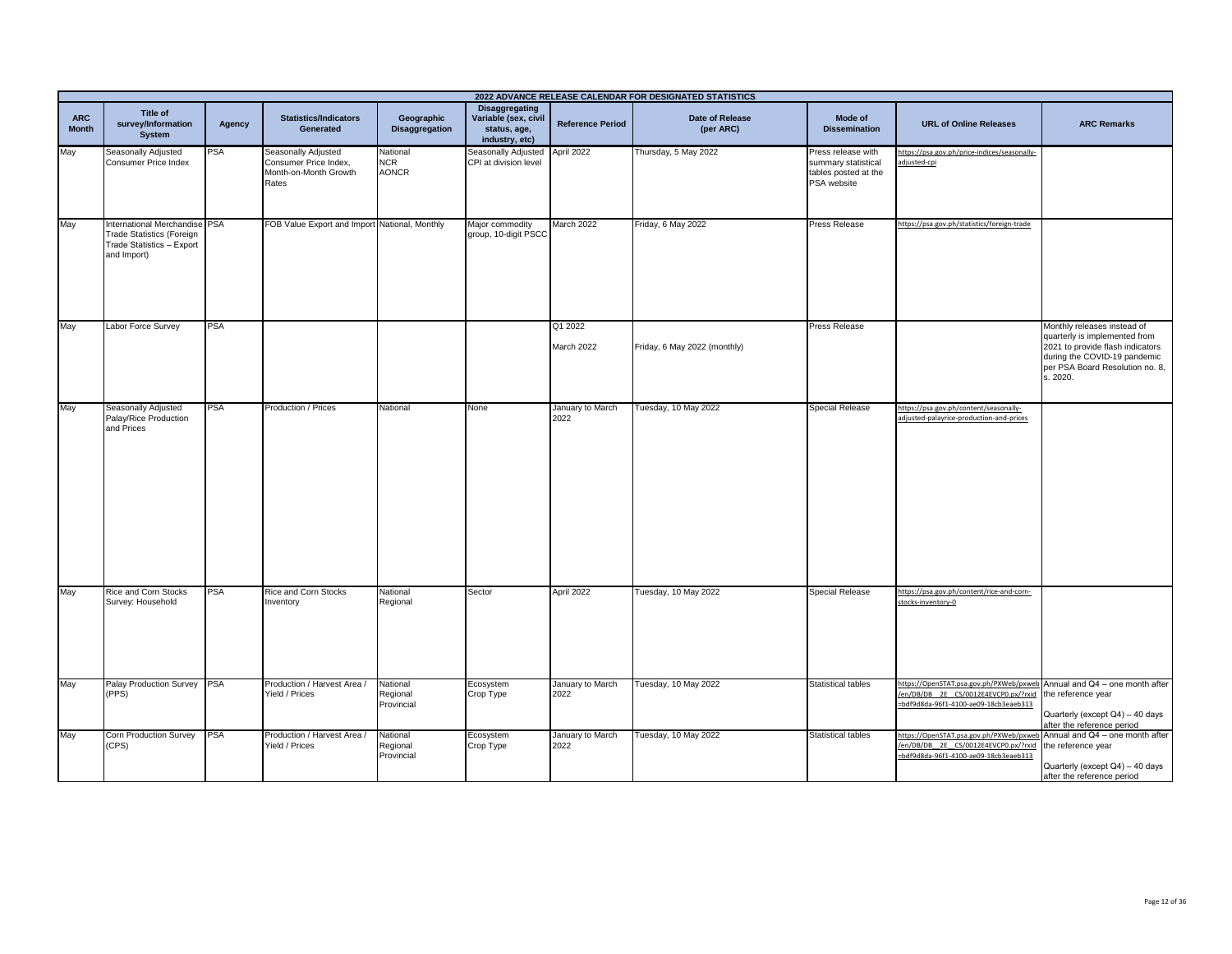|                            | 2022 ADVANCE RELEASE CALENDAR FOR DESIGNATED STATISTICS                                                       |            |                                                                                |                                        |                                                                          |                          |                              |                                                                                  |                                                                                                                                                                             |                                                                                                                                                                                 |
|----------------------------|---------------------------------------------------------------------------------------------------------------|------------|--------------------------------------------------------------------------------|----------------------------------------|--------------------------------------------------------------------------|--------------------------|------------------------------|----------------------------------------------------------------------------------|-----------------------------------------------------------------------------------------------------------------------------------------------------------------------------|---------------------------------------------------------------------------------------------------------------------------------------------------------------------------------|
| <b>ARC</b><br><b>Month</b> | Title of<br>survey/Information<br><b>System</b>                                                               | Agency     | <b>Statistics/Indicators</b><br>Generated                                      | Geographic<br><b>Disaggregation</b>    | Disaggregating<br>Variable (sex, civil<br>status, age,<br>industry, etc) | <b>Reference Period</b>  | Date of Release<br>(per ARC) | Mode of<br><b>Dissemination</b>                                                  | <b>URL of Online Releases</b>                                                                                                                                               | <b>ARC Remarks</b>                                                                                                                                                              |
| May                        | Seasonally Adjusted<br>Consumer Price Index                                                                   | <b>PSA</b> | Seasonally Adjusted<br>Consumer Price Index,<br>Month-on-Month Growth<br>Rates | National<br><b>NCR</b><br><b>AONCR</b> | Seasonally Adjusted April 2022<br>CPI at division level                  |                          | Thursday, 5 May 2022         | Press release with<br>summary statistical<br>tables posted at the<br>PSA website | https://psa.gov.ph/price-indices/seasonally-<br>adjusted-cpi                                                                                                                |                                                                                                                                                                                 |
| May                        | International Merchandise PSA<br><b>Trade Statistics (Foreign</b><br>Trade Statistics - Export<br>and Import) |            | FOB Value Export and Import National, Monthly                                  |                                        | Major commodity<br>group, 10-digit PSCC                                  | March 2022               | Friday, 6 May 2022           | <b>Press Release</b>                                                             | https://psa.gov.ph/statistics/foreign-trade                                                                                                                                 |                                                                                                                                                                                 |
| May                        | Labor Force Survey                                                                                            | <b>PSA</b> |                                                                                |                                        |                                                                          | Q1 2022<br>March 2022    | Friday, 6 May 2022 (monthly) | Press Release                                                                    |                                                                                                                                                                             | Monthly releases instead of<br>quarterly is implemented from<br>2021 to provide flash indicators<br>during the COVID-19 pandemic<br>per PSA Board Resolution no. 8,<br>s. 2020. |
| May                        | Seasonally Adjusted<br>Palay/Rice Production<br>and Prices                                                    | <b>PSA</b> | Production / Prices                                                            | National                               | None                                                                     | January to March<br>2022 | Tuesday, 10 May 2022         | <b>Special Release</b>                                                           | https://psa.gov.ph/content/seasonally-<br>adjusted-palayrice-production-and-prices                                                                                          |                                                                                                                                                                                 |
| May                        | Rice and Corn Stocks<br>Survey: Household                                                                     | <b>PSA</b> | Rice and Corn Stocks<br>Inventory                                              | National<br>Regional                   | Sector                                                                   | April 2022               | Tuesday, 10 May 2022         | Special Release                                                                  | https://psa.gov.ph/content/rice-and-corn-<br>stocks-inventory-0                                                                                                             |                                                                                                                                                                                 |
| May                        | Palay Production Survey PSA<br>(PPS)                                                                          |            | Production / Harvest Area /<br>Yield / Prices                                  | National<br>Regional<br>Provincial     | Ecosystem<br>Crop Type                                                   | January to March<br>2022 | Tuesday, 10 May 2022         | <b>Statistical tables</b>                                                        | https://OpenSTAT.psa.gov.ph/PXWeb/pxweb Annual and Q4 - one month after<br>/en/DB/DB_2E_CS/0012E4EVCP0.px/?rxid the reference year<br>=bdf9d8da-96f1-4100-ae09-18cb3eaeb313 | Quarterly (except Q4) - 40 days<br>after the reference period                                                                                                                   |
| May                        | Corn Production Survey<br>(CPS)                                                                               | PSA        | Production / Harvest Area /<br>Yield / Prices                                  | National<br>Regional<br>Provincial     | Ecosystem<br>Crop Type                                                   | January to March<br>2022 | Tuesday, 10 May 2022         | <b>Statistical tables</b>                                                        | https://OpenSTAT.psa.gov.ph/PXWeb/pxwe<br>/en/DB/DB 2E CS/0012E4EVCP0.px/?rxid<br>bdf9d8da-96f1-4100-ae09-18cb3eaeb313                                                      | Annual and Q4 - one month after<br>the reference year<br>Quarterly (except Q4) - 40 days<br>after the reference period                                                          |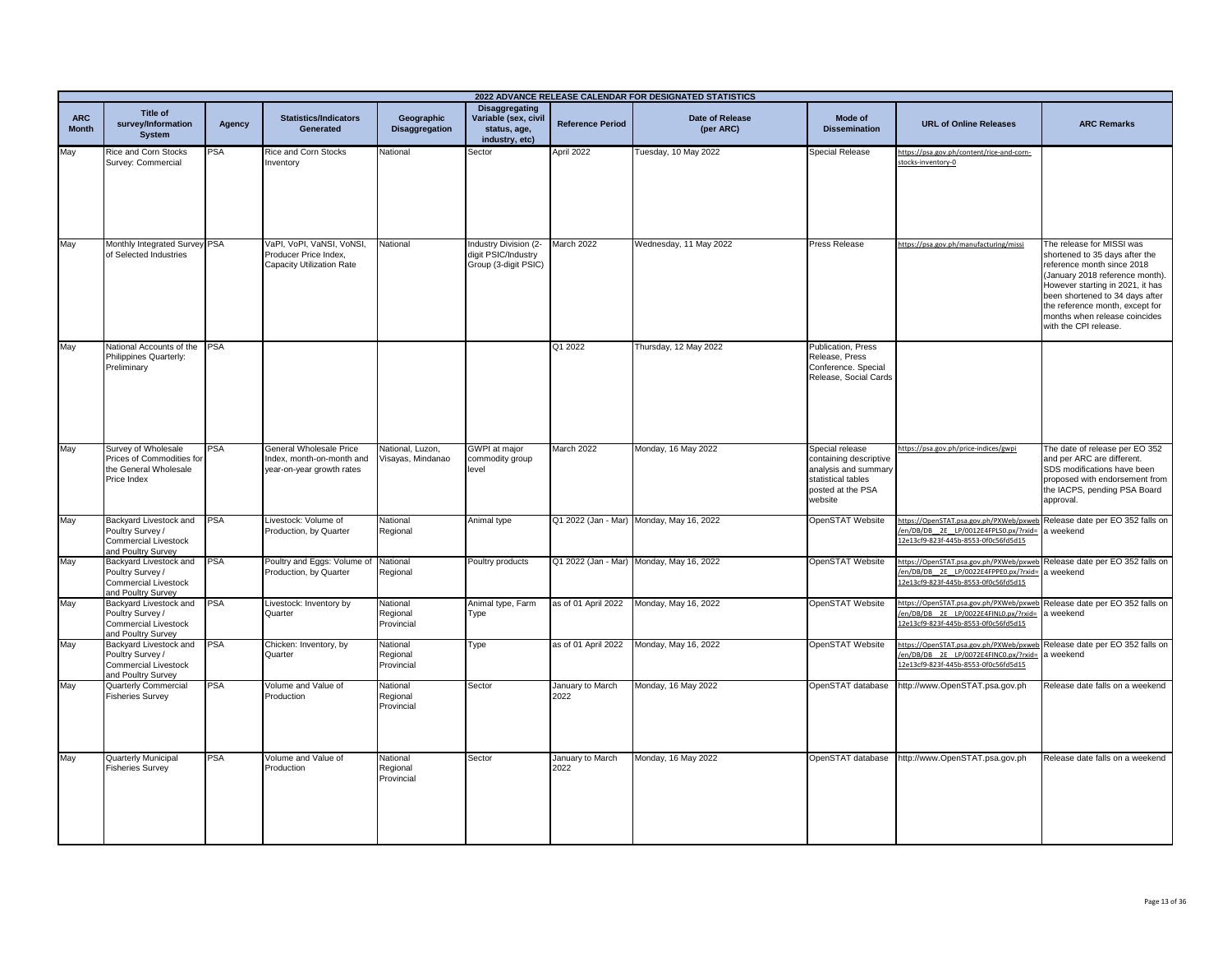|                            |                                                                                                 |            |                                                                                   |                                       |                                                                                 |                          | 2022 ADVANCE RELEASE CALENDAR FOR DESIGNATED STATISTICS |                                                                                                                         |                                                                                                                                                                   |                                                                                                                                                                                                                                                                                                  |
|----------------------------|-------------------------------------------------------------------------------------------------|------------|-----------------------------------------------------------------------------------|---------------------------------------|---------------------------------------------------------------------------------|--------------------------|---------------------------------------------------------|-------------------------------------------------------------------------------------------------------------------------|-------------------------------------------------------------------------------------------------------------------------------------------------------------------|--------------------------------------------------------------------------------------------------------------------------------------------------------------------------------------------------------------------------------------------------------------------------------------------------|
| <b>ARC</b><br><b>Month</b> | Title of<br>survey/Information<br><b>System</b>                                                 | Agency     | <b>Statistics/Indicators</b><br><b>Generated</b>                                  | Geographic<br><b>Disaggregation</b>   | <b>Disaggregating</b><br>Variable (sex, civil<br>status, age,<br>industry, etc) | <b>Reference Period</b>  | Date of Release<br>(per ARC)                            | Mode of<br><b>Dissemination</b>                                                                                         | <b>URL of Online Releases</b>                                                                                                                                     | <b>ARC Remarks</b>                                                                                                                                                                                                                                                                               |
| May                        | Rice and Corn Stocks<br>Survey: Commercial                                                      | <b>PSA</b> | <b>Rice and Corn Stocks</b><br>nventory                                           | National                              | Sector                                                                          | April 2022               | Tuesday, 10 May 2022                                    | <b>Special Release</b>                                                                                                  | https://psa.gov.ph/content/rice-and-corn-<br>stocks-inventory-0                                                                                                   |                                                                                                                                                                                                                                                                                                  |
| May                        | Monthly Integrated Survey PSA<br>of Selected Industries                                         |            | VaPI, VoPI, VaNSI, VoNSI,<br>Producer Price Index,<br>Capacity Utilization Rate   | National                              | Industry Division (2-<br>digit PSIC/Industry<br>Group (3-digit PSIC)            | March 2022               | Wednesday, 11 May 2022                                  | Press Release                                                                                                           | https://psa.gov.ph/manufacturing/missi                                                                                                                            | The release for MISSI was<br>shortened to 35 days after the<br>reference month since 2018<br>(January 2018 reference month).<br>However starting in 2021, it has<br>been shortened to 34 days after<br>the reference month, except for<br>months when release coincides<br>with the CPI release. |
| May                        | National Accounts of the<br>Philippines Quarterly:<br>Preliminary                               | <b>PSA</b> |                                                                                   |                                       |                                                                                 | Q1 2022                  | Thursday, 12 May 2022                                   | <b>Publication, Press</b><br>Release, Press<br>Conference. Special<br>Release, Social Cards                             |                                                                                                                                                                   |                                                                                                                                                                                                                                                                                                  |
| May                        | Survey of Wholesale<br>Prices of Commodities for<br>the General Wholesale<br>Price Index        | <b>PSA</b> | General Wholesale Price<br>Index, month-on-month and<br>year-on-year growth rates | National, Luzon,<br>Visayas, Mindanao | <b>GWPI</b> at major<br>commodity group<br>level                                | March 2022               | Monday, 16 May 2022                                     | Special release<br>containing descriptive<br>analysis and summary<br>statistical tables<br>posted at the PSA<br>website | https://psa.gov.ph/price-indices/gwpi                                                                                                                             | The date of release per EO 352<br>and per ARC are different.<br>SDS modifications have been<br>proposed with endorsement from<br>the IACPS, pending PSA Board<br>approval.                                                                                                                       |
| May                        | Backyard Livestock and<br>Poultry Survey /<br><b>Commercial Livestock</b><br>and Poultry Survey | <b>PSA</b> | Livestock: Volume of<br>Production, by Quarter                                    | National<br>Regional                  | Animal type                                                                     |                          | Q1 2022 (Jan - Mar) Monday, May 16, 2022                | OpenSTAT Website                                                                                                        | https://OpenSTAT.psa.gov.ph/PXWeb/pxweb Release date per EO 352 falls on<br>en/DB/DB_2E_LP/0012E4FPLS0.px/?rxid=<br>2e13cf9-823f-445b-8553-0f0c56fd5d15           | weekend                                                                                                                                                                                                                                                                                          |
| May                        | Backyard Livestock and<br>Poultry Survey /<br>Commercial Livestock<br>and Poultry Survey        | <b>PSA</b> | Poultry and Eggs: Volume of National<br>roduction, by Quarter                     | Regional                              | Poultry products                                                                |                          | Q1 2022 (Jan - Mar) Monday, May 16, 2022                | OpenSTAT Website                                                                                                        | https://OpenSTAT.psa.gov.ph/PXWeb/pxweb Release date per EO 352 falls on<br>en/DB/DB_2E_LP/0022E4FPPE0.px/?rxid=<br>12e13cf9-823f-445b-8553-0f0c56fd5d15          | a weekend                                                                                                                                                                                                                                                                                        |
| May                        | Backyard Livestock and<br>Poultry Survey /<br><b>Commercial Livestock</b><br>and Poultry Survey | <b>PSA</b> | Livestock: Inventory by<br>Quarter                                                | National<br>Regional<br>Provincial    | Animal type, Farm<br>Type                                                       | as of 01 April 2022      | Monday, May 16, 2022                                    | OpenSTAT Website                                                                                                        | https://OpenSTAT.psa.gov.ph/PXWeb/pxweb<br>en/DB/DB 2E LP/0022E4FINL0.px/?rxid=<br>12e13cf9-823f-445b-8553-0f0c56fd5d15                                           | Release date per EO 352 falls on<br>a weekend                                                                                                                                                                                                                                                    |
| May                        | Backyard Livestock and<br>Poultry Survey /<br><b>Commercial Livestock</b><br>and Poultry Survey | <b>PSA</b> | Chicken: Inventory, by<br>Quarter                                                 | National<br>Regional<br>Provincial    | Type                                                                            | as of 01 April 2022      | Monday, May 16, 2022                                    | OpenSTAT Website                                                                                                        | https://OpenSTAT.psa.gov.ph/PXWeb/pxweb Release date per EO 352 falls on<br>en/DB/DB_2E_LP/0072E4FINC0.px/?rxid= a weekend<br>2e13cf9-823f-445b-8553-0f0c56fd5d15 |                                                                                                                                                                                                                                                                                                  |
| May                        | <b>Quarterly Commercial</b><br><b>Fisheries Survey</b>                                          | <b>PSA</b> | Volume and Value of<br>Production                                                 | National<br>Regional<br>Provincial    | Sector                                                                          | January to March<br>2022 | Monday, 16 May 2022                                     | OpenSTAT database                                                                                                       | http://www.OpenSTAT.psa.gov.ph                                                                                                                                    | Release date falls on a weekend                                                                                                                                                                                                                                                                  |
| May                        | <b>Quarterly Municipal</b><br><b>Fisheries Survey</b>                                           | <b>PSA</b> | Volume and Value of<br>Production                                                 | National<br>Regional<br>Provincial    | Sector                                                                          | January to March<br>2022 | Monday, 16 May 2022                                     | OpenSTAT database                                                                                                       | http://www.OpenSTAT.psa.gov.ph                                                                                                                                    | Release date falls on a weekend                                                                                                                                                                                                                                                                  |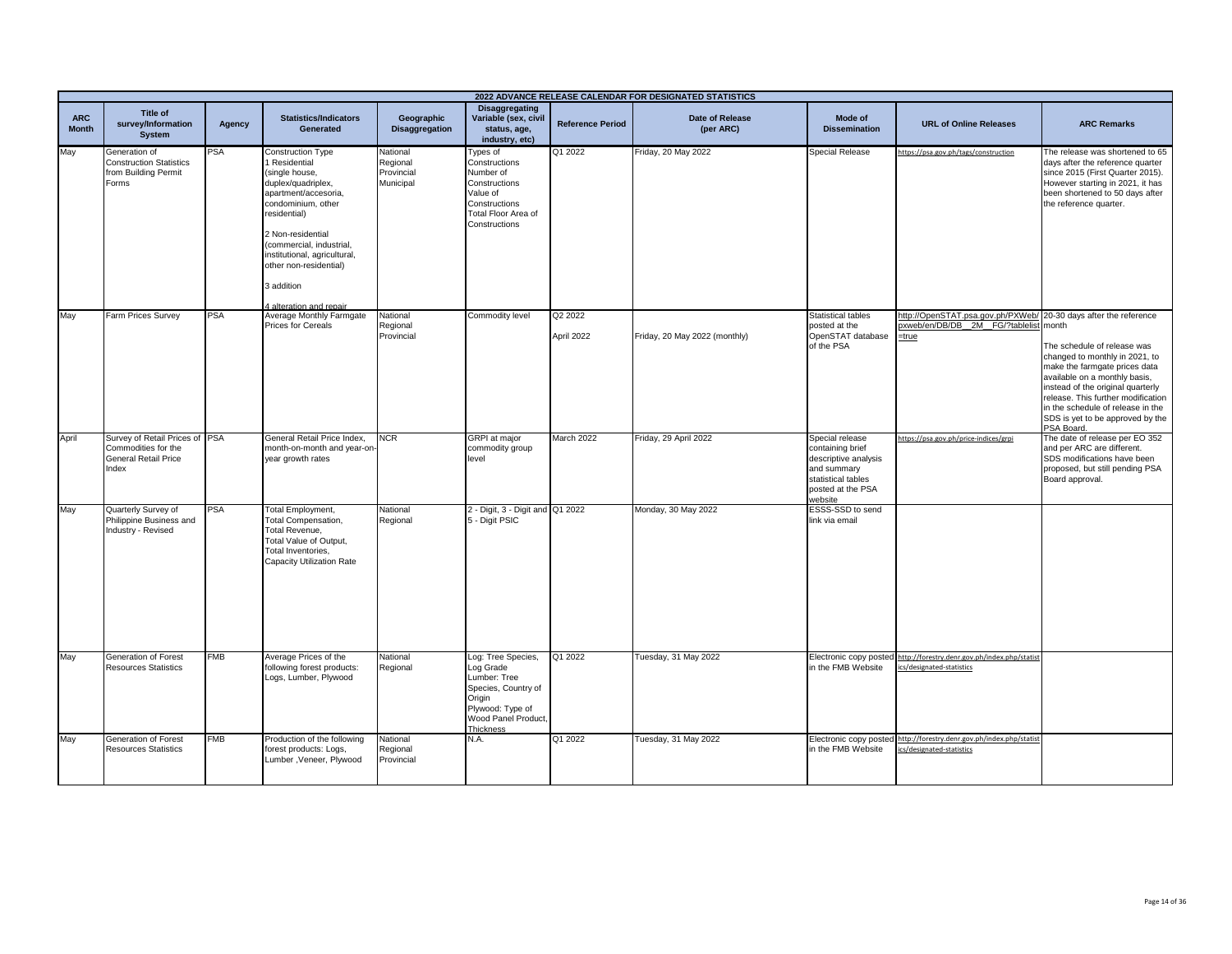|                            |                                                                                              |            |                                                                                                                                                                                                                                                                                           |                                                 |                                                                                                                                          |                         | 2022 ADVANCE RELEASE CALENDAR FOR DESIGNATED STATISTICS |                                                                                                                                  |                                                                                                                    |                                                                                                                                                                                                                                                                                                   |
|----------------------------|----------------------------------------------------------------------------------------------|------------|-------------------------------------------------------------------------------------------------------------------------------------------------------------------------------------------------------------------------------------------------------------------------------------------|-------------------------------------------------|------------------------------------------------------------------------------------------------------------------------------------------|-------------------------|---------------------------------------------------------|----------------------------------------------------------------------------------------------------------------------------------|--------------------------------------------------------------------------------------------------------------------|---------------------------------------------------------------------------------------------------------------------------------------------------------------------------------------------------------------------------------------------------------------------------------------------------|
| <b>ARC</b><br><b>Month</b> | <b>Title of</b><br>survey/Information<br><b>System</b>                                       | Agency     | <b>Statistics/Indicators</b><br>Generated                                                                                                                                                                                                                                                 | Geographic<br><b>Disaggregation</b>             | <b>Disaggregating</b><br>Variable (sex, civil<br>status, age,<br>industry, etc)                                                          | <b>Reference Period</b> | <b>Date of Release</b><br>(per ARC)                     | Mode of<br><b>Dissemination</b>                                                                                                  | <b>URL of Online Releases</b>                                                                                      | <b>ARC Remarks</b>                                                                                                                                                                                                                                                                                |
| May                        | Generation of<br><b>Construction Statistics</b><br>from Building Permit<br>Forms             | PSA        | Construction Type<br>Residential<br>single house,<br>duplex/quadriplex,<br>apartment/accesoria,<br>condominium, other<br>residential)<br>2 Non-residential<br>(commercial, industrial,<br>institutional, agricultural,<br>other non-residential)<br>3 addition<br>4 alteration and repair | National<br>Regional<br>Provincial<br>Municipal | Types of<br>Constructions<br>Number of<br>Constructions<br>Value of<br>Constructions<br>Total Floor Area of<br>Constructions             | Q1 2022                 | Friday, 20 May 2022                                     | Special Release                                                                                                                  | https://psa.gov.ph/tags/construction                                                                               | The release was shortened to 65<br>days after the reference quarter<br>since 2015 (First Quarter 2015).<br>However starting in 2021, it has<br>been shortened to 50 days after<br>the reference quarter.                                                                                          |
| May                        | Farm Prices Survey                                                                           | <b>PSA</b> | Average Monthly Farmgate<br>Prices for Cereals                                                                                                                                                                                                                                            | National<br>Regional<br>Provincial              | Commodity level                                                                                                                          | Q2 2022<br>April 2022   | Friday, 20 May 2022 (monthly)                           | <b>Statistical tables</b><br>posted at the<br>OpenSTAT database<br>of the PSA                                                    | http://OpenSTAT.psa.gov.ph/PXWeb/ 20-30 days after the reference<br>oxweb/en/DB/DB_2M_FG/?tablelist month<br>=true | The schedule of release was<br>changed to monthly in 2021, to<br>make the farmgate prices data<br>available on a monthly basis,<br>instead of the original quarterly<br>release. This further modification<br>in the schedule of release in the<br>SDS is yet to be approved by the<br>PSA Board. |
| April                      | Survey of Retail Prices of PSA<br>Commodities for the<br><b>General Retail Price</b><br>ndex |            | General Retail Price Index.<br>month-on-month and year-or<br>year growth rates                                                                                                                                                                                                            | <b>NCR</b>                                      | <b>GRPI</b> at major<br>commodity group<br>level                                                                                         | March 2022              | Friday, 29 April 2022                                   | Special release<br>containing brief<br>descriptive analysis<br>and summary<br>statistical tables<br>posted at the PSA<br>website | https://psa.gov.ph/price-indices/grpi                                                                              | The date of release per EO 352<br>and per ARC are different.<br>SDS modifications have been<br>proposed, but still pending PSA<br>Board approval.                                                                                                                                                 |
| May                        | Quarterly Survey of<br>Philippine Business and<br>Industry - Revised                         | PSA        | <b>Total Employment,</b><br>Total Compensation,<br>Total Revenue,<br>Total Value of Output,<br>Total Inventories,<br>Capacity Utilization Rate                                                                                                                                            | National<br>Regional                            | 2 - Digit, 3 - Digit and Q1 2022<br>5 - Digit PSIC                                                                                       |                         | Monday, 30 May 2022                                     | ESSS-SSD to send<br>link via email                                                                                               |                                                                                                                    |                                                                                                                                                                                                                                                                                                   |
| May                        | Generation of Forest<br><b>Resources Statistics</b>                                          | <b>FMB</b> | Average Prices of the<br>following forest products:<br>Logs, Lumber, Plywood                                                                                                                                                                                                              | National<br>Regional                            | Log: Tree Species,<br>Log Grade<br>Lumber: Tree<br>Species, Country of<br>Origin<br>Plywood: Type of<br>Wood Panel Product.<br>Thickness | Q1 2022                 | Tuesday, 31 May 2022                                    | in the FMB Website                                                                                                               | Electronic copy posted http://forestry.denr.gov.ph/index.php/statis<br>ics/designated-statistics                   |                                                                                                                                                                                                                                                                                                   |
| May                        | Generation of Forest<br><b>Resources Statistics</b>                                          | FMB        | Production of the following<br>forest products: Logs,<br>Lumber, Veneer, Plywood                                                                                                                                                                                                          | National<br>Regional<br>Provincial              | N.A.                                                                                                                                     | Q1 2022                 | Tuesday, 31 May 2022                                    | Electronic copy posted<br>in the FMB Website                                                                                     | http://forestry.denr.gov.ph/index.php/statist<br>ics/designated-statistics                                         |                                                                                                                                                                                                                                                                                                   |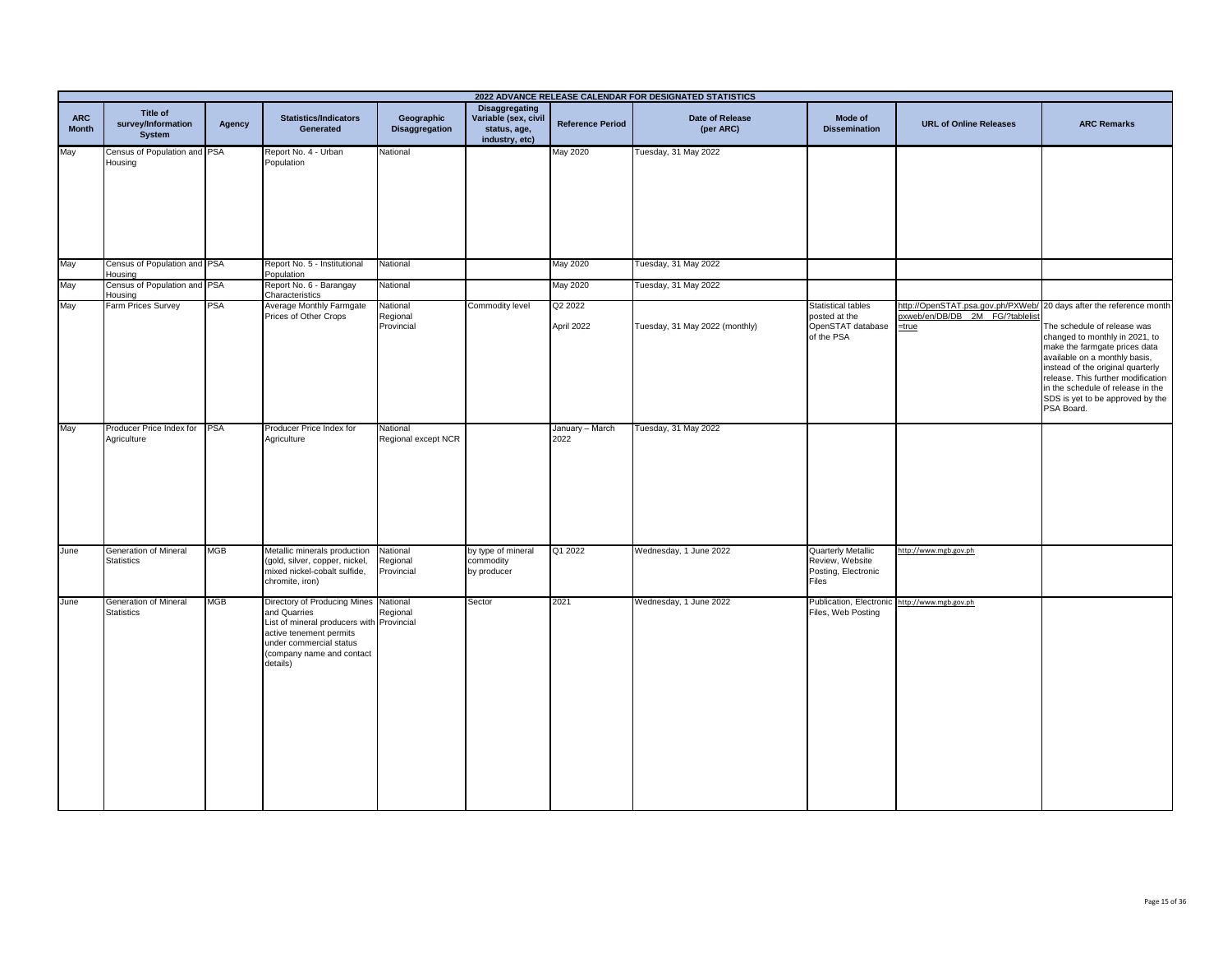|                            |                                                   |            |                                                                                                                                                                                                   |                                    |                                                                          |                         | 2022 ADVANCE RELEASE CALENDAR FOR DESIGNATED STATISTICS |                                                                               |                                                                                  |                                                                                                                                                                                                                                                                                                                                        |
|----------------------------|---------------------------------------------------|------------|---------------------------------------------------------------------------------------------------------------------------------------------------------------------------------------------------|------------------------------------|--------------------------------------------------------------------------|-------------------------|---------------------------------------------------------|-------------------------------------------------------------------------------|----------------------------------------------------------------------------------|----------------------------------------------------------------------------------------------------------------------------------------------------------------------------------------------------------------------------------------------------------------------------------------------------------------------------------------|
| <b>ARC</b><br><b>Month</b> | Title of<br>survey/Information<br>System          | Agency     | <b>Statistics/Indicators</b><br>Generated                                                                                                                                                         | Geographic<br>Disaggregation       | Disaggregating<br>Variable (sex, civil<br>status, age,<br>industry, etc) | <b>Reference Period</b> | <b>Date of Release</b><br>(per ARC)                     | Mode of<br><b>Dissemination</b>                                               | <b>URL of Online Releases</b>                                                    | <b>ARC Remarks</b>                                                                                                                                                                                                                                                                                                                     |
| May                        | Census of Population and PSA<br>Housing           |            | Report No. 4 - Urban<br>Population                                                                                                                                                                | National                           |                                                                          | <b>May 2020</b>         | Tuesday, 31 May 2022                                    |                                                                               |                                                                                  |                                                                                                                                                                                                                                                                                                                                        |
| May                        | Census of Population and PSA<br>Housing           |            | Report No. 5 - Institutional<br>Population                                                                                                                                                        | National                           |                                                                          | May 2020                | Tuesday, 31 May 2022                                    |                                                                               |                                                                                  |                                                                                                                                                                                                                                                                                                                                        |
| May                        | Census of Population and PSA<br>Housing           |            | Report No. 6 - Barangay<br>Characteristics                                                                                                                                                        | National                           |                                                                          | May 2020                | Tuesday, 31 May 2022                                    |                                                                               |                                                                                  |                                                                                                                                                                                                                                                                                                                                        |
| May                        | Farm Prices Survey                                | PSA        | Average Monthly Farmgate<br>Prices of Other Crops                                                                                                                                                 | National<br>Regional<br>Provincial | Commodity level                                                          | Q2 2022<br>April 2022   | Tuesday, 31 May 2022 (monthly)                          | <b>Statistical tables</b><br>posted at the<br>OpenSTAT database<br>of the PSA | http://OpenSTAT.psa.gov.ph/PXWeb/<br>oxweb/en/DB/DB 2M FG/?tablelist<br>$=$ true | 20 days after the reference month<br>The schedule of release was<br>changed to monthly in 2021, to<br>make the farmgate prices data<br>available on a monthly basis,<br>instead of the original quarterly<br>release. This further modification<br>in the schedule of release in the<br>SDS is yet to be approved by the<br>PSA Board. |
| May                        | Producer Price Index for<br>Agriculture           | <b>PSA</b> | Producer Price Index for<br>Agriculture                                                                                                                                                           | National<br>Regional except NCR    |                                                                          | January - March<br>2022 | Tuesday, 31 May 2022                                    |                                                                               |                                                                                  |                                                                                                                                                                                                                                                                                                                                        |
| June                       | Generation of Mineral<br>Statistics               | <b>MGB</b> | Metallic minerals production<br>(gold, silver, copper, nickel,<br>mixed nickel-cobalt sulfide,<br>chromite, iron)                                                                                 | National<br>Regional<br>Provincial | by type of mineral<br>commodity<br>by producer                           | Q1 2022                 | Wednesday, 1 June 2022                                  | Quarterly Metallic<br>Review, Website<br>Posting, Electronic<br>Files         | http://www.mgb.gov.ph                                                            |                                                                                                                                                                                                                                                                                                                                        |
| June                       | <b>Generation of Mineral</b><br><b>Statistics</b> | <b>MGB</b> | Directory of Producing Mines National<br>and Quarries<br>List of mineral producers with Provincial<br>active tenement permits<br>under commercial status<br>(company name and contact<br>details) | Regional                           | Sector                                                                   | 2021                    | Wednesday, 1 June 2022                                  | Publication, Electronic<br>Files, Web Posting                                 | http://www.mgb.gov.ph                                                            |                                                                                                                                                                                                                                                                                                                                        |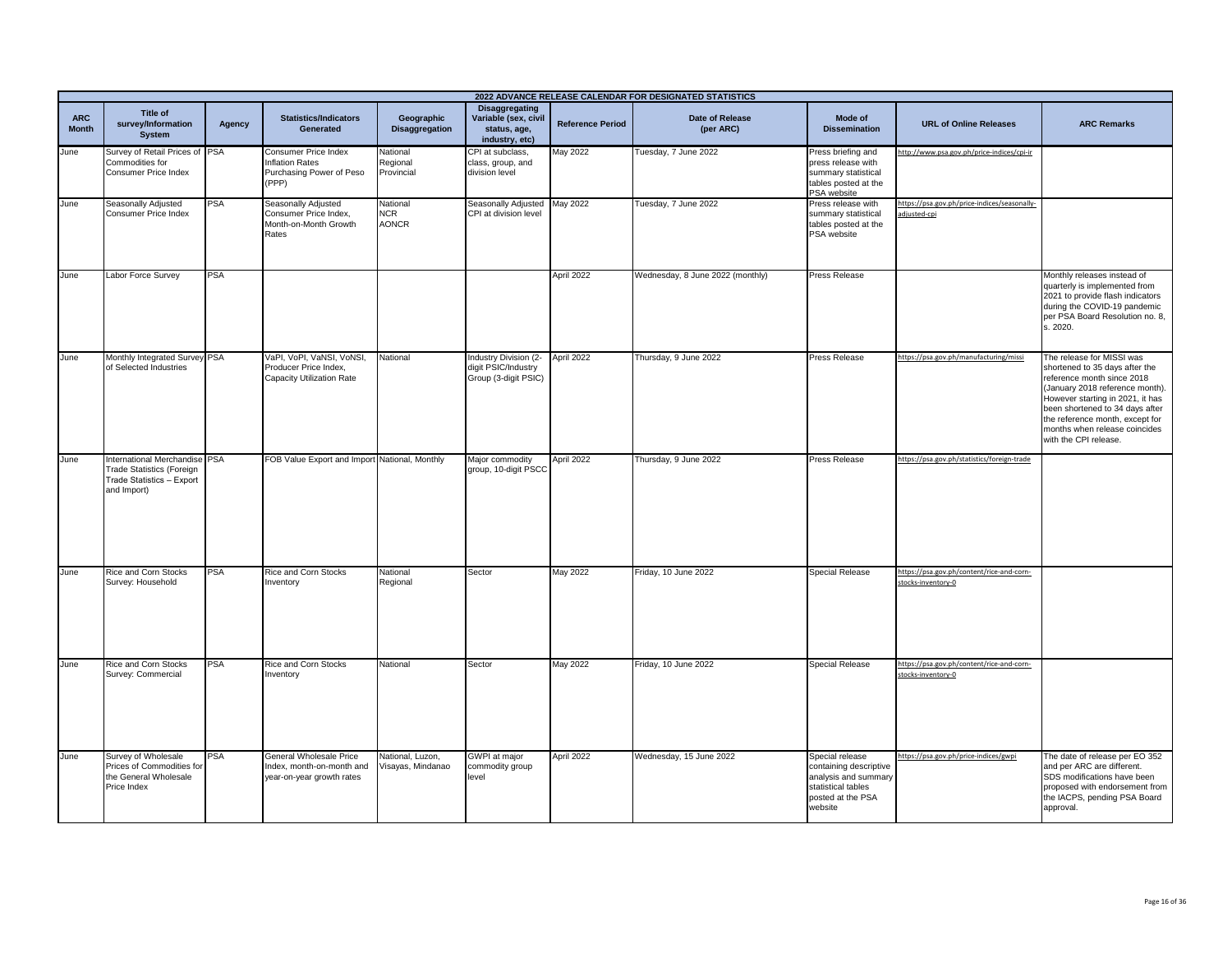|                            | 2022 ADVANCE RELEASE CALENDAR FOR DESIGNATED STATISTICS                                                       |            |                                                                                    |                                        |                                                                                 |                         |                                     |                                                                                                                         |                                                                 |                                                                                                                                                                                                                                                                                                  |
|----------------------------|---------------------------------------------------------------------------------------------------------------|------------|------------------------------------------------------------------------------------|----------------------------------------|---------------------------------------------------------------------------------|-------------------------|-------------------------------------|-------------------------------------------------------------------------------------------------------------------------|-----------------------------------------------------------------|--------------------------------------------------------------------------------------------------------------------------------------------------------------------------------------------------------------------------------------------------------------------------------------------------|
| <b>ARC</b><br><b>Month</b> | <b>Title of</b><br>survey/Information<br><b>System</b>                                                        | Agency     | <b>Statistics/Indicators</b><br>Generated                                          | Geographic<br><b>Disaggregation</b>    | <b>Disaggregating</b><br>Variable (sex, civil<br>status, age,<br>industry, etc) | <b>Reference Period</b> | <b>Date of Release</b><br>(per ARC) | Mode of<br><b>Dissemination</b>                                                                                         | <b>URL of Online Releases</b>                                   | <b>ARC Remarks</b>                                                                                                                                                                                                                                                                               |
| June                       | Survey of Retail Prices of PSA<br>Commodities for<br>Consumer Price Index                                     |            | Consumer Price Index<br><b>Inflation Rates</b><br>Purchasing Power of Peso<br>(PPP | National<br>Regional<br>Provincial     | CPI at subclass,<br>class, group, and<br>division level                         | May 2022                | Tuesday, 7 June 2022                | Press briefing and<br>press release with<br>summary statistical<br>tables posted at the<br>PSA website                  | http://www.psa.gov.ph/price-indices/cpi-ir                      |                                                                                                                                                                                                                                                                                                  |
| June                       | Seasonally Adjusted<br>Consumer Price Index                                                                   | <b>PSA</b> | Seasonally Adjusted<br>Consumer Price Index,<br>Month-on-Month Growth<br>Rates     | National<br><b>NCR</b><br><b>AONCR</b> | Seasonally Adjusted<br>CPI at division level                                    | May 2022                | Tuesday, 7 June 2022                | Press release with<br>summary statistical<br>tables posted at the<br>PSA website                                        | https://psa.gov.ph/price-indices/seasonally-<br>adjusted-cpi    |                                                                                                                                                                                                                                                                                                  |
| June                       | Labor Force Survey                                                                                            | <b>PSA</b> |                                                                                    |                                        |                                                                                 | April 2022              | Wednesday, 8 June 2022 (monthly)    | <b>Press Release</b>                                                                                                    |                                                                 | Monthly releases instead of<br>quarterly is implemented from<br>2021 to provide flash indicators<br>during the COVID-19 pandemic<br>per PSA Board Resolution no. 8,<br>s. 2020.                                                                                                                  |
| June                       | Monthly Integrated Survey PSA<br>of Selected Industries                                                       |            | VaPI, VoPI, VaNSI, VoNSI,<br>Producer Price Index,<br>Capacity Utilization Rate    | National                               | Industry Division (2-<br>digit PSIC/Industry<br>Group (3-digit PSIC)            | April 2022              | Thursday, 9 June 2022               | Press Release                                                                                                           | https://psa.gov.ph/manufacturing/missi                          | The release for MISSI was<br>shortened to 35 days after the<br>reference month since 2018<br>(January 2018 reference month).<br>However starting in 2021, it has<br>been shortened to 34 days after<br>the reference month, except for<br>months when release coincides<br>with the CPI release. |
| June                       | International Merchandise PSA<br><b>Trade Statistics (Foreign</b><br>Trade Statistics - Export<br>and Import) |            | FOB Value Export and Import National, Monthly                                      |                                        | Major commodity<br>group, 10-digit PSCC                                         | April 2022              | Thursday, 9 June 2022               | Press Release                                                                                                           | https://psa.gov.ph/statistics/foreign-trade                     |                                                                                                                                                                                                                                                                                                  |
| June                       | Rice and Corn Stocks<br>Survey: Household                                                                     | <b>PSA</b> | Rice and Corn Stocks<br>nventory                                                   | National<br>Regional                   | Sector                                                                          | May 2022                | Friday, 10 June 2022                | <b>Special Release</b>                                                                                                  | https://psa.gov.ph/content/rice-and-corn-<br>stocks-inventory-0 |                                                                                                                                                                                                                                                                                                  |
| June                       | <b>Rice and Corn Stocks</b><br>Survey: Commercial                                                             | <b>PSA</b> | Rice and Corn Stocks<br>nventory                                                   | National                               | Sector                                                                          | May 2022                | Friday, 10 June 2022                | <b>Special Release</b>                                                                                                  | https://psa.gov.ph/content/rice-and-corn-<br>stocks-inventory-0 |                                                                                                                                                                                                                                                                                                  |
| June                       | Survey of Wholesale<br>Prices of Commodities for<br>the General Wholesale<br>Price Index                      | PSA        | General Wholesale Price<br>Index, month-on-month and<br>year-on-year growth rates  | National, Luzon,<br>Visayas, Mindanao  | GWPI at major<br>commodity group<br>level                                       | April 2022              | Wednesday, 15 June 2022             | Special release<br>containing descriptive<br>analysis and summary<br>statistical tables<br>posted at the PSA<br>website | https://psa.gov.ph/price-indices/gwpi                           | The date of release per EO 352<br>and per ARC are different.<br>SDS modifications have been<br>proposed with endorsement from<br>the IACPS, pending PSA Board<br>approval.                                                                                                                       |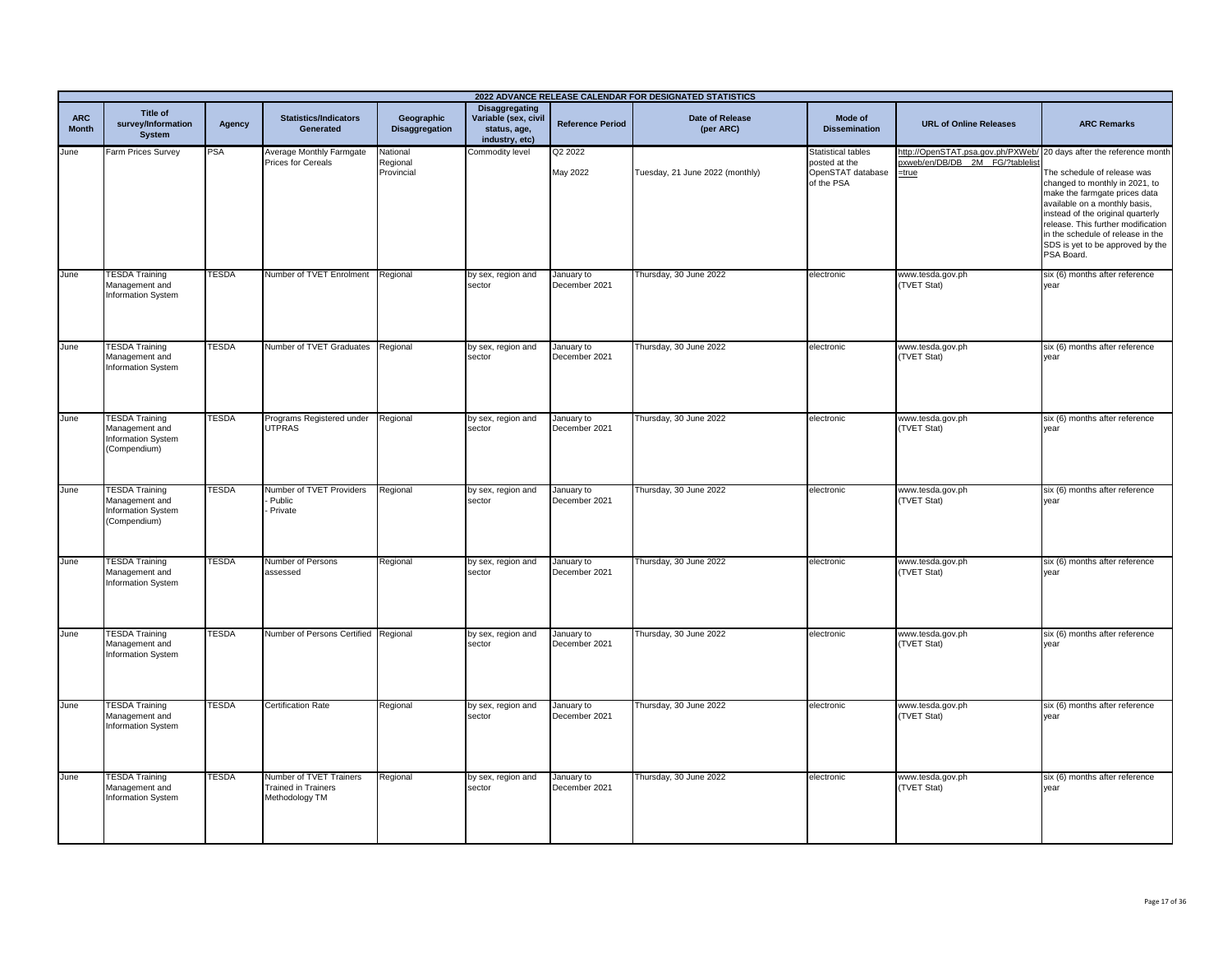|                            | 2022 ADVANCE RELEASE CALENDAR FOR DESIGNATED STATISTICS                              |               |                                                                         |                                     |                                                                                 |                             |                                 |                                                                               |                                                                                                                   |                                                                                                                                                                                                                                                                                                   |
|----------------------------|--------------------------------------------------------------------------------------|---------------|-------------------------------------------------------------------------|-------------------------------------|---------------------------------------------------------------------------------|-----------------------------|---------------------------------|-------------------------------------------------------------------------------|-------------------------------------------------------------------------------------------------------------------|---------------------------------------------------------------------------------------------------------------------------------------------------------------------------------------------------------------------------------------------------------------------------------------------------|
| <b>ARC</b><br><b>Month</b> | Title of<br>survey/Information<br>System                                             | <b>Agency</b> | <b>Statistics/Indicators</b><br>Generated                               | Geographic<br><b>Disaggregation</b> | <b>Disaggregating</b><br>Variable (sex, civil<br>status, age,<br>industry, etc) | <b>Reference Period</b>     | Date of Release<br>(per ARC)    | Mode of<br><b>Dissemination</b>                                               | <b>URL of Online Releases</b>                                                                                     | <b>ARC Remarks</b>                                                                                                                                                                                                                                                                                |
| June                       | Farm Prices Survey                                                                   | PSA           | Average Monthly Farmgate<br>Prices for Cereals                          | National<br>Regional<br>Provincial  | Commodity level                                                                 | Q2 2022<br>May 2022         | Tuesday, 21 June 2022 (monthly) | <b>Statistical tables</b><br>posted at the<br>OpenSTAT database<br>of the PSA | http://OpenSTAT.psa.gov.ph/PXWeb/ 20 days after the reference month<br>pxweb/en/DB/DB_2M_FG/?tablelis<br>$=$ true | The schedule of release was<br>changed to monthly in 2021, to<br>make the farmgate prices data<br>available on a monthly basis,<br>instead of the original quarterly<br>release. This further modification<br>in the schedule of release in the<br>SDS is yet to be approved by the<br>PSA Board. |
| June                       | <b>TESDA Training</b><br>Management and<br>Information System                        | <b>TESDA</b>  | Number of TVET Enrolment                                                | Regional                            | by sex, region and<br>sector                                                    | January to<br>December 2021 | Thursday, 30 June 2022          | electronic                                                                    | www.tesda.gov.ph<br>(TVET Stat)                                                                                   | six (6) months after reference<br>year                                                                                                                                                                                                                                                            |
| June                       | <b>TESDA Training</b><br>Management and<br>Information System                        | TESDA         | Number of TVET Graduates                                                | Regional                            | by sex, region and<br>sector                                                    | January to<br>December 2021 | Thursday, 30 June 2022          | electronic                                                                    | www.tesda.gov.ph<br>(TVET Stat)                                                                                   | six (6) months after reference<br>vear                                                                                                                                                                                                                                                            |
| June                       | <b>TESDA Training</b><br>Management and<br>Information System<br>(Compendium)        | <b>TESDA</b>  | Programs Registered under<br><b>UTPRAS</b>                              | Regional                            | by sex, region and<br>sector                                                    | January to<br>December 2021 | Thursday, 30 June 2022          | electronic                                                                    | www.tesda.gov.ph<br>(TVET Stat)                                                                                   | six (6) months after reference<br>vear                                                                                                                                                                                                                                                            |
| June                       | <b>TESDA Training</b><br>Management and<br><b>Information System</b><br>(Compendium) | TESDA         | Number of TVET Providers<br>Public<br>Private                           | Regional                            | by sex, region and<br>sector                                                    | January to<br>December 2021 | Thursday, 30 June 2022          | electronic                                                                    | www.tesda.gov.ph<br>(TVET Stat)                                                                                   | six (6) months after reference<br>year                                                                                                                                                                                                                                                            |
| June                       | <b>TESDA Training</b><br>Management and<br>Information System                        | <b>TESDA</b>  | Number of Persons<br>assessed                                           | Regional                            | by sex, region and<br>sector                                                    | January to<br>December 2021 | Thursday, 30 June 2022          | electronic                                                                    | www.tesda.gov.ph<br>(TVET Stat)                                                                                   | six (6) months after reference<br>year                                                                                                                                                                                                                                                            |
| June                       | <b>TESDA Training</b><br>Management and<br><b>Information System</b>                 | <b>TESDA</b>  | Number of Persons Certified Regional                                    |                                     | by sex, region and<br>sector                                                    | January to<br>December 2021 | Thursday, 30 June 2022          | electronic                                                                    | www.tesda.gov.ph<br>(TVET Stat)                                                                                   | six (6) months after reference<br>year                                                                                                                                                                                                                                                            |
| June                       | <b>TESDA Training</b><br>Management and<br>Information System                        | TESDA         | <b>Certification Rate</b>                                               | Regional                            | by sex, region and<br>sector                                                    | January to<br>December 2021 | Thursday, 30 June 2022          | electronic                                                                    | www.tesda.gov.ph<br>(TVET Stat)                                                                                   | six (6) months after reference<br>year                                                                                                                                                                                                                                                            |
| June                       | <b>TESDA Training</b><br>Management and<br>Information System                        | <b>TESDA</b>  | Number of TVET Trainers<br><b>Trained in Trainers</b><br>Methodology TM | Regional                            | by sex, region and<br>sector                                                    | January to<br>December 2021 | Thursday, 30 June 2022          | electronic                                                                    | www.tesda.gov.ph<br>(TVET Stat)                                                                                   | six (6) months after reference<br>year                                                                                                                                                                                                                                                            |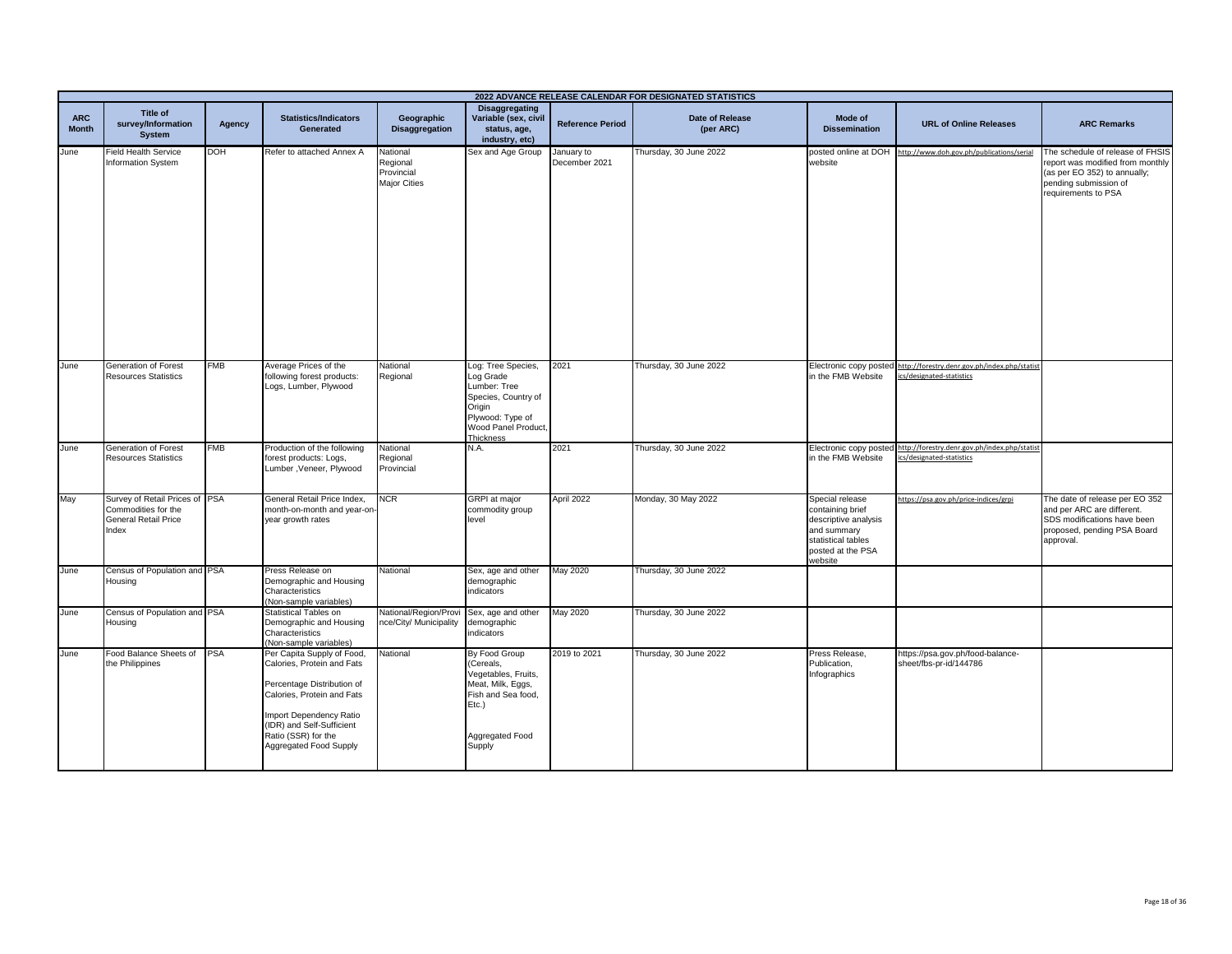|                            | 2022 ADVANCE RELEASE CALENDAR FOR DESIGNATED STATISTICS                                       |            |                                                                                                                                                                                                                               |                                                           |                                                                                                                                          |                             |                                     |                                                                                                                                  |                                                                           |                                                                                                                                                      |  |
|----------------------------|-----------------------------------------------------------------------------------------------|------------|-------------------------------------------------------------------------------------------------------------------------------------------------------------------------------------------------------------------------------|-----------------------------------------------------------|------------------------------------------------------------------------------------------------------------------------------------------|-----------------------------|-------------------------------------|----------------------------------------------------------------------------------------------------------------------------------|---------------------------------------------------------------------------|------------------------------------------------------------------------------------------------------------------------------------------------------|--|
| <b>ARC</b><br><b>Month</b> | <b>Title of</b><br>survey/Information<br><b>System</b>                                        | Agency     | <b>Statistics/Indicators</b><br>Generated                                                                                                                                                                                     | Geographic<br><b>Disaggregation</b>                       | <b>Disaggregating</b><br>Variable (sex, civil<br>status, age,<br>industry, etc)                                                          | <b>Reference Period</b>     | <b>Date of Release</b><br>(per ARC) | Mode of<br><b>Dissemination</b>                                                                                                  | <b>URL of Online Releases</b>                                             | <b>ARC Remarks</b>                                                                                                                                   |  |
| June                       | <b>Field Health Service</b><br><b>Information System</b>                                      | DOH        | Refer to attached Annex A                                                                                                                                                                                                     | National<br>Regional<br>Provincial<br><b>Major Cities</b> | Sex and Age Group                                                                                                                        | January to<br>December 2021 | Thursday, 30 June 2022              | website                                                                                                                          | posted online at DOH http://www.doh.gov.ph/publications/serial            | The schedule of release of FHSIS<br>report was modified from monthly<br>(as per EO 352) to annually;<br>pending submission of<br>requirements to PSA |  |
| June                       | Generation of Forest<br><b>Resources Statistics</b>                                           | FMB        | Average Prices of the<br>following forest products:<br>Logs, Lumber, Plywood                                                                                                                                                  | National<br>Regional                                      | Log: Tree Species,<br>Log Grade<br>Lumber: Tree<br>Species, Country of<br>Origin<br>Plywood: Type of<br>Wood Panel Product,<br>Thickness | 2021                        | Thursday, 30 June 2022              | Electronic copy posted<br>in the FMB Website                                                                                     | http://forestry.denr.gov.ph/index.php/statist<br>cs/designated-statistics |                                                                                                                                                      |  |
| June                       | Generation of Forest<br><b>Resources Statistics</b>                                           | <b>FMB</b> | Production of the following<br>forest products: Logs,<br>Lumber, Veneer, Plywood                                                                                                                                              | National<br>Regional<br>Provincial                        | N.A.                                                                                                                                     | 2021                        | Thursday, 30 June 2022              | Electronic copy posted<br>in the FMB Website                                                                                     | http://forestry.denr.gov.ph/index.php/statist<br>cs/designated-statistics |                                                                                                                                                      |  |
| May                        | Survey of Retail Prices of PSA<br>Commodities for the<br><b>General Retail Price</b><br>Index |            | General Retail Price Index,<br>month-on-month and year-on-<br>year growth rates                                                                                                                                               | <b>NCR</b>                                                | GRPI at major<br>commodity group<br>level                                                                                                | April 2022                  | Monday, 30 May 2022                 | Special release<br>containing brief<br>descriptive analysis<br>and summary<br>statistical tables<br>posted at the PSA<br>website | https://psa.gov.ph/price-indices/grpi                                     | The date of release per EO 352<br>and per ARC are different.<br>SDS modifications have been<br>proposed, pending PSA Board<br>approval.              |  |
| June                       | Census of Population and PSA<br>Housing                                                       |            | Press Release on<br>Demographic and Housing<br>Characteristics<br>(Non-sample variables)                                                                                                                                      | National                                                  | Sex, age and other<br>demographic<br>indicators                                                                                          | May 2020                    | Thursday, 30 June 2022              |                                                                                                                                  |                                                                           |                                                                                                                                                      |  |
| June                       | Census of Population and PSA<br>Housing                                                       |            | Statistical Tables on<br>Demographic and Housing<br>Characteristics<br>(Non-sample variables)                                                                                                                                 | National/Region/Provi<br>hce/City/ Municipality           | Sex, age and other<br>demographic<br>indicators                                                                                          | May 2020                    | Thursday, 30 June 2022              |                                                                                                                                  |                                                                           |                                                                                                                                                      |  |
| June                       | Food Balance Sheets of<br>the Philippines                                                     | <b>PSA</b> | Per Capita Supply of Food,<br>Calories, Protein and Fats<br>Percentage Distribution of<br>Calories, Protein and Fats<br>Import Dependency Ratio<br>(IDR) and Self-Sufficient<br>Ratio (SSR) for the<br>Aggregated Food Supply | National                                                  | By Food Group<br>(Cereals,<br>Vegetables, Fruits,<br>Meat, Milk, Eggs,<br>Fish and Sea food,<br>Etc.)<br>Aggregated Food<br>Supply       | 2019 to 2021                | Thursday, 30 June 2022              | Press Release,<br>Publication,<br>Infographics                                                                                   | https://psa.gov.ph/food-balance-<br>sheet/fbs-pr-id/144786                |                                                                                                                                                      |  |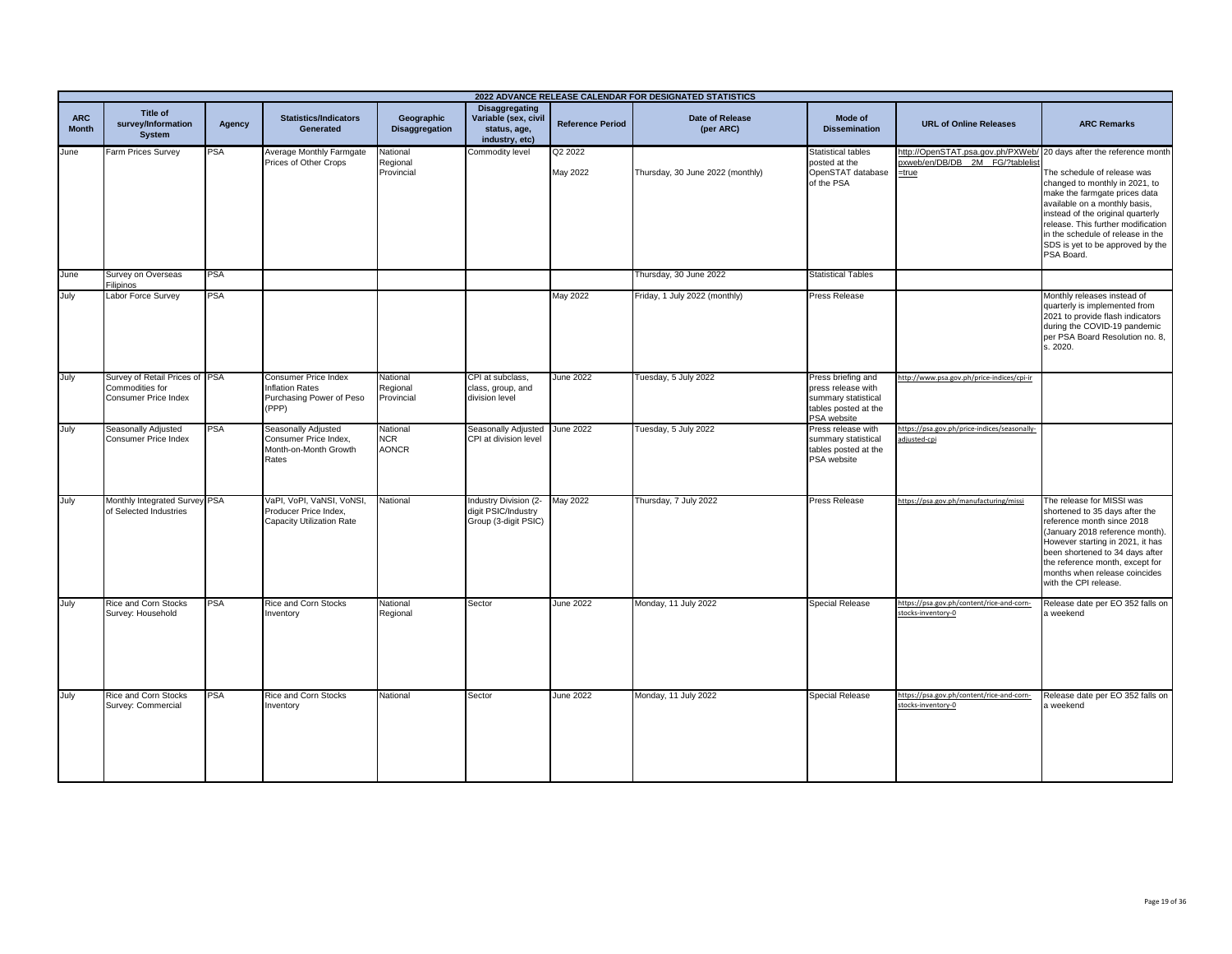|                            | 2022 ADVANCE RELEASE CALENDAR FOR DESIGNATED STATISTICS                   |            |                                                                                 |                                     |                                                                                 |                         |                                  |                                                                                                        |                                                                                                                    |                                                                                                                                                                                                                                                                                                   |
|----------------------------|---------------------------------------------------------------------------|------------|---------------------------------------------------------------------------------|-------------------------------------|---------------------------------------------------------------------------------|-------------------------|----------------------------------|--------------------------------------------------------------------------------------------------------|--------------------------------------------------------------------------------------------------------------------|---------------------------------------------------------------------------------------------------------------------------------------------------------------------------------------------------------------------------------------------------------------------------------------------------|
| <b>ARC</b><br><b>Month</b> | Title of<br>survey/Information<br><b>System</b>                           | Agency     | <b>Statistics/Indicators</b><br>Generated                                       | Geographic<br><b>Disaggregation</b> | <b>Disaggregating</b><br>Variable (sex, civil<br>status, age,<br>industry, etc) | <b>Reference Period</b> | Date of Release<br>(per ARC)     | Mode of<br><b>Dissemination</b>                                                                        | <b>URL of Online Releases</b>                                                                                      | <b>ARC Remarks</b>                                                                                                                                                                                                                                                                                |
| June                       | Farm Prices Survey                                                        | <b>PSA</b> | Average Monthly Farmgate<br>Prices of Other Crops                               | National<br>Regional<br>Provincial  | Commodity level                                                                 | Q2 2022<br>May 2022     | Thursday, 30 June 2022 (monthly) | <b>Statistical tables</b><br>posted at the<br>OpenSTAT database<br>of the PSA                          | http://OpenSTAT.psa.gov.ph/PXWeb/ 20 days after the reference month<br>oxweb/en/DB/DB 2M FG/?tablelist<br>$=$ true | The schedule of release was<br>changed to monthly in 2021, to<br>make the farmgate prices data<br>available on a monthly basis,<br>instead of the original quarterly<br>release. This further modification<br>in the schedule of release in the<br>SDS is yet to be approved by the<br>PSA Board. |
| June                       | Survey on Overseas<br><b>Filipinos</b>                                    | <b>PSA</b> |                                                                                 |                                     |                                                                                 |                         | Thursday, 30 June 2022           | <b>Statistical Tables</b>                                                                              |                                                                                                                    |                                                                                                                                                                                                                                                                                                   |
| July                       | Labor Force Survey                                                        | PSA        |                                                                                 |                                     |                                                                                 | May 2022                | Friday, 1 July 2022 (monthly)    | Press Release                                                                                          |                                                                                                                    | Monthly releases instead of<br>quarterly is implemented from<br>2021 to provide flash indicators<br>during the COVID-19 pandemic<br>per PSA Board Resolution no. 8,<br>s. 2020.                                                                                                                   |
| July                       | Survey of Retail Prices of PSA<br>Commodities for<br>Consumer Price Index |            | Consumer Price Index<br>Inflation Rates<br>Purchasing Power of Peso<br>(PPP)    | National<br>Regional<br>Provincial  | CPI at subclass.<br>class, group, and<br>division level                         | <b>June 2022</b>        | Tuesday, 5 July 2022             | Press briefing and<br>press release with<br>summary statistical<br>tables posted at the<br>PSA website | http://www.psa.gov.ph/price-indices/cpi-ir                                                                         |                                                                                                                                                                                                                                                                                                   |
| July                       | Seasonally Adjusted<br>Consumer Price Index                               | <b>PSA</b> | Seasonally Adjusted<br>Consumer Price Index.<br>Month-on-Month Growth<br>Rates  | National<br>NCR.<br><b>AONCR</b>    | Seasonally Adjusted June 2022<br>CPI at division level                          |                         | Tuesday, 5 July 2022             | Press release with<br>summary statistical<br>tables posted at the<br>PSA website                       | https://psa.gov.ph/price-indices/seasonally-<br>adjusted-cpi                                                       |                                                                                                                                                                                                                                                                                                   |
| July                       | Monthly Integrated Survey PSA<br>of Selected Industries                   |            | VaPI, VoPI, VaNSI, VoNSI,<br>Producer Price Index,<br>Capacity Utilization Rate | National                            | Industry Division (2-<br>digit PSIC/Industry<br>Group (3-digit PSIC)            | May 2022                | Thursday, 7 July 2022            | Press Release                                                                                          | https://psa.gov.ph/manufacturing/missi                                                                             | The release for MISSI was<br>shortened to 35 days after the<br>reference month since 2018<br>(January 2018 reference month).<br>However starting in 2021, it has<br>been shortened to 34 days after<br>the reference month, except for<br>months when release coincides<br>with the CPI release.  |
| July                       | <b>Rice and Corn Stocks</b><br>Survey: Household                          | <b>PSA</b> | Rice and Corn Stocks<br>nventory                                                | National<br>Regional                | Sector                                                                          | <b>June 2022</b>        | Monday, 11 July 2022             | <b>Special Release</b>                                                                                 | https://psa.gov.ph/content/rice-and-corn-<br>tocks-inventory-0                                                     | Release date per EO 352 falls on<br>a weekend                                                                                                                                                                                                                                                     |
| July                       | <b>Rice and Corn Stocks</b><br>Survey: Commercial                         | PSA        | Rice and Corn Stocks<br>nventory                                                | National                            | Sector                                                                          | <b>June 2022</b>        | Monday, 11 July 2022             | Special Release                                                                                        | https://psa.gov.ph/content/rice-and-corn-<br>stocks-inventory-0                                                    | Release date per EO 352 falls on<br>a weekend                                                                                                                                                                                                                                                     |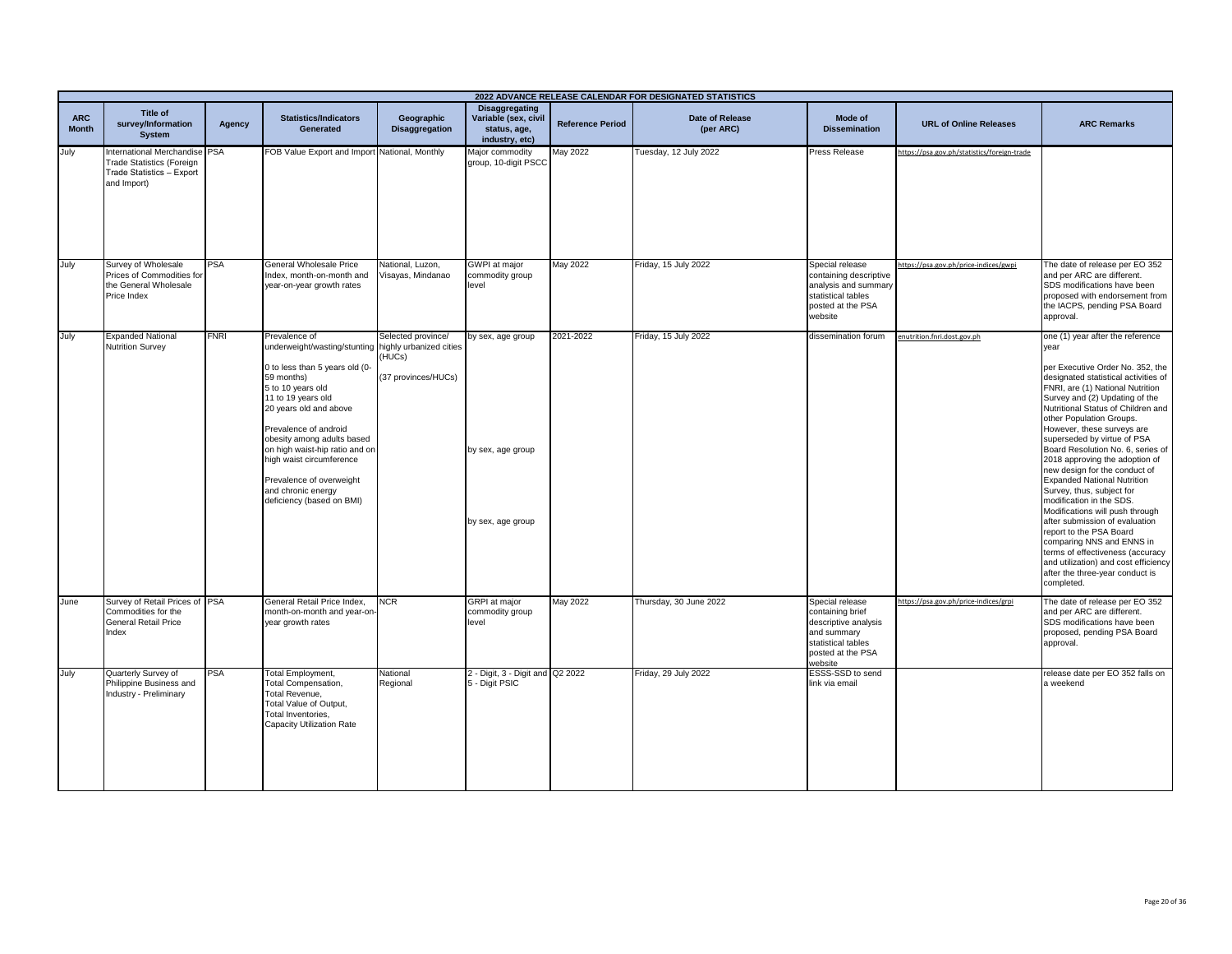|                            | 2022 ADVANCE RELEASE CALENDAR FOR DESIGNATED STATISTICS                                                       |             |                                                                                                                                                                                                                                                                                                                                                                                                |                                                     |                                                                                 |                         |                              |                                                                                                                                  |                                             |                                                                                                                                                                                                                                                                                                                                                                                                                                                                                                                                                                                                                                                                                                                                                                                            |
|----------------------------|---------------------------------------------------------------------------------------------------------------|-------------|------------------------------------------------------------------------------------------------------------------------------------------------------------------------------------------------------------------------------------------------------------------------------------------------------------------------------------------------------------------------------------------------|-----------------------------------------------------|---------------------------------------------------------------------------------|-------------------------|------------------------------|----------------------------------------------------------------------------------------------------------------------------------|---------------------------------------------|--------------------------------------------------------------------------------------------------------------------------------------------------------------------------------------------------------------------------------------------------------------------------------------------------------------------------------------------------------------------------------------------------------------------------------------------------------------------------------------------------------------------------------------------------------------------------------------------------------------------------------------------------------------------------------------------------------------------------------------------------------------------------------------------|
| <b>ARC</b><br><b>Month</b> | <b>Title of</b><br>survey/Information<br><b>System</b>                                                        | Agency      | <b>Statistics/Indicators</b><br>Generated                                                                                                                                                                                                                                                                                                                                                      | Geographic<br><b>Disaggregation</b>                 | <b>Disaggregating</b><br>Variable (sex, civil<br>status, age,<br>industry, etc) | <b>Reference Period</b> | Date of Release<br>(per ARC) | Mode of<br><b>Dissemination</b>                                                                                                  | <b>URL of Online Releases</b>               | <b>ARC Remarks</b>                                                                                                                                                                                                                                                                                                                                                                                                                                                                                                                                                                                                                                                                                                                                                                         |
| July                       | International Merchandise PSA<br><b>Trade Statistics (Foreign</b><br>Trade Statistics - Export<br>and Import) |             | FOB Value Export and Import National, Monthly                                                                                                                                                                                                                                                                                                                                                  |                                                     | Major commodity<br>group, 10-digit PSCC                                         | May 2022                | Tuesday, 12 July 2022        | Press Release                                                                                                                    | https://psa.gov.ph/statistics/foreign-trade |                                                                                                                                                                                                                                                                                                                                                                                                                                                                                                                                                                                                                                                                                                                                                                                            |
| July                       | Survey of Wholesale<br>Prices of Commodities for<br>the General Wholesale<br>Price Index                      | <b>PSA</b>  | General Wholesale Price<br>ndex, month-on-month and<br>year-on-year growth rates                                                                                                                                                                                                                                                                                                               | National, Luzon,<br>Visayas, Mindanao               | GWPI at major<br>commodity group<br>level                                       | May 2022                | Friday, 15 July 2022         | Special release<br>containing descriptive<br>analysis and summary<br>statistical tables<br>posted at the PSA<br>website          | https://psa.gov.ph/price-indices/gwpi       | The date of release per EO 352<br>and per ARC are different.<br>SDS modifications have been<br>proposed with endorsement from<br>the IACPS, pending PSA Board<br>approval.                                                                                                                                                                                                                                                                                                                                                                                                                                                                                                                                                                                                                 |
| July                       | <b>Expanded National</b><br><b>Nutrition Survey</b>                                                           | <b>FNRI</b> | Prevalence of<br>underweight/wasting/stunting highly urbanized cities<br>0 to less than 5 years old (0-<br>59 months)<br>5 to 10 years old<br>11 to 19 years old<br>20 years old and above<br>Prevalence of android<br>obesity among adults based<br>on high waist-hip ratio and on<br>high waist circumference<br>Prevalence of overweight<br>and chronic energy<br>deficiency (based on BMI) | Selected province/<br>(HUCs)<br>(37 provinces/HUCs) | by sex, age group<br>by sex, age group<br>by sex, age group                     | 2021-2022               | Friday, 15 July 2022         | dissemination forum                                                                                                              | enutrition.fnri.dost.gov.ph                 | one (1) year after the reference<br>year<br>per Executive Order No. 352, the<br>designated statistical activities of<br>FNRI, are (1) National Nutrition<br>Survey and (2) Updating of the<br>Nutritional Status of Children and<br>other Population Groups.<br>However, these surveys are<br>superseded by virtue of PSA<br>Board Resolution No. 6, series of<br>2018 approving the adoption of<br>new design for the conduct of<br><b>Expanded National Nutrition</b><br>Survey, thus, subject for<br>modification in the SDS.<br>Modifications will push through<br>after submission of evaluation<br>report to the PSA Board<br>comparing NNS and ENNS in<br>terms of effectiveness (accuracy<br>and utilization) and cost efficiency<br>after the three-year conduct is<br>completed. |
| June                       | Survey of Retail Prices of PSA<br>Commodities for the<br><b>General Retail Price</b><br>Index                 |             | General Retail Price Index,<br>month-on-month and year-on<br>year growth rates                                                                                                                                                                                                                                                                                                                 | $\overline{\text{NCR}}$                             | <b>GRPI</b> at major<br>commodity group<br>level                                | May 2022                | Thursday, 30 June 2022       | Special release<br>containing brief<br>descriptive analysis<br>and summary<br>statistical tables<br>posted at the PSA<br>website | https://psa.gov.ph/price-indices/grpi       | The date of release per EO 352<br>and per ARC are different.<br>SDS modifications have been<br>proposed, pending PSA Board<br>approval.                                                                                                                                                                                                                                                                                                                                                                                                                                                                                                                                                                                                                                                    |
| July                       | Quarterly Survey of<br>Philippine Business and<br>Industry - Preliminary                                      | <b>PSA</b>  | <b>Total Employment,</b><br><b>Total Compensation,</b><br>Total Revenue.<br>Total Value of Output,<br>Total Inventories,<br>Capacity Utilization Rate                                                                                                                                                                                                                                          | National<br>Regional                                | 2 - Digit, 3 - Digit and Q2 2022<br>5 - Digit PSIC                              |                         | Friday, 29 July 2022         | ESSS-SSD to send<br>link via email                                                                                               |                                             | release date per EO 352 falls on<br>a weekend                                                                                                                                                                                                                                                                                                                                                                                                                                                                                                                                                                                                                                                                                                                                              |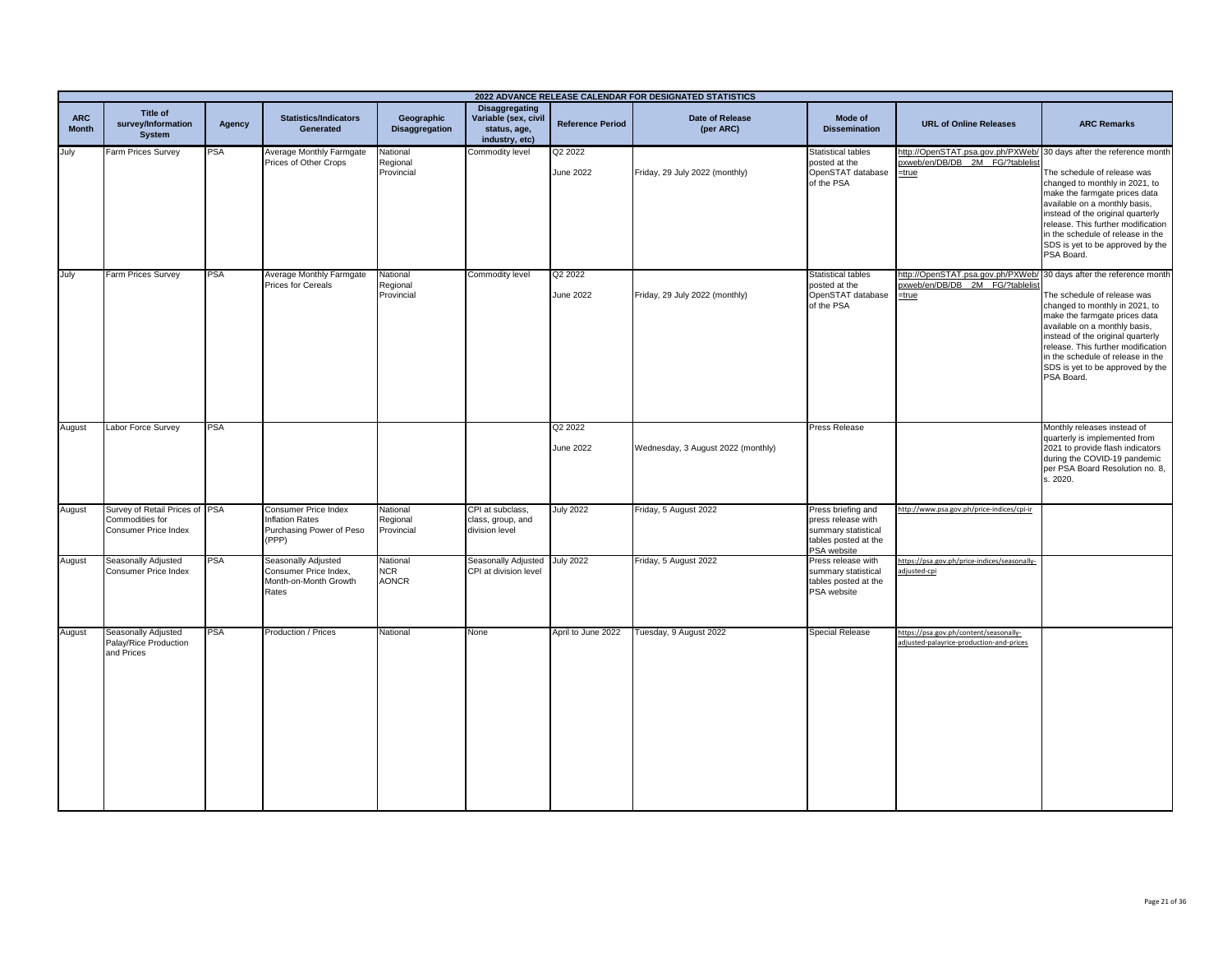|                            |                                                                           |            |                                                                                |                                        |                                                                                 |                             | 2022 ADVANCE RELEASE CALENDAR FOR DESIGNATED STATISTICS |                                                                                                        |                                                                                                                    |                                                                                                                                                                                                                                                                                                   |
|----------------------------|---------------------------------------------------------------------------|------------|--------------------------------------------------------------------------------|----------------------------------------|---------------------------------------------------------------------------------|-----------------------------|---------------------------------------------------------|--------------------------------------------------------------------------------------------------------|--------------------------------------------------------------------------------------------------------------------|---------------------------------------------------------------------------------------------------------------------------------------------------------------------------------------------------------------------------------------------------------------------------------------------------|
| <b>ARC</b><br><b>Month</b> | Title of<br>survey/Information<br><b>System</b>                           | Agency     | <b>Statistics/Indicators</b><br><b>Generated</b>                               | Geographic<br><b>Disaggregation</b>    | <b>Disaggregating</b><br>Variable (sex, civil<br>status, age,<br>industry, etc) | <b>Reference Period</b>     | Date of Release<br>(per ARC)                            | Mode of<br><b>Dissemination</b>                                                                        | <b>URL of Online Releases</b>                                                                                      | <b>ARC Remarks</b>                                                                                                                                                                                                                                                                                |
| July                       | Farm Prices Survey                                                        | <b>PSA</b> | Average Monthly Farmgate<br>Prices of Other Crops                              | National<br>Regional<br>Provincial     | Commodity level                                                                 | Q2 2022<br>June 2022        | Friday, 29 July 2022 (monthly)                          | Statistical tables<br>posted at the<br>OpenSTAT database<br>of the PSA                                 | http://OpenSTAT.psa.gov.ph/PXWeb/ 30 days after the reference month<br>pxweb/en/DB/DB_2M_FG/?tablelist<br>$=$ true | The schedule of release was<br>changed to monthly in 2021, to<br>make the farmgate prices data<br>available on a monthly basis,<br>instead of the original quarterly<br>release. This further modification<br>in the schedule of release in the<br>SDS is yet to be approved by the<br>PSA Board. |
| July                       | Farm Prices Survey                                                        | <b>PSA</b> | Average Monthly Farmgate<br><b>Prices for Cereals</b>                          | National<br>Regional<br>Provincial     | Commodity level                                                                 | Q2 2022<br><b>June 2022</b> | Friday, 29 July 2022 (monthly)                          | Statistical tables<br>posted at the<br>OpenSTAT database<br>of the PSA                                 | http://OpenSTAT.psa.gov.ph/PXWeb/ 30 days after the reference month pxweb/en/DB/DB_2M_FG/?tablelist<br>$=$ true    | The schedule of release was<br>changed to monthly in 2021, to<br>make the farmgate prices data<br>available on a monthly basis,<br>instead of the original quarterly<br>release. This further modification<br>in the schedule of release in the<br>SDS is yet to be approved by the<br>PSA Board. |
| August                     | Labor Force Survey                                                        | <b>PSA</b> |                                                                                |                                        |                                                                                 | Q2 2022<br><b>June 2022</b> | Wednesday, 3 August 2022 (monthly)                      | Press Release                                                                                          |                                                                                                                    | Monthly releases instead of<br>quarterly is implemented from<br>2021 to provide flash indicators<br>during the COVID-19 pandemic<br>per PSA Board Resolution no. 8,<br>s. 2020.                                                                                                                   |
| August                     | Survey of Retail Prices of PSA<br>Commodities for<br>Consumer Price Index |            | Consumer Price Index<br>Inflation Rates<br>Purchasing Power of Peso<br>(PPP)   | National<br>Regional<br>Provincial     | CPI at subclass,<br>class, group, and<br>division level                         | <b>July 2022</b>            | Friday, 5 August 2022                                   | Press briefing and<br>press release with<br>summary statistical<br>tables posted at the<br>PSA website | http://www.psa.gov.ph/price-indices/cpi-ir                                                                         |                                                                                                                                                                                                                                                                                                   |
| August                     | Seasonally Adjusted<br>Consumer Price Index                               | PSA        | Seasonally Adjusted<br>Consumer Price Index,<br>Month-on-Month Growth<br>Rates | National<br><b>NCR</b><br><b>AONCR</b> | Seasonally Adjusted July 2022<br>CPI at division level                          |                             | Friday, 5 August 2022                                   | Press release with<br>summary statistical<br>tables posted at the<br>PSA website                       | https://psa.gov.ph/price-indices/seasonally-<br>adjusted-cpi                                                       |                                                                                                                                                                                                                                                                                                   |
| August                     | Seasonally Adjusted<br>Palay/Rice Production<br>and Prices                | PSA        | Production / Prices                                                            | National                               | None                                                                            | April to June 2022          | Tuesday, 9 August 2022                                  | Special Release                                                                                        | https://psa.gov.ph/content/seasonally-<br>adjusted-palayrice-production-and-prices                                 |                                                                                                                                                                                                                                                                                                   |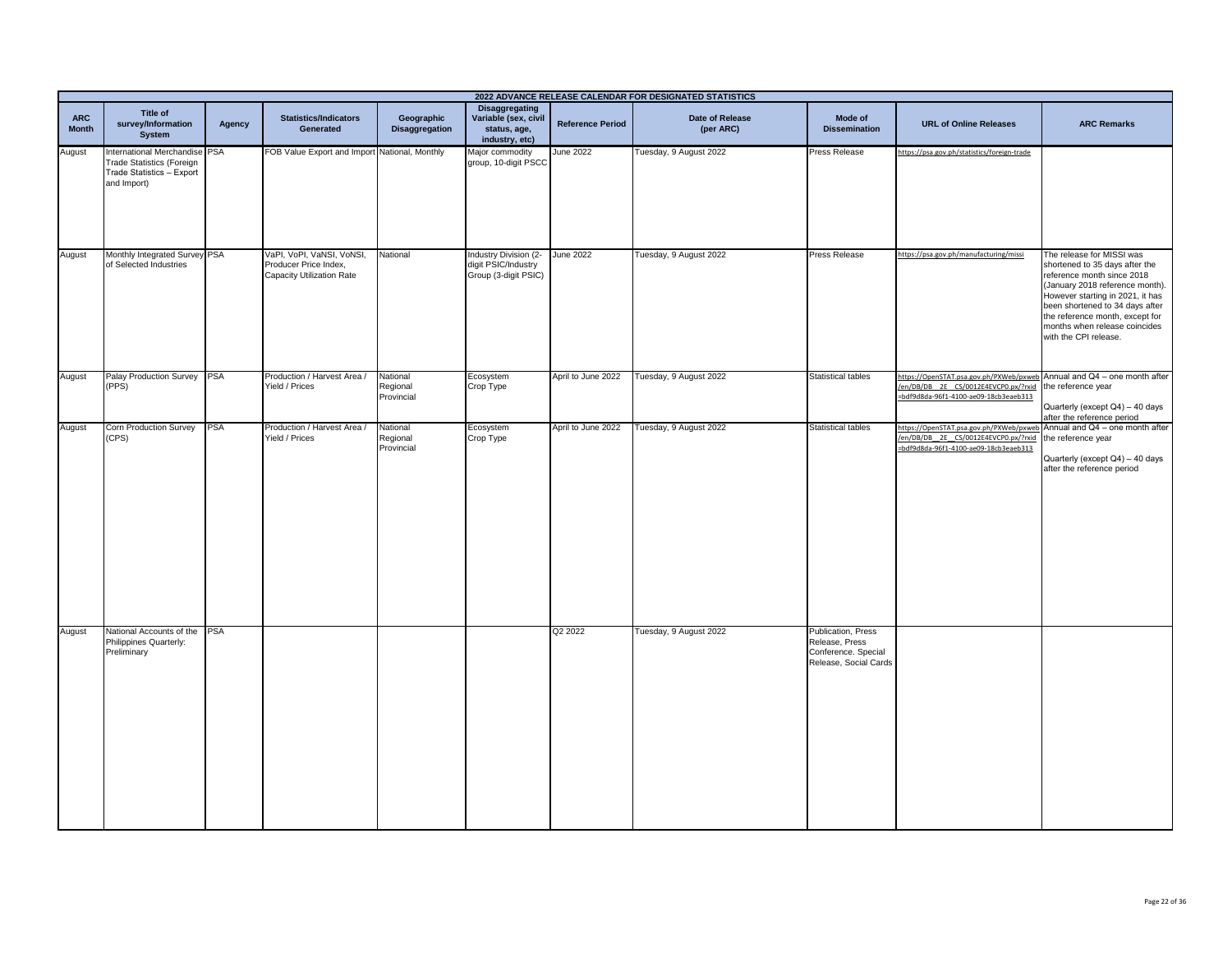| 2022 ADVANCE RELEASE CALENDAR FOR DESIGNATED STATISTICS |                                                                                                              |        |                                                                                 |                                    |                                                                          |                         |                              |                                                                                      |                                                                                                                                                                             |                                                                                                                                                                                                                                                                                                  |
|---------------------------------------------------------|--------------------------------------------------------------------------------------------------------------|--------|---------------------------------------------------------------------------------|------------------------------------|--------------------------------------------------------------------------|-------------------------|------------------------------|--------------------------------------------------------------------------------------|-----------------------------------------------------------------------------------------------------------------------------------------------------------------------------|--------------------------------------------------------------------------------------------------------------------------------------------------------------------------------------------------------------------------------------------------------------------------------------------------|
| <b>ARC</b><br><b>Month</b>                              | Title of<br>survey/Information<br><b>System</b>                                                              | Agency | <b>Statistics/Indicators</b><br>Generated                                       | Geographic<br>Disaggregation       | Disaggregating<br>Variable (sex, civil<br>status, age,<br>industry, etc) | <b>Reference Period</b> | Date of Release<br>(per ARC) | Mode of<br><b>Dissemination</b>                                                      | <b>URL of Online Releases</b>                                                                                                                                               | <b>ARC Remarks</b>                                                                                                                                                                                                                                                                               |
| August                                                  | nternational Merchandise PSA<br><b>Trade Statistics (Foreign</b><br>Trade Statistics - Export<br>and Import) |        | FOB Value Export and Import National, Monthly                                   |                                    | Major commodity<br>group, 10-digit PSCC                                  | <b>June 2022</b>        | Tuesday, 9 August 2022       | Press Release                                                                        | https://psa.gov.ph/statistics/foreign-trade                                                                                                                                 |                                                                                                                                                                                                                                                                                                  |
| August                                                  | Monthly Integrated Survey PSA<br>of Selected Industries                                                      |        | VaPI, VoPI, VaNSI, VoNSI,<br>Producer Price Index,<br>Capacity Utilization Rate | National                           | Industry Division (2-<br>digit PSIC/Industry<br>Group (3-digit PSIC)     | <b>June 2022</b>        | Tuesday, 9 August 2022       | Press Release                                                                        | https://psa.gov.ph/manufacturing/missi                                                                                                                                      | The release for MISSI was<br>shortened to 35 days after the<br>reference month since 2018<br>(January 2018 reference month).<br>However starting in 2021, it has<br>been shortened to 34 days after<br>the reference month, except for<br>months when release coincides<br>with the CPI release. |
| August                                                  | Palay Production Survey PSA<br>(PPS)                                                                         |        | Production / Harvest Area /<br>Yield / Prices                                   | National<br>Regional<br>Provincial | Ecosystem<br>Crop Type                                                   | April to June 2022      | Tuesday, 9 August 2022       | <b>Statistical tables</b>                                                            | https://OpenSTAT.psa.gov.ph/PXWeb/pxweb Annual and Q4 - one month after<br>/en/DB/DB_2E_CS/0012E4EVCP0.px/?rxid the reference year<br>=bdf9d8da-96f1-4100-ae09-18cb3eaeb313 | Quarterly (except Q4) - 40 days<br>after the reference period                                                                                                                                                                                                                                    |
| August                                                  | Corn Production Survey<br>CPS)                                                                               | PSA    | Production / Harvest Area /<br>Yield / Prices                                   | National<br>Regional<br>Provincial | Ecosystem<br>Crop Type                                                   | April to June 2022      | Tuesday, 9 August 2022       | Statistical tables                                                                   | https://OpenSTAT.psa.gov.ph/PXWeb/pxweb Annual and Q4 - one month after<br>en/DB/DB_2E_CS/0012E4EVCP0.px/?rxid<br>=bdf9d8da-96f1-4100-ae09-18cb3eaeb313                     | the reference year<br>Quarterly (except Q4) - 40 days<br>after the reference period                                                                                                                                                                                                              |
| August                                                  | National Accounts of the PSA<br>Philippines Quarterly:<br>Preliminary                                        |        |                                                                                 |                                    |                                                                          | Q2 2022                 | Tuesday, 9 August 2022       | Publication, Press<br>Release, Press<br>Conference. Special<br>Release, Social Cards |                                                                                                                                                                             |                                                                                                                                                                                                                                                                                                  |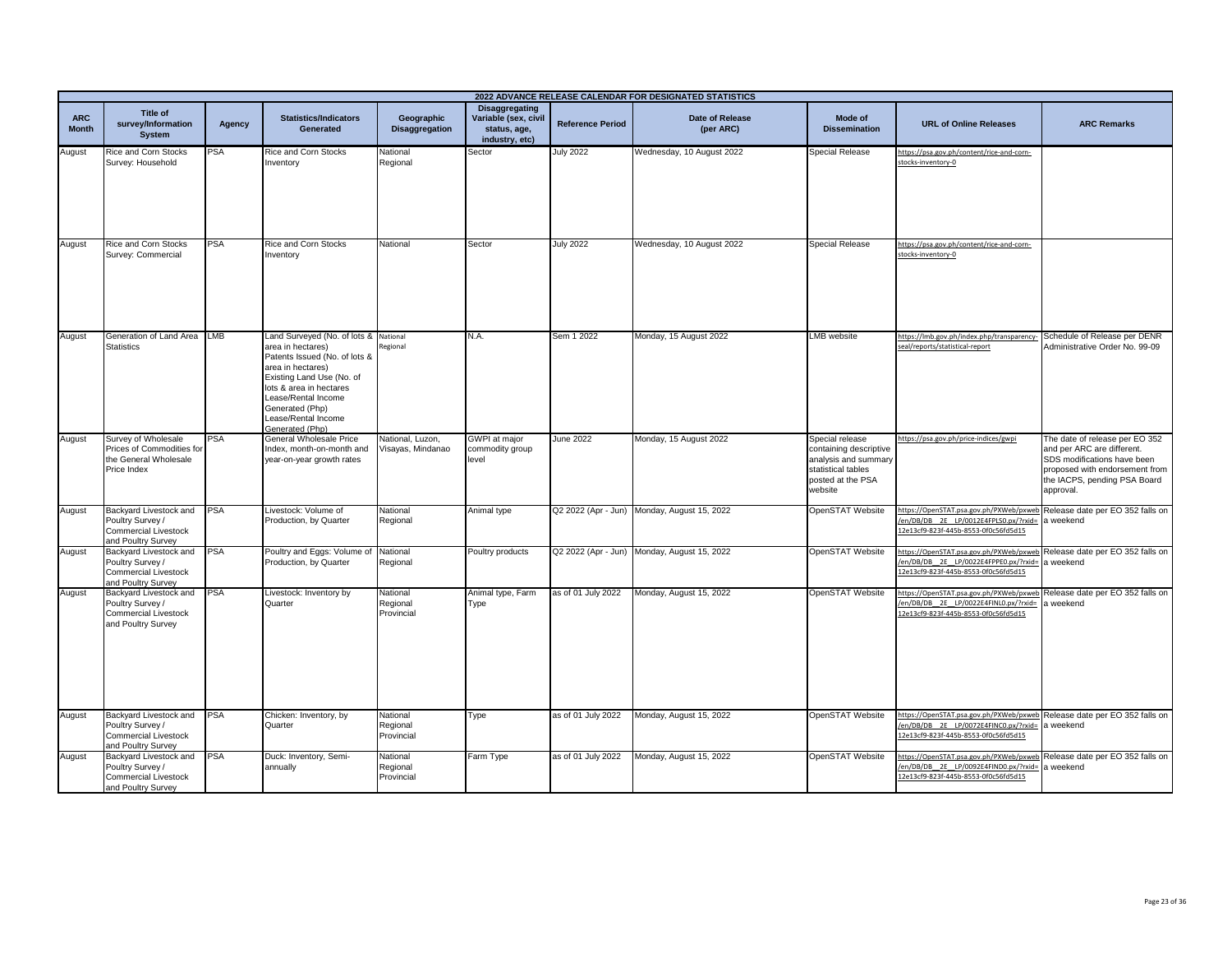|                            | 2022 ADVANCE RELEASE CALENDAR FOR DESIGNATED STATISTICS                                         |            |                                                                                                                                                                                                                                                              |                                       |                                                                                 |                         |                                             |                                                                                                                         |                                                                                                                                                                   |                                                                                                                                                                            |
|----------------------------|-------------------------------------------------------------------------------------------------|------------|--------------------------------------------------------------------------------------------------------------------------------------------------------------------------------------------------------------------------------------------------------------|---------------------------------------|---------------------------------------------------------------------------------|-------------------------|---------------------------------------------|-------------------------------------------------------------------------------------------------------------------------|-------------------------------------------------------------------------------------------------------------------------------------------------------------------|----------------------------------------------------------------------------------------------------------------------------------------------------------------------------|
| <b>ARC</b><br><b>Month</b> | Title of<br>survey/Information<br><b>System</b>                                                 | Agency     | <b>Statistics/Indicators</b><br>Generated                                                                                                                                                                                                                    | Geographic<br><b>Disaggregation</b>   | <b>Disaggregating</b><br>Variable (sex, civil<br>status, age,<br>industry, etc) | <b>Reference Period</b> | Date of Release<br>(per ARC)                | Mode of<br><b>Dissemination</b>                                                                                         | <b>URL of Online Releases</b>                                                                                                                                     | <b>ARC Remarks</b>                                                                                                                                                         |
| August                     | Rice and Corn Stocks<br>Survey: Household                                                       | <b>PSA</b> | Rice and Corn Stocks<br>Inventory                                                                                                                                                                                                                            | National<br>Regional                  | Sector                                                                          | <b>July 2022</b>        | Wednesday, 10 August 2022                   | Special Release                                                                                                         | https://psa.gov.ph/content/rice-and-corn-<br>stocks-inventory-0                                                                                                   |                                                                                                                                                                            |
| August                     | Rice and Corn Stocks<br>Survey: Commercial                                                      | <b>PSA</b> | <b>Rice and Corn Stocks</b><br>Inventory                                                                                                                                                                                                                     | National                              | Sector                                                                          | <b>July 2022</b>        | Wednesday, 10 August 2022                   | <b>Special Release</b>                                                                                                  | https://psa.gov.ph/content/rice-and-corn-<br>stocks-inventory-0                                                                                                   |                                                                                                                                                                            |
| August                     | Generation of Land Area LMB<br><b>Statistics</b>                                                |            | Land Surveyed (No. of lots & National<br>area in hectares)<br>Patents Issued (No. of lots &<br>area in hectares)<br>Existing Land Use (No. of<br>lots & area in hectares<br>Lease/Rental Income<br>Generated (Php)<br>Lease/Rental Income<br>Generated (Php) | Regional                              | N.A.                                                                            | Sem 1 2022              | Monday, 15 August 2022                      | <b>LMB</b> website                                                                                                      | https://lmb.gov.ph/index.php/transparency<br>seal/reports/statistical-report                                                                                      | Schedule of Release per DENR<br>Administrative Order No. 99-09                                                                                                             |
| August                     | Survey of Wholesale<br>Prices of Commodities for<br>he General Wholesale<br>Price Index         | PSA        | General Wholesale Price<br>Index, month-on-month and<br>year-on-year growth rates                                                                                                                                                                            | Vational, Luzon,<br>Visayas, Mindanao | <b>GWPI</b> at major<br>commodity group<br>level                                | June 2022               | Monday, 15 August 2022                      | Special release<br>containing descriptive<br>analysis and summary<br>statistical tables<br>posted at the PSA<br>website | https://psa.gov.ph/price-indices/gwpi                                                                                                                             | The date of release per EO 352<br>and per ARC are different.<br>SDS modifications have been<br>proposed with endorsement from<br>the IACPS, pending PSA Board<br>approval. |
| August                     | Backyard Livestock and<br>Poultry Survey /<br><b>Commercial Livestock</b><br>and Poultry Survey | <b>PSA</b> | Livestock: Volume of<br>Production, by Quarter                                                                                                                                                                                                               | National<br>Regional                  | Animal type                                                                     |                         | Q2 2022 (Apr - Jun) Monday, August 15, 2022 | OpenSTAT Website                                                                                                        | https://OpenSTAT.psa.gov.ph/PXWeb/pxweb<br>en/DB/DB_2E_LP/0012E4FPLS0.px/?rxid=<br>2e13cf9-823f-445b-8553-0f0c56fd5d15                                            | Release date per EO 352 falls on<br>a weekend                                                                                                                              |
| August                     | Backyard Livestock and<br>Poultry Survey /<br>Commercial Livestock<br>and Poultry Survey        | <b>PSA</b> | Poultry and Eggs: Volume of<br>Production, by Quarter                                                                                                                                                                                                        | National<br>Regional                  | Poultry products                                                                |                         | Q2 2022 (Apr - Jun) Monday, August 15, 2022 | OpenSTAT Website                                                                                                        | https://OpenSTAT.psa.gov.ph/PXWeb/pxweb<br>en/DB/DB 2E LP/0022E4FPPE0.px/?rxid=<br>2e13cf9-823f-445b-8553-0f0c56fd5d15                                            | Release date per EO 352 falls on<br>a weekend                                                                                                                              |
| August                     | Backyard Livestock and<br>Poultry Survey /<br><b>Commercial Livestock</b><br>and Poultry Survey | <b>PSA</b> | Livestock: Inventory by<br>Quarter                                                                                                                                                                                                                           | National<br>Regional<br>Provincial    | Animal type, Farm<br>Type                                                       | as of 01 July 2022      | Monday, August 15, 2022                     | OpenSTAT Website                                                                                                        | https://OpenSTAT.psa.gov.ph/PXWeb/pxweb Release date per EO 352 falls on<br>en/DB/DB_2E_LP/0022E4FINL0.px/?rxid=<br>2e13cf9-823f-445b-8553-0f0c56fd5d15           | a weekend                                                                                                                                                                  |
| August                     | Backyard Livestock and<br>Poultry Survey /<br><b>Commercial Livestock</b><br>and Poultry Survey | <b>PSA</b> | Chicken: Inventory, by<br>Quarter                                                                                                                                                                                                                            | National<br>Regional<br>Provincial    | Type                                                                            | as of 01 July 2022      | Monday, August 15, 2022                     | OpenSTAT Website                                                                                                        | https://OpenSTAT.psa.gov.ph/PXWeb/pxweb Release date per EO 352 falls on<br>en/DB/DB_2E_LP/0072E4FINC0.px/?rxid= a weekend<br>2e13cf9-823f-445b-8553-0f0c56fd5d15 |                                                                                                                                                                            |
| August                     | Backyard Livestock and<br>Poultry Survey /<br><b>Commercial Livestock</b><br>and Poultry Survey | PSA        | Duck: Inventory, Semi-<br>annually                                                                                                                                                                                                                           | National<br>Regional<br>Provincial    | Farm Type                                                                       | as of 01 July 2022      | Monday, August 15, 2022                     | OpenSTAT Website                                                                                                        | https://OpenSTAT.psa.gov.ph/PXWeb/pxweb<br>en/DB/DB 2E LP/0092E4FIND0.px/?rxid= a weekend<br>2e13cf9-823f-445b-8553-0f0c56fd5d15                                  | Release date per EO 352 falls on                                                                                                                                           |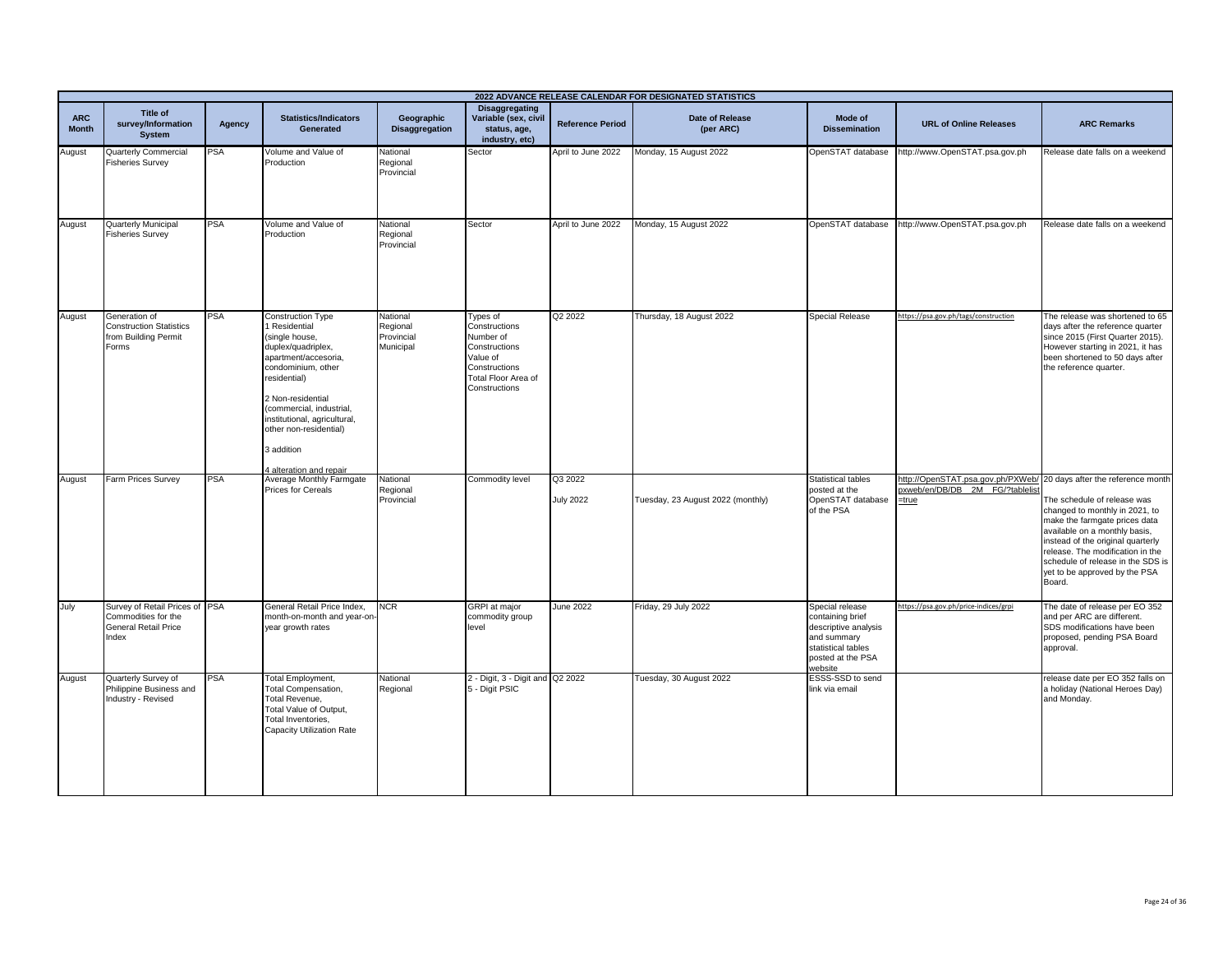|                            |                                                                                               |            |                                                                                                                                                                                                                                                                                                   |                                                 |                                                                                                                              |                             | 2022 ADVANCE RELEASE CALENDAR FOR DESIGNATED STATISTICS |                                                                                                                                  |                                                                                                                    |                                                                                                                                                                                                                                                                                          |
|----------------------------|-----------------------------------------------------------------------------------------------|------------|---------------------------------------------------------------------------------------------------------------------------------------------------------------------------------------------------------------------------------------------------------------------------------------------------|-------------------------------------------------|------------------------------------------------------------------------------------------------------------------------------|-----------------------------|---------------------------------------------------------|----------------------------------------------------------------------------------------------------------------------------------|--------------------------------------------------------------------------------------------------------------------|------------------------------------------------------------------------------------------------------------------------------------------------------------------------------------------------------------------------------------------------------------------------------------------|
| <b>ARC</b><br><b>Month</b> | Title of<br>survey/Information<br><b>System</b>                                               | Agency     | <b>Statistics/Indicators</b><br>Generated                                                                                                                                                                                                                                                         | Geographic<br><b>Disaggregation</b>             | <b>Disaggregating</b><br>Variable (sex, civil<br>status, age,<br>industry, etc)                                              | <b>Reference Period</b>     | <b>Date of Release</b><br>(per ARC)                     | Mode of<br><b>Dissemination</b>                                                                                                  | <b>URL of Online Releases</b>                                                                                      | <b>ARC Remarks</b>                                                                                                                                                                                                                                                                       |
| August                     | Quarterly Commercial<br><b>Fisheries Survey</b>                                               | <b>PSA</b> | Volume and Value of<br>Production                                                                                                                                                                                                                                                                 | National<br>Regional<br>Provincial              | Sector                                                                                                                       | April to June 2022          | Monday, 15 August 2022                                  | OpenSTAT database                                                                                                                | http://www.OpenSTAT.psa.gov.ph                                                                                     | Release date falls on a weekend                                                                                                                                                                                                                                                          |
| August                     | Quarterly Municipal<br><b>Fisheries Survey</b>                                                | PSA        | Volume and Value of<br>Production                                                                                                                                                                                                                                                                 | National<br>Regional<br>Provincial              | Sector                                                                                                                       | April to June 2022          | Monday, 15 August 2022                                  | OpenSTAT database                                                                                                                | http://www.OpenSTAT.psa.gov.ph                                                                                     | Release date falls on a weekend                                                                                                                                                                                                                                                          |
| August                     | Generation of<br><b>Construction Statistics</b><br>from Building Permit<br>Forms              | PSA        | <b>Construction Type</b><br>Residential<br>(single house,<br>duplex/quadriplex,<br>apartment/accesoria,<br>condominium, other<br>residential)<br>2 Non-residential<br>(commercial, industrial,<br>institutional, agricultural,<br>other non-residential)<br>3 addition<br>4 alteration and repair | National<br>Regional<br>Provincial<br>Municipal | Types of<br>Constructions<br>Number of<br>Constructions<br>Value of<br>Constructions<br>Total Floor Area of<br>Constructions | Q2 2022                     | Thursday, 18 August 2022                                | <b>Special Release</b>                                                                                                           | https://psa.gov.ph/tags/construction                                                                               | The release was shortened to 65<br>days after the reference quarter<br>since 2015 (First Quarter 2015).<br>However starting in 2021, it has<br>been shortened to 50 days after<br>the reference quarter.                                                                                 |
| August                     | Farm Prices Survey                                                                            | <b>PSA</b> | Average Monthly Farmgate<br><b>Prices for Cereals</b>                                                                                                                                                                                                                                             | National<br>Regional<br>Provincial              | Commodity level                                                                                                              | Q3 2022<br><b>July 2022</b> | Tuesday, 23 August 2022 (monthly)                       | <b>Statistical tables</b><br>posted at the<br>OpenSTAT database<br>of the PSA                                                    | http://OpenSTAT.psa.gov.ph/PXWeb/ 20 days after the reference month<br>pxweb/en/DB/DB 2M FG/?tablelist<br>$=$ true | The schedule of release was<br>changed to monthly in 2021, to<br>make the farmgate prices data<br>available on a monthly basis,<br>instead of the original quarterly<br>release. The modification in the<br>schedule of release in the SDS is<br>yet to be approved by the PSA<br>Board. |
| July                       | Survey of Retail Prices of PSA<br>Commodities for the<br><b>General Retail Price</b><br>Index |            | General Retail Price Index,<br>month-on-month and year-on<br>year growth rates                                                                                                                                                                                                                    | <b>NCR</b>                                      | <b>GRPI</b> at major<br>commodity group<br>level                                                                             | <b>June 2022</b>            | Friday, 29 July 2022                                    | Special release<br>containing brief<br>descriptive analysis<br>and summary<br>statistical tables<br>posted at the PSA<br>website | https://psa.gov.ph/price-indices/grpi                                                                              | The date of release per EO 352<br>and per ARC are different.<br>SDS modifications have been<br>proposed, pending PSA Board<br>approval.                                                                                                                                                  |
| August                     | Quarterly Survey of<br>Philippine Business and<br>Industry - Revised                          | PSA        | Total Employment,<br>Total Compensation,<br>Total Revenue,<br>Total Value of Output,<br>Total Inventories,<br>Capacity Utilization Rate                                                                                                                                                           | National<br>Regional                            | 2 - Digit, 3 - Digit and Q2 2022<br>5 - Digit PSIC                                                                           |                             | Tuesday, 30 August 2022                                 | ESSS-SSD to send<br>link via email                                                                                               |                                                                                                                    | release date per EO 352 falls on<br>a holiday (National Heroes Day)<br>and Monday.                                                                                                                                                                                                       |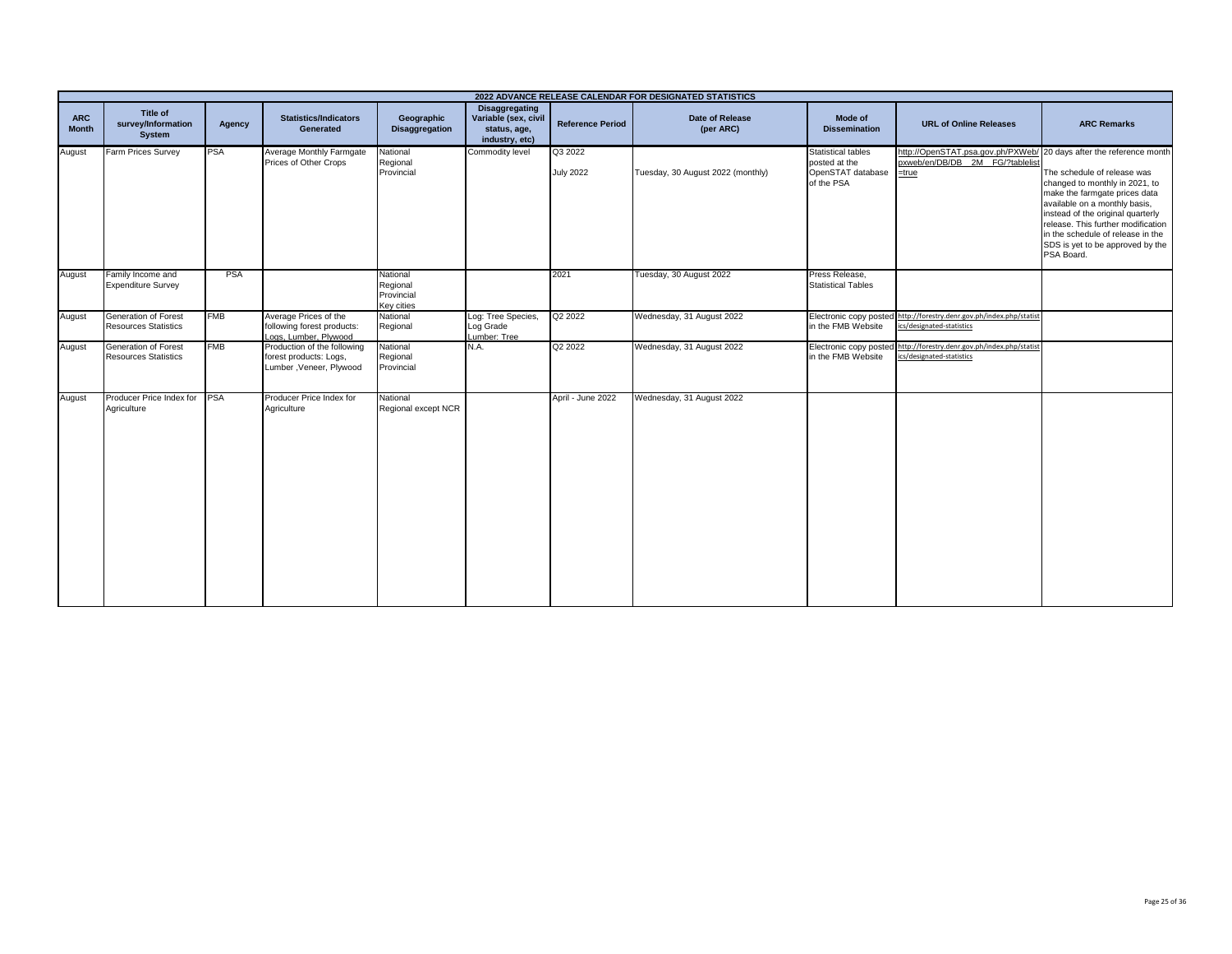|                            |                                                            |            |                                                                                  |                                                  |                                                                                 |                             | 2022 ADVANCE RELEASE CALENDAR FOR DESIGNATED STATISTICS |                                                                               |                                                                                                                    |                                                                                                                                                                                                                                                                                                   |
|----------------------------|------------------------------------------------------------|------------|----------------------------------------------------------------------------------|--------------------------------------------------|---------------------------------------------------------------------------------|-----------------------------|---------------------------------------------------------|-------------------------------------------------------------------------------|--------------------------------------------------------------------------------------------------------------------|---------------------------------------------------------------------------------------------------------------------------------------------------------------------------------------------------------------------------------------------------------------------------------------------------|
| <b>ARC</b><br><b>Month</b> | Title of<br>survey/Information<br><b>System</b>            | Agency     | <b>Statistics/Indicators</b><br><b>Generated</b>                                 | Geographic<br><b>Disaggregation</b>              | <b>Disaggregating</b><br>Variable (sex, civil<br>status, age,<br>industry, etc) | <b>Reference Period</b>     | Date of Release<br>(per ARC)                            | Mode of<br><b>Dissemination</b>                                               | <b>URL of Online Releases</b>                                                                                      | <b>ARC Remarks</b>                                                                                                                                                                                                                                                                                |
| August                     | Farm Prices Survey                                         | <b>PSA</b> | Average Monthly Farmgate<br>Prices of Other Crops                                | National<br>Regional<br>Provincial               | Commodity level                                                                 | Q3 2022<br><b>July 2022</b> | Tuesday, 30 August 2022 (monthly)                       | <b>Statistical tables</b><br>posted at the<br>OpenSTAT database<br>of the PSA | http://OpenSTAT.psa.gov.ph/PXWeb/ 20 days after the reference month<br>pxweb/en/DB/DB 2M FG/?tablelist<br>$=$ true | The schedule of release was<br>changed to monthly in 2021, to<br>make the farmgate prices data<br>available on a monthly basis,<br>instead of the original quarterly<br>release. This further modification<br>in the schedule of release in the<br>SDS is yet to be approved by the<br>PSA Board. |
| August                     | Family Income and<br><b>Expenditure Survey</b>             | <b>PSA</b> |                                                                                  | National<br>Regional<br>Provincial<br>Key cities |                                                                                 | 2021                        | Tuesday, 30 August 2022                                 | Press Release,<br><b>Statistical Tables</b>                                   |                                                                                                                    |                                                                                                                                                                                                                                                                                                   |
| August                     | Generation of Forest<br><b>Resources Statistics</b>        | <b>FMB</b> | Average Prices of the<br>following forest products:<br>Loas, Lumber, Plywood     | National<br>Regional                             | Log: Tree Species,<br>Log Grade<br>Lumber: Tree                                 | Q <sub>2</sub> 2022         | Wednesday, 31 August 2022                               | in the FMB Website                                                            | Electronic copy posted http://forestry.denr.gov.ph/index.php/statist<br>ics/designated-statistics                  |                                                                                                                                                                                                                                                                                                   |
| August                     | <b>Generation of Forest</b><br><b>Resources Statistics</b> | <b>FMB</b> | Production of the following<br>forest products: Logs,<br>Lumber, Veneer, Plywood | National<br>Regional<br>Provincial               | N.A.                                                                            | Q2 2022                     | Wednesday, 31 August 2022                               | in the FMB Website                                                            | Electronic copy posted http://forestry.denr.gov.ph/index.php/statist<br>ics/designated-statistics                  |                                                                                                                                                                                                                                                                                                   |
| August                     | Producer Price Index for PSA<br>Agriculture                |            | Producer Price Index for<br>Agriculture                                          | National<br>Regional except NCR                  |                                                                                 | April - June 2022           | Wednesday, 31 August 2022                               |                                                                               |                                                                                                                    |                                                                                                                                                                                                                                                                                                   |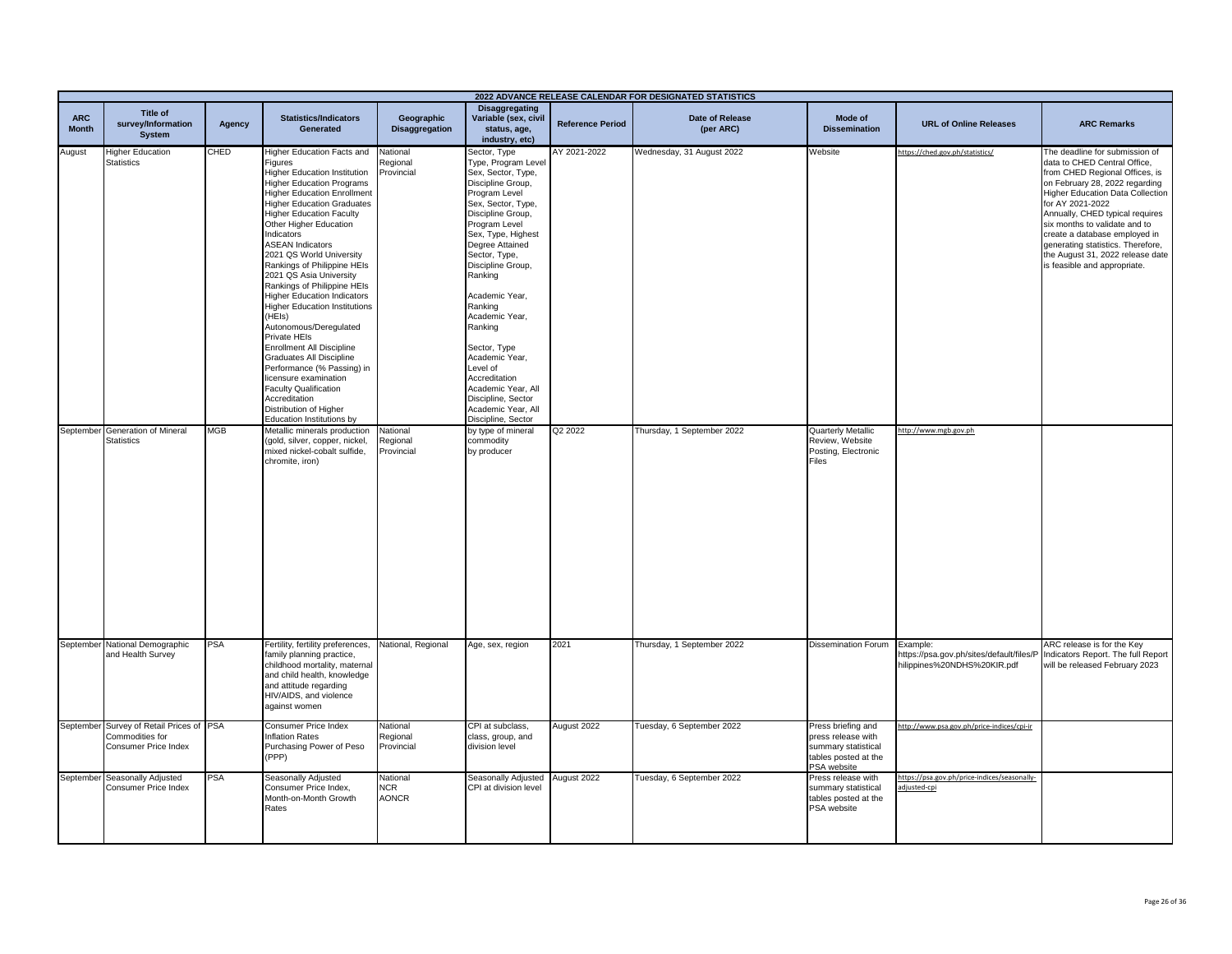|                            |                                                                                            |        |                                                                                                                                                                                                                                                                                                                                                                                                                                                                                                                                                                                                                                                                                                                                                                                         |                                        |                                                                                                                                                                                                                                                                                                                                                                                                                                                                        |                         | 2022 ADVANCE RELEASE CALENDAR FOR DESIGNATED STATISTICS |                                                                                                        |                                                                                     |                                                                                                                                                                                                                                                                                                                                                                                                                 |
|----------------------------|--------------------------------------------------------------------------------------------|--------|-----------------------------------------------------------------------------------------------------------------------------------------------------------------------------------------------------------------------------------------------------------------------------------------------------------------------------------------------------------------------------------------------------------------------------------------------------------------------------------------------------------------------------------------------------------------------------------------------------------------------------------------------------------------------------------------------------------------------------------------------------------------------------------------|----------------------------------------|------------------------------------------------------------------------------------------------------------------------------------------------------------------------------------------------------------------------------------------------------------------------------------------------------------------------------------------------------------------------------------------------------------------------------------------------------------------------|-------------------------|---------------------------------------------------------|--------------------------------------------------------------------------------------------------------|-------------------------------------------------------------------------------------|-----------------------------------------------------------------------------------------------------------------------------------------------------------------------------------------------------------------------------------------------------------------------------------------------------------------------------------------------------------------------------------------------------------------|
| <b>ARC</b><br><b>Month</b> | <b>Title of</b><br>survey/Information<br><b>System</b>                                     | Agency | <b>Statistics/Indicators</b><br>Generated                                                                                                                                                                                                                                                                                                                                                                                                                                                                                                                                                                                                                                                                                                                                               | Geographic<br><b>Disaggregation</b>    | <b>Disaggregating</b><br>Variable (sex, civil<br>status, age,<br>industry, etc)                                                                                                                                                                                                                                                                                                                                                                                        | <b>Reference Period</b> | <b>Date of Release</b><br>(per ARC)                     | Mode of<br><b>Dissemination</b>                                                                        | <b>URL of Online Releases</b>                                                       | <b>ARC Remarks</b>                                                                                                                                                                                                                                                                                                                                                                                              |
| August                     | <b>Higher Education</b><br><b>Statistics</b>                                               | CHED   | Higher Education Facts and<br>Figures<br><b>Higher Education Institution</b><br><b>Higher Education Programs</b><br><b>Higher Education Enrollment</b><br><b>Higher Education Graduates</b><br><b>Higher Education Faculty</b><br>Other Higher Education<br>Indicators<br><b>ASEAN Indicators</b><br>2021 QS World University<br>Rankings of Philippine HEIs<br>2021 QS Asia University<br>Rankings of Philippine HEIs<br><b>Higher Education Indicators</b><br><b>Higher Education Institutions</b><br>(HEIs)<br>Autonomous/Deregulated<br>Private HEIs<br><b>Enrollment All Discipline</b><br>Graduates All Discipline<br>Performance (% Passing) in<br>licensure examination<br><b>Faculty Qualification</b><br>Accreditation<br>Distribution of Higher<br>Education Institutions by | National<br>Regional<br>Provincial     | Sector, Type<br>Type, Program Level<br>Sex, Sector, Type,<br>Discipline Group,<br>Program Level<br>Sex, Sector, Type,<br>Discipline Group,<br>Program Level<br>Sex, Type, Highest<br>Degree Attained<br>Sector, Type,<br>Discipline Group,<br>Ranking<br>Academic Year,<br>Ranking<br>Academic Year,<br>Ranking<br>Sector, Type<br>Academic Year,<br>Level of<br>Accreditation<br>Academic Year, All<br>Discipline, Sector<br>Academic Year, All<br>Discipline, Sector | AY 2021-2022            | Wednesday, 31 August 2022                               | Website                                                                                                | https://ched.gov.ph/statistics/                                                     | The deadline for submission of<br>data to CHED Central Office,<br>from CHED Regional Offices, is<br>on February 28, 2022 regarding<br><b>Higher Education Data Collection</b><br>for AY 2021-2022<br>Annually, CHED typical requires<br>six months to validate and to<br>create a database employed in<br>generating statistics. Therefore,<br>the August 31, 2022 release date<br>is feasible and appropriate. |
|                            | September Generation of Mineral<br><b>Statistics</b>                                       | MGB    | Metallic minerals production<br>(gold, silver, copper, nickel,<br>mixed nickel-cobalt sulfide,<br>chromite, iron)                                                                                                                                                                                                                                                                                                                                                                                                                                                                                                                                                                                                                                                                       | National<br>Regional<br>Provincial     | by type of mineral<br>commodity<br>by producer                                                                                                                                                                                                                                                                                                                                                                                                                         | Q2 2022                 | Thursday, 1 September 2022                              | Quarterly Metallic<br>Review, Website<br>Posting, Electronic<br>Files                                  | http://www.mgb.gov.ph                                                               |                                                                                                                                                                                                                                                                                                                                                                                                                 |
|                            | September National Demographic<br>and Health Survey                                        | PSA    | Fertility, fertility preferences,<br>family planning practice,<br>childhood mortality, maternal<br>and child health, knowledge<br>and attitude regarding<br>HIV/AIDS, and violence<br>against women                                                                                                                                                                                                                                                                                                                                                                                                                                                                                                                                                                                     | National, Regional                     | Age, sex, region                                                                                                                                                                                                                                                                                                                                                                                                                                                       | 2021                    | Thursday, 1 September 2022                              | <b>Dissemination Forum</b>                                                                             | Example:<br>https://psa.gov.ph/sites/default/files/P<br>hilippines%20NDHS%20KIR.pdf | ARC release is for the Key<br>Indicators Report. The full Report<br>will be released February 2023                                                                                                                                                                                                                                                                                                              |
|                            | September Survey of Retail Prices of PSA<br>Commodities for<br><b>Consumer Price Index</b> |        | Consumer Price Index<br><b>Inflation Rates</b><br>Purchasing Power of Peso<br>(PPP)                                                                                                                                                                                                                                                                                                                                                                                                                                                                                                                                                                                                                                                                                                     | Vational<br>Regional<br>Provincial     | CPI at subclass,<br>class, group, and<br>division level                                                                                                                                                                                                                                                                                                                                                                                                                | August 2022             | Tuesday, 6 September 2022                               | Press briefing and<br>press release with<br>summary statistical<br>tables posted at the<br>PSA website | ttp://www.psa.gov.ph/price-indices/cpi-ir                                           |                                                                                                                                                                                                                                                                                                                                                                                                                 |
|                            | September Seasonally Adjusted<br>Consumer Price Index                                      | PSA    | Seasonally Adjusted<br>Consumer Price Index,<br>Month-on-Month Growth<br>Rates                                                                                                                                                                                                                                                                                                                                                                                                                                                                                                                                                                                                                                                                                                          | National<br><b>NCR</b><br><b>AONCR</b> | Seasonally Adjusted<br>CPI at division level                                                                                                                                                                                                                                                                                                                                                                                                                           | August 2022             | Tuesday, 6 September 2022                               | Press release with<br>summary statistical<br>tables posted at the<br>PSA website                       | https://psa.gov.ph/price-indices/seasonally-<br>adjusted-cpi                        |                                                                                                                                                                                                                                                                                                                                                                                                                 |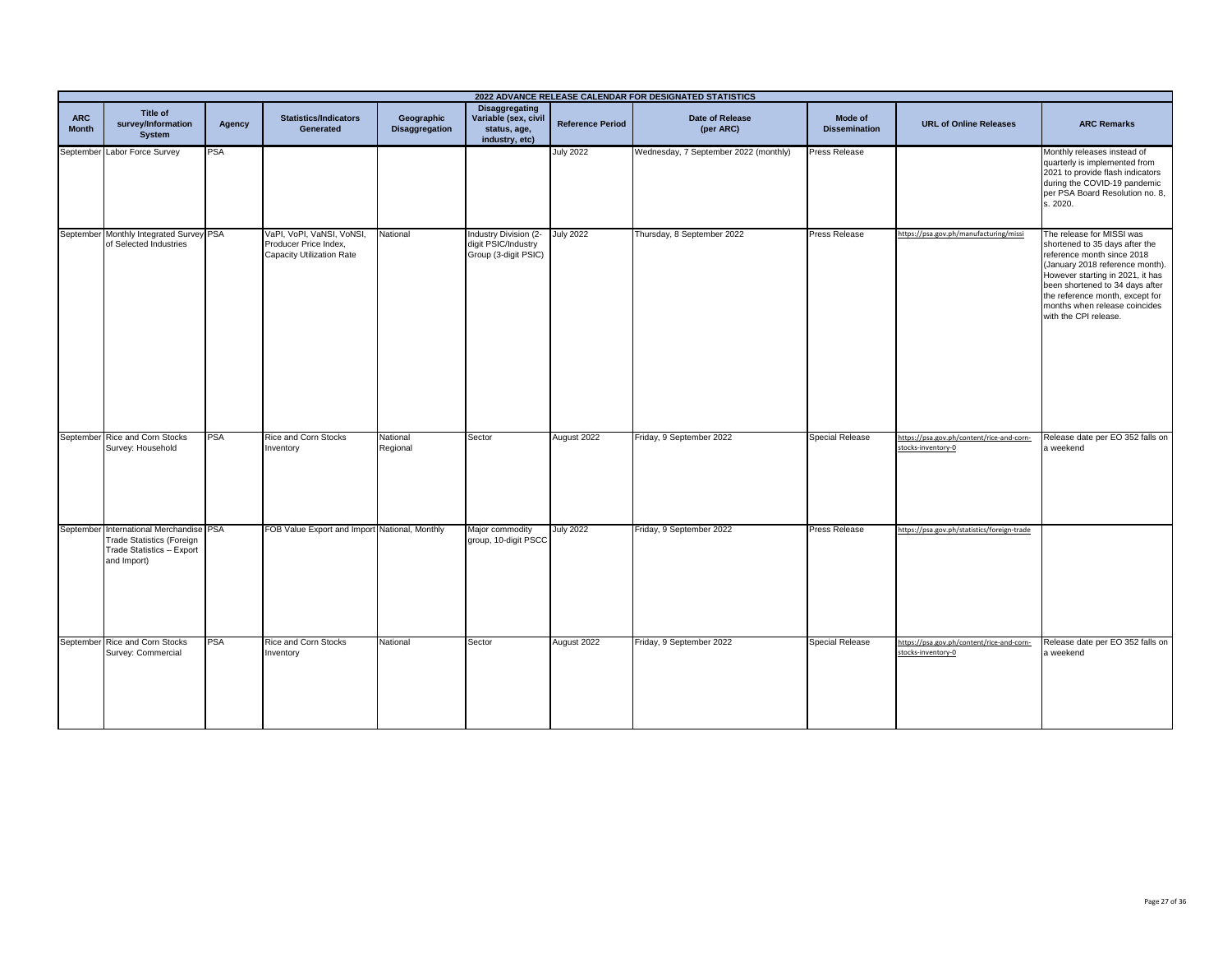|                            | 2022 ADVANCE RELEASE CALENDAR FOR DESIGNATED STATISTICS                                                          |            |                                                                                        |                                     |                                                                                 |                         |                                       |                                 |                                                                 |                                                                                                                                                                                                                                                                                                  |
|----------------------------|------------------------------------------------------------------------------------------------------------------|------------|----------------------------------------------------------------------------------------|-------------------------------------|---------------------------------------------------------------------------------|-------------------------|---------------------------------------|---------------------------------|-----------------------------------------------------------------|--------------------------------------------------------------------------------------------------------------------------------------------------------------------------------------------------------------------------------------------------------------------------------------------------|
| <b>ARC</b><br><b>Month</b> | Title of<br>survey/Information<br><b>System</b>                                                                  | Agency     | <b>Statistics/Indicators</b><br><b>Generated</b>                                       | Geographic<br><b>Disaggregation</b> | <b>Disaggregating</b><br>Variable (sex, civil<br>status, age,<br>industry, etc) | <b>Reference Period</b> | Date of Release<br>(per ARC)          | Mode of<br><b>Dissemination</b> | <b>URL of Online Releases</b>                                   | <b>ARC Remarks</b>                                                                                                                                                                                                                                                                               |
|                            | September Labor Force Survey                                                                                     | <b>PSA</b> |                                                                                        |                                     |                                                                                 | <b>July 2022</b>        | Wednesday, 7 September 2022 (monthly) | Press Release                   |                                                                 | Monthly releases instead of<br>quarterly is implemented from<br>2021 to provide flash indicators<br>during the COVID-19 pandemic<br>per PSA Board Resolution no. 8,<br>s. 2020.                                                                                                                  |
|                            | September Monthly Integrated Survey PSA<br>of Selected Industries                                                |            | VaPI, VoPI, VaNSI, VoNSI,<br>Producer Price Index,<br><b>Capacity Utilization Rate</b> | National                            | Industry Division (2-<br>digit PSIC/Industry<br>Group (3-digit PSIC)            | <b>July 2022</b>        | Thursday, 8 September 2022            | Press Release                   | https://psa.gov.ph/manufacturing/missi                          | The release for MISSI was<br>shortened to 35 days after the<br>reference month since 2018<br>(January 2018 reference month).<br>However starting in 2021, it has<br>been shortened to 34 days after<br>the reference month, except for<br>months when release coincides<br>with the CPI release. |
|                            | September Rice and Corn Stocks<br>Survey: Household                                                              | PSA        | Rice and Corn Stocks<br>Inventory                                                      | National<br>Regional                | Sector                                                                          | August 2022             | Friday, 9 September 2022              | <b>Special Release</b>          | https://psa.gov.ph/content/rice-and-corn-<br>stocks-inventory-0 | Release date per EO 352 falls on<br>a weekend                                                                                                                                                                                                                                                    |
|                            | September International Merchandise PSA<br>Trade Statistics (Foreign<br>Trade Statistics - Export<br>and Import) |            | FOB Value Export and Import National, Monthly                                          |                                     | Major commodity<br>group, 10-digit PSCC                                         | July 2022               | Friday, 9 September 2022              | <b>Press Release</b>            | https://psa.gov.ph/statistics/foreign-trade                     |                                                                                                                                                                                                                                                                                                  |
|                            | September Rice and Corn Stocks<br>Survey: Commercial                                                             | <b>PSA</b> | Rice and Corn Stocks<br>Inventory                                                      | National                            | Sector                                                                          | August 2022             | Friday, 9 September 2022              | <b>Special Release</b>          | https://psa.gov.ph/content/rice-and-corn-<br>stocks-inventory-0 | Release date per EO 352 falls on<br>a weekend                                                                                                                                                                                                                                                    |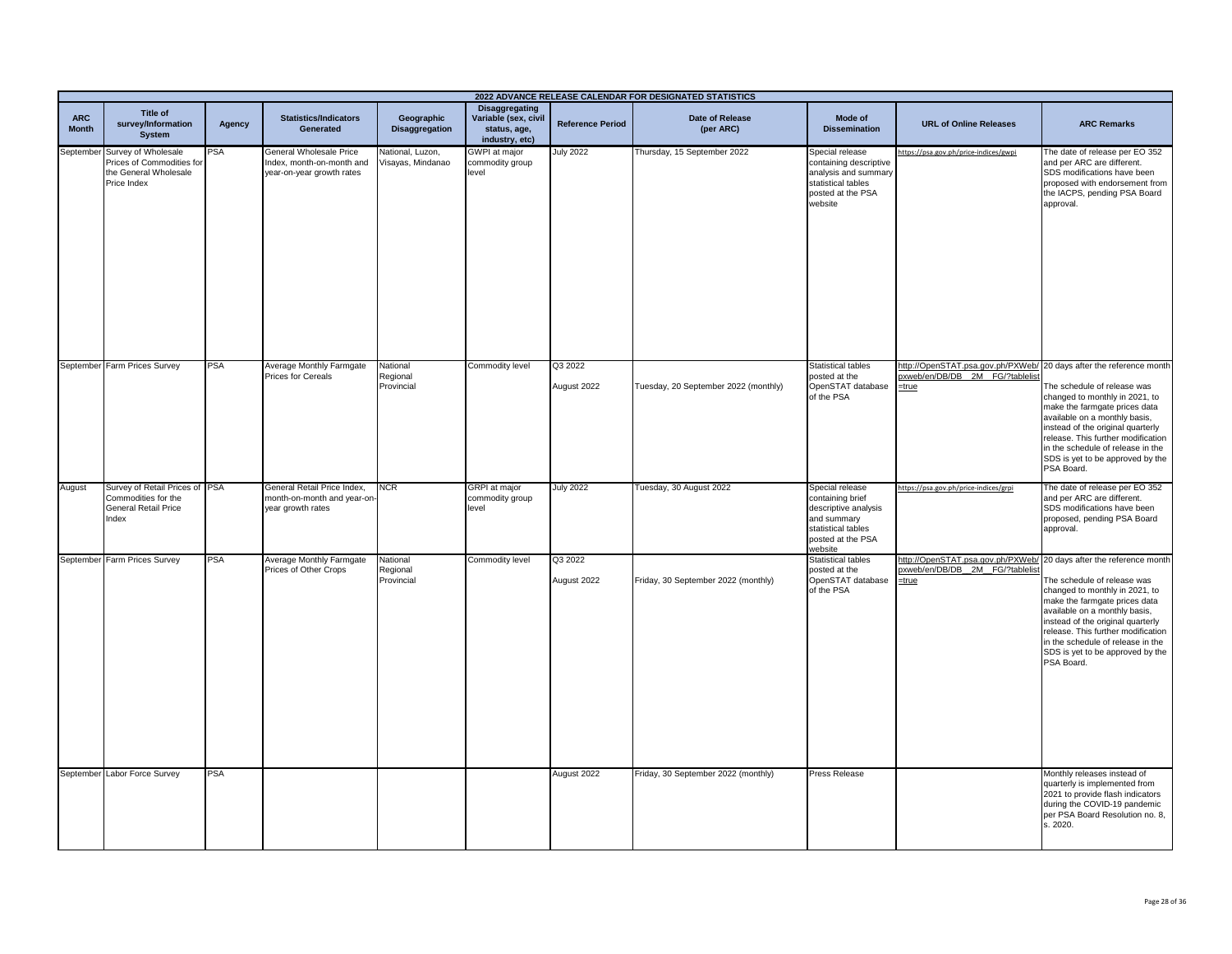|                            |                                                                                                    |        |                                                                                   |                                       |                                                                          |                         | 2022 ADVANCE RELEASE CALENDAR FOR DESIGNATED STATISTICS |                                                                                                                                  |                                                                                                                   |                                                                                                                                                                                                                                                                                                                                        |
|----------------------------|----------------------------------------------------------------------------------------------------|--------|-----------------------------------------------------------------------------------|---------------------------------------|--------------------------------------------------------------------------|-------------------------|---------------------------------------------------------|----------------------------------------------------------------------------------------------------------------------------------|-------------------------------------------------------------------------------------------------------------------|----------------------------------------------------------------------------------------------------------------------------------------------------------------------------------------------------------------------------------------------------------------------------------------------------------------------------------------|
| <b>ARC</b><br><b>Month</b> | <b>Title of</b><br>survey/Information<br><b>System</b>                                             | Agency | <b>Statistics/Indicators</b><br>Generated                                         | Geographic<br><b>Disaggregation</b>   | Disaggregating<br>Variable (sex, civil<br>status, age,<br>industry, etc) | <b>Reference Period</b> | <b>Date of Release</b><br>(per ARC)                     | Mode of<br><b>Dissemination</b>                                                                                                  | <b>URL of Online Releases</b>                                                                                     | <b>ARC Remarks</b>                                                                                                                                                                                                                                                                                                                     |
|                            | September Survey of Wholesale<br>Prices of Commodities for<br>the General Wholesale<br>Price Index | PSA    | General Wholesale Price<br>Index, month-on-month and<br>year-on-year growth rates | National, Luzon,<br>Visayas, Mindanao | <b>GWPI</b> at major<br>commodity group<br>evel                          | <b>July 2022</b>        | Thursday, 15 September 2022                             | Special release<br>containing descriptive<br>analysis and summary<br>statistical tables<br>posted at the PSA<br>website          | https://psa.gov.ph/price-indices/gwpi                                                                             | The date of release per EO 352<br>and per ARC are different.<br>SDS modifications have been<br>proposed with endorsement from<br>the IACPS, pending PSA Board<br>approval.                                                                                                                                                             |
|                            | September Farm Prices Survey                                                                       | PSA    | Average Monthly Farmgate<br>Prices for Cereals                                    | National<br>Regional<br>Provincial    | Commodity level                                                          | Q3 2022<br>August 2022  | Tuesday, 20 September 2022 (monthly)                    | <b>Statistical tables</b><br>posted at the<br>OpenSTAT database<br>of the PSA                                                    | http://OpenSTAT.psa.gov.ph/PXWeb/ 20 days after the reference month<br>pxweb/en/DB/DB 2M FG/?tablelis<br>$=$ true | The schedule of release was<br>changed to monthly in 2021, to<br>make the farmgate prices data<br>available on a monthly basis,<br>instead of the original quarterly<br>release. This further modification<br>in the schedule of release in the<br>SDS is yet to be approved by the<br>PSA Board.                                      |
| August                     | Survey of Retail Prices of PSA<br>Commodities for the<br><b>General Retail Price</b><br>Index      |        | General Retail Price Index,<br>month-on-month and year-on-<br>year growth rates   | <b>NCR</b>                            | <b>GRPI</b> at major<br>commodity group<br>evel                          | <b>July 2022</b>        | Tuesday, 30 August 2022                                 | Special release<br>containing brief<br>descriptive analysis<br>and summary<br>statistical tables<br>posted at the PSA<br>website | https://psa.gov.ph/price-indices/grpi                                                                             | The date of release per EO 352<br>and per ARC are different.<br>SDS modifications have been<br>proposed, pending PSA Board<br>approval.                                                                                                                                                                                                |
|                            | September Farm Prices Survey                                                                       | PSA    | Average Monthly Farmgate<br>Prices of Other Crops                                 | National<br>Regional<br>Provincial    | Commodity level                                                          | Q3 2022<br>August 2022  | Friday, 30 September 2022 (monthly)                     | Statistical tables<br>posted at the<br>OpenSTAT database<br>of the PSA                                                           | http://OpenSTAT.psa.gov.ph/PXWeb<br>oxweb/en/DB/DB 2M FG/?tablelist<br>$=$ true                                   | 20 days after the reference month<br>The schedule of release was<br>changed to monthly in 2021, to<br>make the farmgate prices data<br>available on a monthly basis,<br>instead of the original quarterly<br>release. This further modification<br>in the schedule of release in the<br>SDS is yet to be approved by the<br>PSA Board. |
|                            | September Labor Force Survey                                                                       | PSA    |                                                                                   |                                       |                                                                          | August 2022             | Friday, 30 September 2022 (monthly)                     | <b>Press Release</b>                                                                                                             |                                                                                                                   | Monthly releases instead of<br>quarterly is implemented from<br>2021 to provide flash indicators<br>during the COVID-19 pandemic<br>per PSA Board Resolution no. 8,<br>s. 2020.                                                                                                                                                        |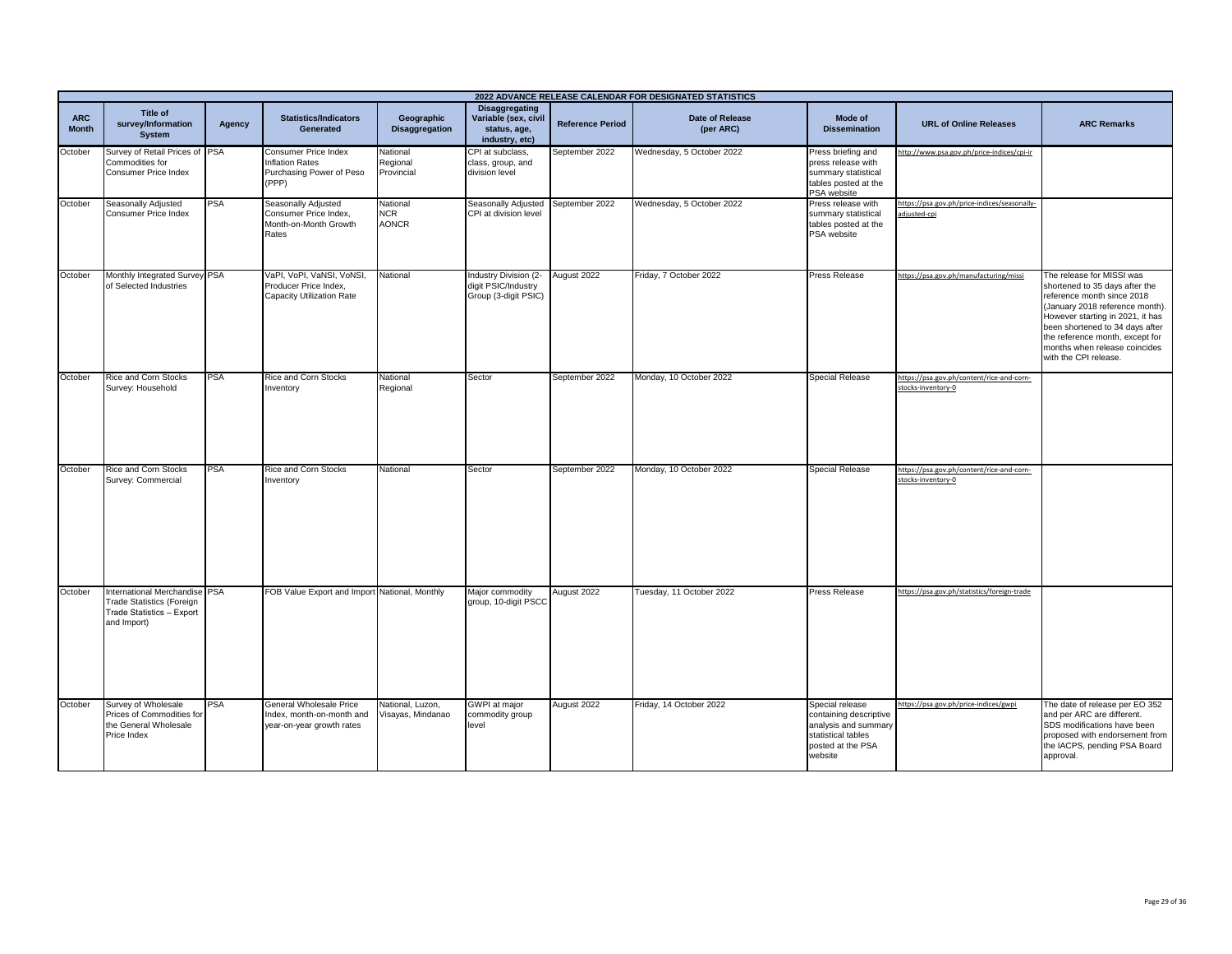|                            |                                                                                                               |            |                                                                                     |                                        |                                                                                 |                         | 2022 ADVANCE RELEASE CALENDAR FOR DESIGNATED STATISTICS |                                                                                                                         |                                                                 |                                                                                                                                                                                                                                                                                                  |
|----------------------------|---------------------------------------------------------------------------------------------------------------|------------|-------------------------------------------------------------------------------------|----------------------------------------|---------------------------------------------------------------------------------|-------------------------|---------------------------------------------------------|-------------------------------------------------------------------------------------------------------------------------|-----------------------------------------------------------------|--------------------------------------------------------------------------------------------------------------------------------------------------------------------------------------------------------------------------------------------------------------------------------------------------|
| <b>ARC</b><br><b>Month</b> | Title of<br>survey/Information<br><b>System</b>                                                               | Agency     | <b>Statistics/Indicators</b><br>Generated                                           | Geographic<br><b>Disaggregation</b>    | <b>Disaggregating</b><br>Variable (sex, civil<br>status, age,<br>industry, etc) | <b>Reference Period</b> | Date of Release<br>(per ARC)                            | Mode of<br><b>Dissemination</b>                                                                                         | <b>URL of Online Releases</b>                                   | <b>ARC Remarks</b>                                                                                                                                                                                                                                                                               |
| October                    | Survey of Retail Prices of PSA<br>Commodities for<br><b>Consumer Price Index</b>                              |            | Consumer Price Index<br><b>Inflation Rates</b><br>Purchasing Power of Peso<br>(PPP) | National<br>Regional<br>Provincial     | CPI at subclass,<br>class, group, and<br>division level                         | September 2022          | Wednesday, 5 October 2022                               | Press briefing and<br>press release with<br>summary statistical<br>tables posted at the<br>PSA website                  | http://www.psa.gov.ph/price-indices/cpi-ir                      |                                                                                                                                                                                                                                                                                                  |
| October                    | Seasonally Adjusted<br>Consumer Price Index                                                                   | <b>PSA</b> | Seasonally Adjusted<br>Consumer Price Index,<br>Month-on-Month Growth<br>Rates      | National<br><b>NCR</b><br><b>AONCR</b> | Seasonally Adjusted<br>CPI at division level                                    | September 2022          | Wednesday, 5 October 2022                               | Press release with<br>summary statistical<br>tables posted at the<br>PSA website                                        | https://psa.gov.ph/price-indices/seasonally-<br>adjusted-cpi    |                                                                                                                                                                                                                                                                                                  |
| October                    | Monthly Integrated Survey PSA<br>of Selected Industries                                                       |            | VaPI, VoPI, VaNSI, VoNSI,<br>Producer Price Index,<br>Capacity Utilization Rate     | National                               | Industry Division (2-<br>digit PSIC/Industry<br>Group (3-digit PSIC)            | August 2022             | Friday, 7 October 2022                                  | Press Release                                                                                                           | https://psa.gov.ph/manufacturing/missi                          | The release for MISSI was<br>shortened to 35 days after the<br>reference month since 2018<br>(January 2018 reference month).<br>However starting in 2021, it has<br>been shortened to 34 days after<br>the reference month, except for<br>months when release coincides<br>with the CPI release. |
| October                    | Rice and Corn Stocks<br>Survey: Household                                                                     | <b>PSA</b> | Rice and Corn Stocks<br>Inventory                                                   | National<br>Regional                   | Sector                                                                          | September 2022          | Monday, 10 October 2022                                 | Special Release                                                                                                         | https://psa.gov.ph/content/rice-and-corn-<br>stocks-inventory-0 |                                                                                                                                                                                                                                                                                                  |
| October                    | Rice and Corn Stocks<br>Survey: Commercial                                                                    | PSA        | Rice and Corn Stocks<br>Inventory                                                   | National                               | Sector                                                                          | September 2022          | Monday, 10 October 2022                                 | <b>Special Release</b>                                                                                                  | https://psa.gov.ph/content/rice-and-corn-<br>stocks-inventory-0 |                                                                                                                                                                                                                                                                                                  |
| October                    | International Merchandise PSA<br><b>Trade Statistics (Foreign</b><br>Trade Statistics - Export<br>and Import) |            | FOB Value Export and Import National, Monthly                                       |                                        | Major commodity<br>group, 10-digit PSCC                                         | August 2022             | Tuesday, 11 October 2022                                | <b>Press Release</b>                                                                                                    | https://psa.gov.ph/statistics/foreign-trade                     |                                                                                                                                                                                                                                                                                                  |
| October                    | Survey of Wholesale<br>Prices of Commodities for<br>the General Wholesale<br>Price Index                      | <b>PSA</b> | General Wholesale Price<br>Index, month-on-month and<br>year-on-year growth rates   | National. Luzon.<br>Visayas, Mindanao  | GWPI at major<br>commodity group<br>level                                       | August 2022             | Friday, 14 October 2022                                 | Special release<br>containing descriptive<br>analysis and summary<br>statistical tables<br>posted at the PSA<br>website | https://psa.gov.ph/price-indices/gwpi                           | The date of release per EO 352<br>and per ARC are different.<br>SDS modifications have been<br>proposed with endorsement from<br>the IACPS, pending PSA Board<br>approval.                                                                                                                       |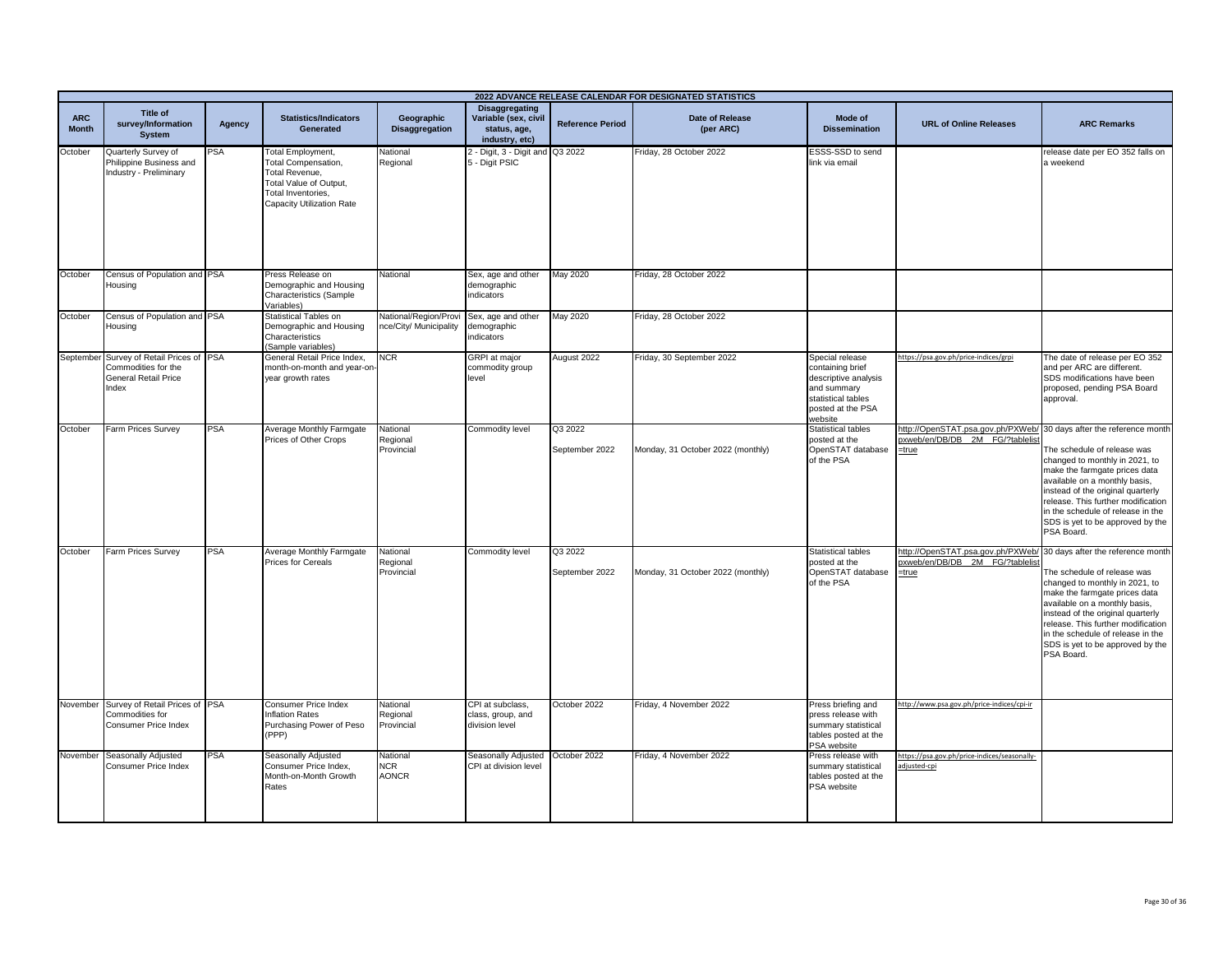|                            | 2022 ADVANCE RELEASE CALENDAR FOR DESIGNATED STATISTICS                                                 |            |                                                                                                                                                |                                                       |                                                                                 |                           |                                   |                                                                                                                                  |                                                                               |                                                                                                                                                                                                                                                                                                                                        |
|----------------------------|---------------------------------------------------------------------------------------------------------|------------|------------------------------------------------------------------------------------------------------------------------------------------------|-------------------------------------------------------|---------------------------------------------------------------------------------|---------------------------|-----------------------------------|----------------------------------------------------------------------------------------------------------------------------------|-------------------------------------------------------------------------------|----------------------------------------------------------------------------------------------------------------------------------------------------------------------------------------------------------------------------------------------------------------------------------------------------------------------------------------|
| <b>ARC</b><br><b>Month</b> | Title of<br>survey/Information<br><b>System</b>                                                         | Agency     | <b>Statistics/Indicators</b><br><b>Generated</b>                                                                                               | Geographic<br><b>Disaggregation</b>                   | <b>Disaggregating</b><br>Variable (sex, civil<br>status, age.<br>industry, etc) | <b>Reference Period</b>   | Date of Release<br>(per ARC)      | Mode of<br><b>Dissemination</b>                                                                                                  | <b>URL of Online Releases</b>                                                 | <b>ARC Remarks</b>                                                                                                                                                                                                                                                                                                                     |
| October                    | Quarterly Survey of<br>Philippine Business and<br>Industry - Preliminary                                | <b>PSA</b> | <b>Total Employment,</b><br>Total Compensation,<br>Total Revenue,<br>Total Value of Output,<br>Total Inventories.<br>Capacity Utilization Rate | National<br>Regional                                  | 2 - Digit, 3 - Digit and Q3 2022<br>5 - Digit PSIC                              |                           | Friday, 28 October 2022           | ESSS-SSD to send<br>link via email                                                                                               |                                                                               | release date per EO 352 falls on<br>a weekend                                                                                                                                                                                                                                                                                          |
| October                    | Census of Population and PSA<br>Housing                                                                 |            | Press Release on<br>Demographic and Housing<br>Characteristics (Sample<br>Variables)                                                           | Vational                                              | Sex, age and other<br>demographic<br>indicators                                 | May 2020                  | Friday, 28 October 2022           |                                                                                                                                  |                                                                               |                                                                                                                                                                                                                                                                                                                                        |
| October                    | Census of Population and PSA<br>Housing                                                                 |            | Statistical Tables on<br>Demographic and Housing<br>Characteristics<br>(Sample variables)                                                      | <b>National/Region/Prov</b><br>hce/City/ Municipality | Sex, age and other<br>demographic<br>indicators                                 | May 2020                  | Friday, 28 October 2022           |                                                                                                                                  |                                                                               |                                                                                                                                                                                                                                                                                                                                        |
|                            | September Survey of Retail Prices of PSA<br>Commodities for the<br><b>General Retail Price</b><br>Index |            | General Retail Price Index,<br>month-on-month and year-on<br>year growth rates                                                                 | <b>NCR</b>                                            | <b>GRPI</b> at major<br>commodity group<br>level                                | August 2022               | Friday, 30 September 2022         | Special release<br>containing brief<br>descriptive analysis<br>and summary<br>statistical tables<br>posted at the PSA<br>website | https://psa.gov.ph/price-indices/grpi                                         | The date of release per EO 352<br>and per ARC are different.<br>SDS modifications have been<br>proposed, pending PSA Board<br>approval.                                                                                                                                                                                                |
| October                    | Farm Prices Survey                                                                                      | <b>PSA</b> | Average Monthly Farmgate<br>Prices of Other Crops                                                                                              | National<br>Regional<br>Provincial                    | Commodity level                                                                 | Q3 2022<br>September 2022 | Monday, 31 October 2022 (monthly) | <b>Statistical tables</b><br>posted at the<br>OpenSTAT database<br>of the PSA                                                    | http://OpenSTAT.psa.gov.ph/PXWeb/<br>bxweb/en/DB/DB 2M FG/?tablelis<br>=true  | 30 days after the reference month<br>The schedule of release was<br>changed to monthly in 2021, to<br>make the farmgate prices data<br>available on a monthly basis,<br>instead of the original quarterly<br>release. This further modification<br>in the schedule of release in the<br>SDS is yet to be approved by the<br>PSA Board. |
| October                    | Farm Prices Survey                                                                                      | <b>PSA</b> | Average Monthly Farmgate<br>Prices for Cereals                                                                                                 | National<br>Regional<br>Provincial                    | Commodity level                                                                 | Q3 2022<br>September 2022 | Monday, 31 October 2022 (monthly) | <b>Statistical tables</b><br>posted at the<br>OpenSTAT database<br>of the PSA                                                    | http://OpenSTAT.psa.gov.ph/PXWeb/<br>pxweb/en/DB/DB 2M FG/?tablelist<br>=true | 30 days after the reference month<br>The schedule of release was<br>changed to monthly in 2021, to<br>make the farmgate prices data<br>available on a monthly basis,<br>instead of the original quarterly<br>release. This further modification<br>in the schedule of release in the<br>SDS is yet to be approved by the<br>PSA Board. |
|                            | November Survey of Retail Prices of PSA<br>Commodities for<br>Consumer Price Index                      |            | Consumer Price Index<br><b>Inflation Rates</b><br>Purchasing Power of Peso<br>(PPP)                                                            | National<br>Regional<br>Provincial                    | CPI at subclass,<br>class, group, and<br>division level                         | October 2022              | Friday, 4 November 2022           | Press briefing and<br>press release with<br>summary statistical<br>tables posted at the<br>PSA website                           | http://www.psa.gov.ph/price-indices/cpi-ir                                    |                                                                                                                                                                                                                                                                                                                                        |
|                            | November Seasonally Adjusted<br><b>Consumer Price Index</b>                                             | PSA        | Seasonally Adjusted<br>Consumer Price Index,<br>Month-on-Month Growth<br>Rates                                                                 | National<br>NCR.<br><b>AONCR</b>                      | Seasonally Adjusted<br>CPI at division level                                    | October 2022              | Friday, 4 November 2022           | Press release with<br>summary statistical<br>tables posted at the<br>PSA website                                                 | https://psa.gov.ph/price-indices/seasonally-<br>adjusted-cpi                  |                                                                                                                                                                                                                                                                                                                                        |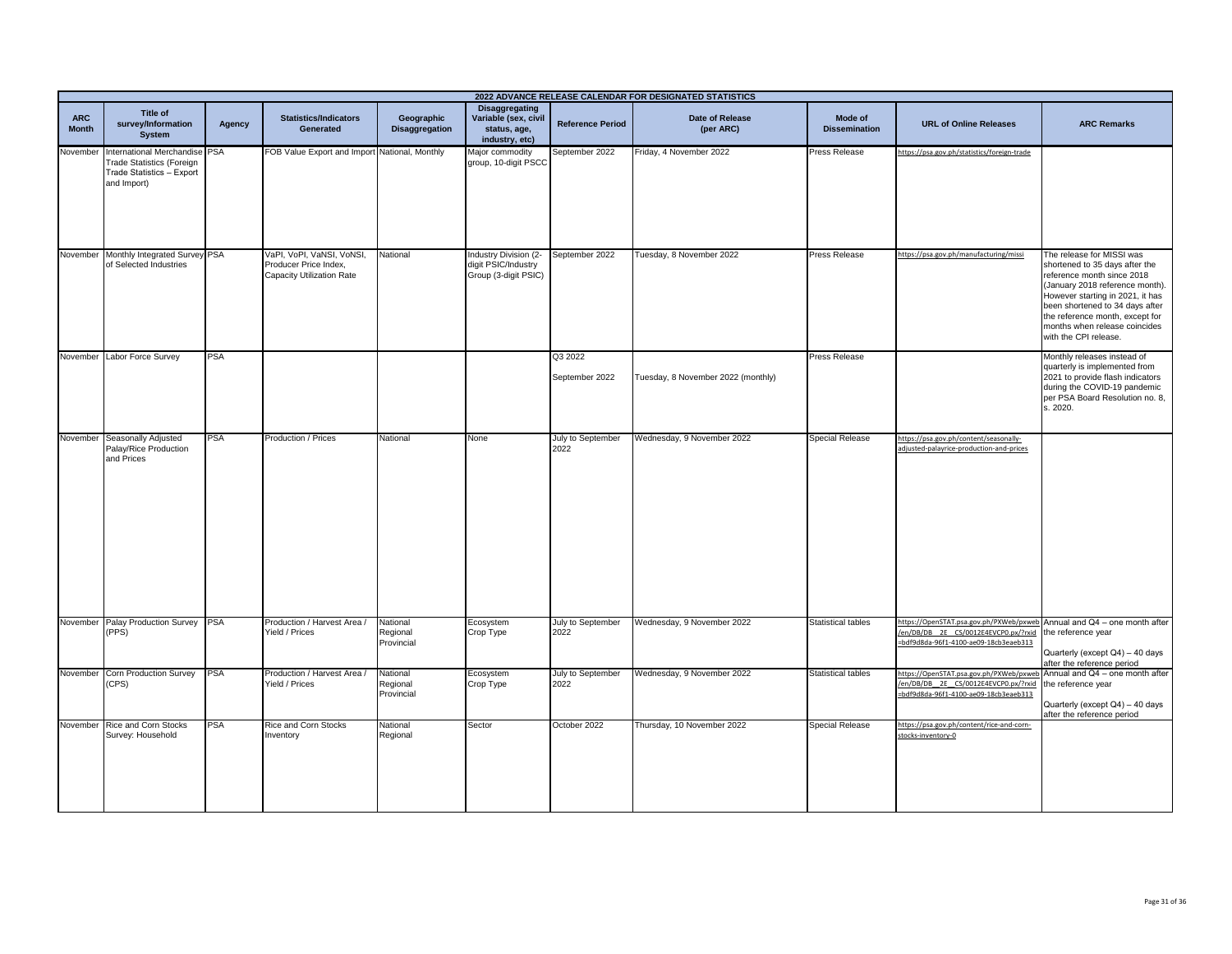|                            | 2022 ADVANCE RELEASE CALENDAR FOR DESIGNATED STATISTICS                                                       |            |                                                                                        |                                     |                                                                          |                           |                                     |                                 |                                                                                                                                                         |                                                                                                                                                                                                                                                                                                  |
|----------------------------|---------------------------------------------------------------------------------------------------------------|------------|----------------------------------------------------------------------------------------|-------------------------------------|--------------------------------------------------------------------------|---------------------------|-------------------------------------|---------------------------------|---------------------------------------------------------------------------------------------------------------------------------------------------------|--------------------------------------------------------------------------------------------------------------------------------------------------------------------------------------------------------------------------------------------------------------------------------------------------|
| <b>ARC</b><br><b>Month</b> | Title of<br>survey/Information<br><b>System</b>                                                               | Agency     | <b>Statistics/Indicators</b><br>Generated                                              | Geographic<br><b>Disaggregation</b> | Disaggregating<br>Variable (sex, civil<br>status, age,<br>industry, etc) | <b>Reference Period</b>   | <b>Date of Release</b><br>(per ARC) | Mode of<br><b>Dissemination</b> | <b>URL of Online Releases</b>                                                                                                                           | <b>ARC Remarks</b>                                                                                                                                                                                                                                                                               |
| November                   | International Merchandise PSA<br><b>Trade Statistics (Foreign</b><br>Trade Statistics - Export<br>and Import) |            | FOB Value Export and Import National, Monthly                                          |                                     | Major commodity<br>group, 10-digit PSCC                                  | September 2022            | Friday, 4 November 2022             | <b>Press Release</b>            | https://psa.gov.ph/statistics/foreign-trade                                                                                                             |                                                                                                                                                                                                                                                                                                  |
|                            | November Monthly Integrated Survey PSA<br>of Selected Industries                                              |            | VaPI, VoPI, VaNSI, VoNSI,<br>Producer Price Index.<br><b>Capacity Utilization Rate</b> | National                            | Industry Division (2-<br>digit PSIC/Industry<br>Group (3-digit PSIC)     | September 2022            | Tuesday, 8 November 2022            | <b>Press Release</b>            | https://psa.gov.ph/manufacturing/missi                                                                                                                  | The release for MISSI was<br>shortened to 35 days after the<br>reference month since 2018<br>(January 2018 reference month).<br>However starting in 2021, it has<br>been shortened to 34 days after<br>the reference month, except for<br>months when release coincides<br>with the CPI release. |
| November                   | Labor Force Survey                                                                                            | <b>PSA</b> |                                                                                        |                                     |                                                                          | Q3 2022<br>September 2022 | Tuesday, 8 November 2022 (monthly)  | Press Release                   |                                                                                                                                                         | Monthly releases instead of<br>quarterly is implemented from<br>2021 to provide flash indicators<br>during the COVID-19 pandemic<br>per PSA Board Resolution no. 8,<br>s. 2020.                                                                                                                  |
|                            | November Seasonally Adjusted<br>Palay/Rice Production<br>and Prices                                           | PSA        | Production / Prices                                                                    | National                            | None                                                                     | July to September<br>2022 | Wednesday, 9 November 2022          | <b>Special Release</b>          | https://psa.gov.ph/content/seasonally-<br>adjusted-palayrice-production-and-prices                                                                      |                                                                                                                                                                                                                                                                                                  |
| November                   | Palay Production Survey<br>(PPS)                                                                              | <b>PSA</b> | Production / Harvest Area /<br>Yield / Prices                                          | National<br>Regional<br>Provincial  | Ecosystem<br>Crop Type                                                   | July to September<br>2022 | Wednesday, 9 November 2022          | <b>Statistical tables</b>       | https://OpenSTAT.psa.gov.ph/PXWeb/pxweb Annual and Q4 - one month after<br>/en/DB/DB_2E_CS/0012E4EVCP0.px/?rxid<br>bdf9d8da-96f1-4100-ae09-18cb3eaeb313 | the reference year<br>Quarterly (except Q4) - 40 days<br>after the reference period                                                                                                                                                                                                              |
| November                   | <b>Corn Production Survey</b><br>CPS)                                                                         | <b>PSA</b> | Production / Harvest Area /<br>Yield / Prices                                          | National<br>Regional<br>Provincial  | Ecosystem<br>Crop Type                                                   | July to September<br>2022 | Wednesday, 9 November 2022          | <b>Statistical tables</b>       | https://OpenSTAT.psa.gov.ph/PXWeb/pxwe<br>/en/DB/DB_2E_CS/0012E4EVCP0.px/?rxid<br>=bdf9d8da-96f1-4100-ae09-18cb3eaeb313                                 | Annual and Q4 - one month after<br>the reference year<br>Quarterly (except Q4) - 40 days<br>after the reference period                                                                                                                                                                           |
|                            | November Rice and Corn Stocks<br>Survey: Household                                                            | PSA        | Rice and Corn Stocks<br>Inventory                                                      | National<br>Regional                | Sector                                                                   | October 2022              | Thursday, 10 November 2022          | Special Release                 | https://psa.gov.ph/content/rice-and-corn-<br>stocks-inventory-0                                                                                         |                                                                                                                                                                                                                                                                                                  |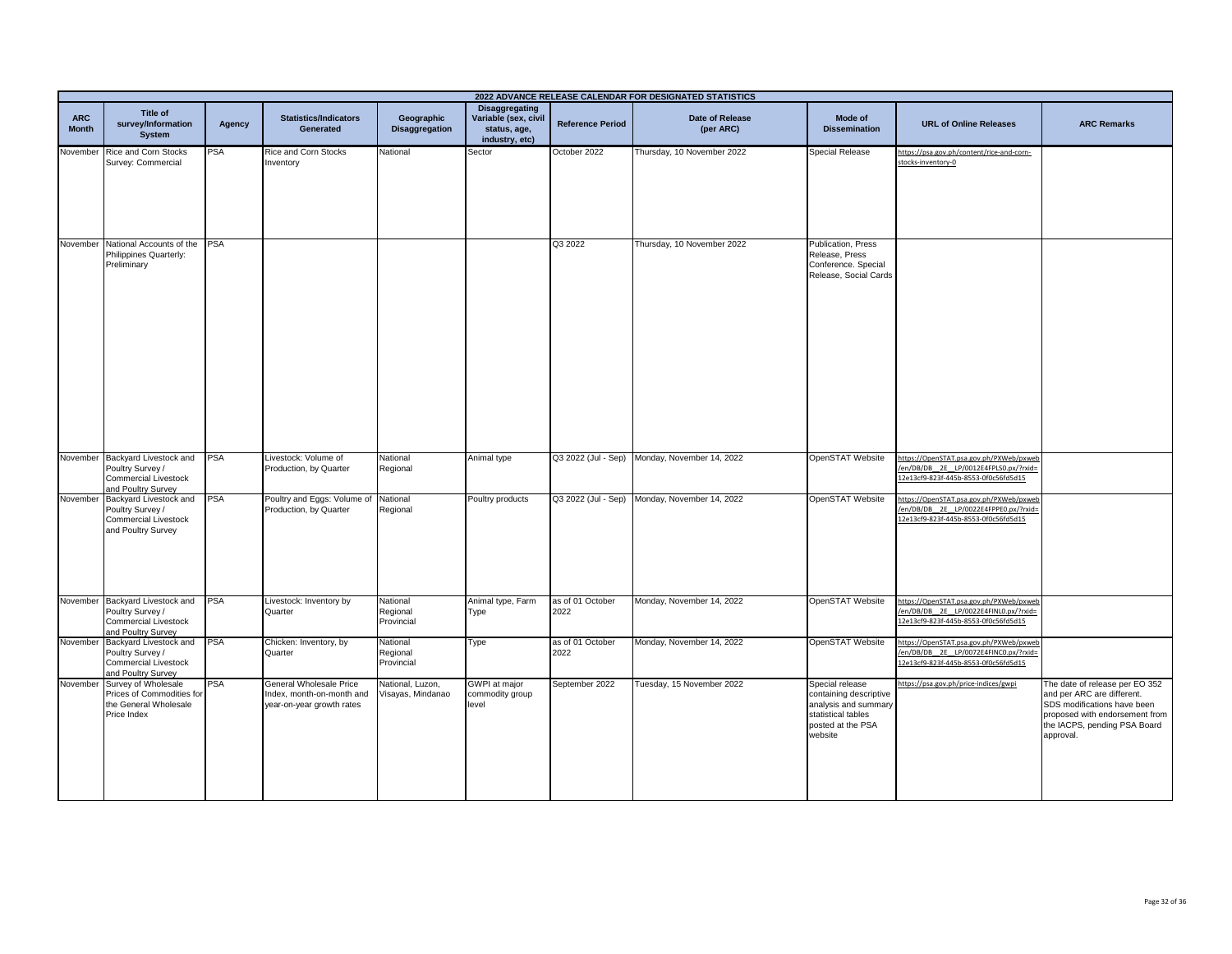|                            |                                                                                                          |            |                                                                                   |                                       |                                                                          |                          | 2022 ADVANCE RELEASE CALENDAR FOR DESIGNATED STATISTICS |                                                                                                                         |                                                                                                                          |                                                                                                                                                                            |
|----------------------------|----------------------------------------------------------------------------------------------------------|------------|-----------------------------------------------------------------------------------|---------------------------------------|--------------------------------------------------------------------------|--------------------------|---------------------------------------------------------|-------------------------------------------------------------------------------------------------------------------------|--------------------------------------------------------------------------------------------------------------------------|----------------------------------------------------------------------------------------------------------------------------------------------------------------------------|
| <b>ARC</b><br><b>Month</b> | <b>Title of</b><br>survey/Information<br><b>System</b>                                                   | Agency     | <b>Statistics/Indicators</b><br>Generated                                         | Geographic<br><b>Disaggregation</b>   | Disaggregating<br>Variable (sex, civil<br>status, age,<br>industry, etc) | <b>Reference Period</b>  | <b>Date of Release</b><br>(per ARC)                     | Mode of<br><b>Dissemination</b>                                                                                         | <b>URL of Online Releases</b>                                                                                            | <b>ARC Remarks</b>                                                                                                                                                         |
| November                   | <b>Rice and Corn Stocks</b><br>Survey: Commercial                                                        | <b>PSA</b> | <b>Rice and Corn Stocks</b><br>Inventory                                          | National                              | Sector                                                                   | October 2022             | Thursday, 10 November 2022                              | Special Release                                                                                                         | https://psa.gov.ph/content/rice-and-corn-<br>stocks-inventory-0                                                          |                                                                                                                                                                            |
|                            | November National Accounts of the PSA<br>Philippines Quarterly:<br>Preliminary                           |            |                                                                                   |                                       |                                                                          | Q3 2022                  | Thursday, 10 November 2022                              | Publication, Press<br>Release, Press<br>Conference. Special<br>Release, Social Cards                                    |                                                                                                                          |                                                                                                                                                                            |
|                            | November Backyard Livestock and<br>Poultry Survey /<br><b>Commercial Livestock</b><br>and Poultry Survey | <b>PSA</b> | Livestock: Volume of<br>Production, by Quarter                                    | National<br>Regional                  | Animal type                                                              |                          | Q3 2022 (Jul - Sep) Monday, November 14, 2022           | OpenSTAT Website                                                                                                        | https://OpenSTAT.psa.gov.ph/PXWeb/pxweb<br>/en/DB/DB_2E_LP/0012E4FPLS0.px/?rxid=<br>12e13cf9-823f-445b-8553-0f0c56fd5d15 |                                                                                                                                                                            |
|                            | November Backyard Livestock and<br>Poultry Survey /<br>Commercial Livestock<br>and Poultry Survey        | <b>PSA</b> | Poultry and Eggs: Volume of<br>Production, by Quarter                             | National<br>Regional                  | Poultry products                                                         | Q3 2022 (Jul - Sep)      | Monday, November 14, 2022                               | OpenSTAT Website                                                                                                        | https://OpenSTAT.psa.gov.ph/PXWeb/pxweb<br>en/DB/DB 2E LP/0022E4FPPE0.px/?rxid=<br>2e13cf9-823f-445b-8553-0f0c56fd5d15   |                                                                                                                                                                            |
| November                   | Backyard Livestock and<br>Poultry Survey /<br><b>Commercial Livestock</b><br>and Poultry Survey          | <b>PSA</b> | Livestock: Inventory by<br>Quarter                                                | National<br>Regional<br>Provincial    | Animal type, Farm<br>Type                                                | as of 01 October<br>2022 | Monday, November 14, 2022                               | OpenSTAT Website                                                                                                        | https://OpenSTAT.psa.gov.ph/PXWeb/pxweb<br>en/DB/DB_2E_LP/0022E4FINL0.px/?rxid=<br>12e13cf9-823f-445b-8553-0f0c56fd5d15  |                                                                                                                                                                            |
|                            | November Backyard Livestock and<br>Poultry Survey /<br>Commercial Livestock<br>and Poultry Survey        | <b>PSA</b> | Chicken: Inventory, by<br>Quarter                                                 | National<br>Regional<br>Provincial    | Type                                                                     | as of 01 October<br>2022 | Monday, November 14, 2022                               | OpenSTAT Website                                                                                                        | https://OpenSTAT.psa.gov.ph/PXWeb/pxweb<br>en/DB/DB 2E LP/0072E4FINC0.px/?rxid=<br>12e13cf9-823f-445b-8553-0f0c56fd5d15  |                                                                                                                                                                            |
| November                   | Survey of Wholesale<br>Prices of Commodities for<br>the General Wholesale<br>Price Index                 | PSA        | General Wholesale Price<br>Index, month-on-month and<br>year-on-year growth rates | National, Luzon,<br>Visayas, Mindanao | <b>GWPI</b> at major<br>commodity group<br>level                         | September 2022           | Tuesday, 15 November 2022                               | Special release<br>containing descriptive<br>analysis and summary<br>statistical tables<br>posted at the PSA<br>website | nttps://psa.gov.ph/price-indices/gwpi                                                                                    | The date of release per EO 352<br>and per ARC are different.<br>SDS modifications have been<br>proposed with endorsement from<br>the IACPS, pending PSA Board<br>approval. |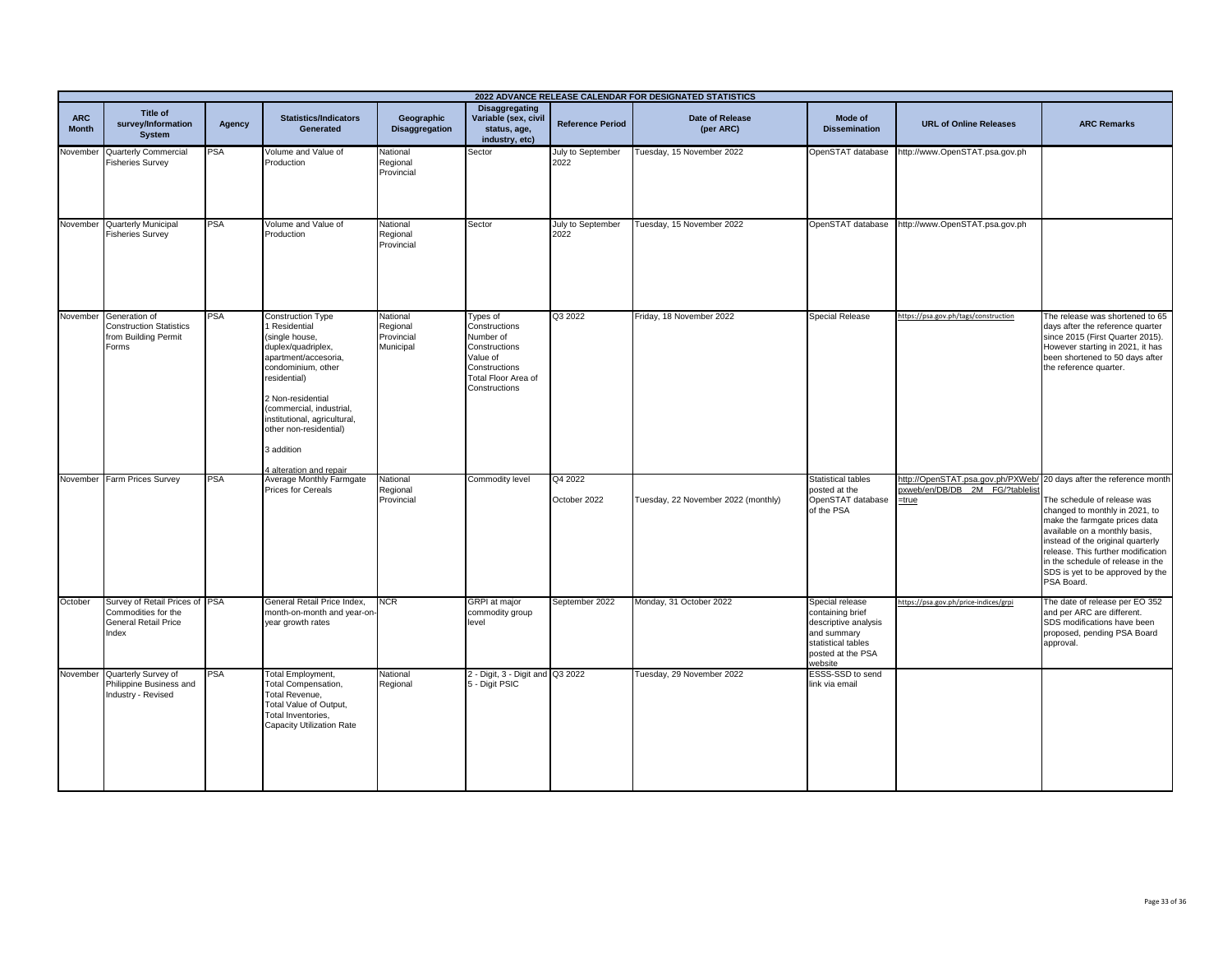|                            |                                                                                               |            |                                                                                                                                                                                                                                                                                            |                                                 |                                                                                                                              |                           | 2022 ADVANCE RELEASE CALENDAR FOR DESIGNATED STATISTICS |                                                                                                                                  |                                                                                                                   |                                                                                                                                                                                                                                                                                                   |
|----------------------------|-----------------------------------------------------------------------------------------------|------------|--------------------------------------------------------------------------------------------------------------------------------------------------------------------------------------------------------------------------------------------------------------------------------------------|-------------------------------------------------|------------------------------------------------------------------------------------------------------------------------------|---------------------------|---------------------------------------------------------|----------------------------------------------------------------------------------------------------------------------------------|-------------------------------------------------------------------------------------------------------------------|---------------------------------------------------------------------------------------------------------------------------------------------------------------------------------------------------------------------------------------------------------------------------------------------------|
| <b>ARC</b><br><b>Month</b> | Title of<br>survey/Information<br><b>System</b>                                               | Agency     | <b>Statistics/Indicators</b><br>Generated                                                                                                                                                                                                                                                  | Geographic<br>Disaggregation                    | <b>Disaggregating</b><br>Variable (sex, civil<br>status, age,<br>industry, etc)                                              | <b>Reference Period</b>   | <b>Date of Release</b><br>(per ARC)                     | Mode of<br><b>Dissemination</b>                                                                                                  | <b>URL of Online Releases</b>                                                                                     | <b>ARC Remarks</b>                                                                                                                                                                                                                                                                                |
| Vovember                   | Quarterly Commercial<br><b>Fisheries Survey</b>                                               | <b>PSA</b> | Volume and Value of<br>Production                                                                                                                                                                                                                                                          | National<br>Regional<br>Provincial              | Sector                                                                                                                       | July to September<br>2022 | Tuesday, 15 November 2022                               | OpenSTAT database                                                                                                                | http://www.OpenSTAT.psa.gov.ph                                                                                    |                                                                                                                                                                                                                                                                                                   |
|                            | November Quarterly Municipal<br><b>Fisheries Survey</b>                                       | <b>PSA</b> | Volume and Value of<br>Production                                                                                                                                                                                                                                                          | National<br>Regional<br>Provincial              | Sector                                                                                                                       | July to September<br>2022 | Tuesday, 15 November 2022                               | OpenSTAT database                                                                                                                | http://www.OpenSTAT.psa.gov.ph                                                                                    |                                                                                                                                                                                                                                                                                                   |
|                            | November Generation of<br><b>Construction Statistics</b><br>from Building Permit<br>Forms     | <b>PSA</b> | Construction Type<br>Residential<br>(single house,<br>duplex/quadriplex,<br>apartment/accesoria,<br>condominium, other<br>residential)<br>2 Non-residential<br>(commercial, industrial,<br>institutional, agricultural,<br>other non-residential)<br>3 addition<br>4 alteration and repair | National<br>Regional<br>Provincial<br>Municipal | Types of<br>Constructions<br>Number of<br>Constructions<br>Value of<br>Constructions<br>Total Floor Area of<br>Constructions | Q3 2022                   | Friday, 18 November 2022                                | <b>Special Release</b>                                                                                                           | https://psa.gov.ph/tags/construction                                                                              | The release was shortened to 65<br>days after the reference quarter<br>since 2015 (First Quarter 2015).<br>However starting in 2021, it has<br>been shortened to 50 days after<br>the reference quarter.                                                                                          |
|                            | November Farm Prices Survey                                                                   | <b>PSA</b> | Average Monthly Farmgate<br><b>Prices for Cereals</b>                                                                                                                                                                                                                                      | National<br>Regional<br>Provincial              | Commodity level                                                                                                              | Q4 2022<br>October 2022   | Tuesday, 22 November 2022 (monthly)                     | <b>Statistical tables</b><br>posted at the<br>OpenSTAT database<br>of the PSA                                                    | http://OpenSTAT.psa.gov.ph/PXWeb/ 20 days after the reference month<br>bxweb/en/DB/DB 2M FG/?tablelis<br>$=$ true | The schedule of release was<br>changed to monthly in 2021, to<br>make the farmgate prices data<br>available on a monthly basis,<br>instead of the original quarterly<br>release. This further modification<br>in the schedule of release in the<br>SDS is yet to be approved by the<br>PSA Board. |
| October                    | Survey of Retail Prices of PSA<br>Commodities for the<br><b>General Retail Price</b><br>Index |            | General Retail Price Index,<br>month-on-month and year-on<br>year growth rates                                                                                                                                                                                                             | <b>NCR</b>                                      | <b>GRPI</b> at major<br>commodity group<br>level                                                                             | September 2022            | Monday, 31 October 2022                                 | Special release<br>containing brief<br>descriptive analysis<br>and summary<br>statistical tables<br>posted at the PSA<br>website | https://psa.gov.ph/price-indices/grpi                                                                             | The date of release per EO 352<br>and per ARC are different.<br>SDS modifications have been<br>proposed, pending PSA Board<br>approval.                                                                                                                                                           |
| November                   | Quarterly Survey of<br>Philippine Business and<br>Industry - Revised                          | PSA        | Total Employment,<br>Total Compensation,<br>Total Revenue,<br>Total Value of Output,<br>Total Inventories,<br>Capacity Utilization Rate                                                                                                                                                    | National<br>Regional                            | 2 - Digit, 3 - Digit and Q3 2022<br>5 - Digit PSIC                                                                           |                           | Tuesday, 29 November 2022                               | ESSS-SSD to send<br>link via email                                                                                               |                                                                                                                   |                                                                                                                                                                                                                                                                                                   |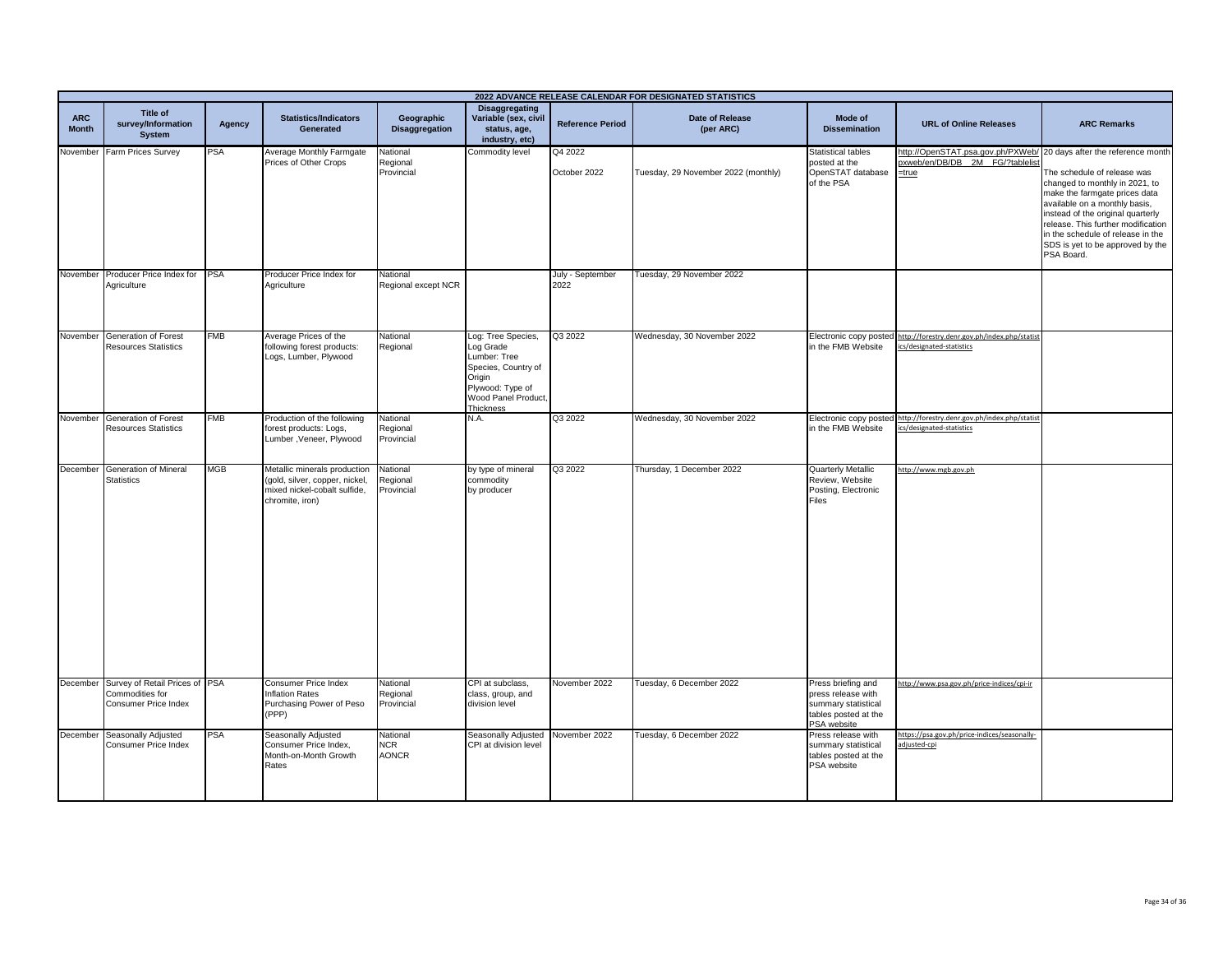| 2022 ADVANCE RELEASE CALENDAR FOR DESIGNATED STATISTICS |                                                                           |            |                                                                                                                   |                                        |                                                                                                                                                 |                          |                                     |                                                                                                        |                                                                                                                   |                                                                                                                                                                                                                                                                                                   |
|---------------------------------------------------------|---------------------------------------------------------------------------|------------|-------------------------------------------------------------------------------------------------------------------|----------------------------------------|-------------------------------------------------------------------------------------------------------------------------------------------------|--------------------------|-------------------------------------|--------------------------------------------------------------------------------------------------------|-------------------------------------------------------------------------------------------------------------------|---------------------------------------------------------------------------------------------------------------------------------------------------------------------------------------------------------------------------------------------------------------------------------------------------|
| <b>ARC</b><br><b>Month</b>                              | <b>Title of</b><br>survey/Information<br><b>System</b>                    | Agency     | <b>Statistics/Indicators</b><br>Generated                                                                         | Geographic<br><b>Disaggregation</b>    | <b>Disaggregating</b><br>Variable (sex, civil<br>status, age,<br>industry, etc)                                                                 | <b>Reference Period</b>  | Date of Release<br>(per ARC)        | Mode of<br><b>Dissemination</b>                                                                        | <b>URL of Online Releases</b>                                                                                     | <b>ARC Remarks</b>                                                                                                                                                                                                                                                                                |
| November                                                | Farm Prices Survey                                                        | <b>PSA</b> | Average Monthly Farmgate<br>Prices of Other Crops                                                                 | National<br>Regional<br>Provincial     | Commodity level                                                                                                                                 | Q4 2022<br>October 2022  | Tuesday, 29 November 2022 (monthly) | <b>Statistical tables</b><br>posted at the<br>OpenSTAT database<br>of the PSA                          | http://OpenSTAT.psa.gov.ph/PXWeb/ 20 days after the reference month<br>pxweb/en/DB/DB 2M FG/?tablelis<br>$=$ true | The schedule of release was<br>changed to monthly in 2021, to<br>make the farmgate prices data<br>available on a monthly basis,<br>instead of the original quarterly<br>release. This further modification<br>in the schedule of release in the<br>SDS is yet to be approved by the<br>PSA Board. |
| November                                                | Producer Price Index for<br>Agriculture                                   | <b>PSA</b> | Producer Price Index for<br>Agriculture                                                                           | National<br>Regional except NCR        |                                                                                                                                                 | July - September<br>2022 | Tuesday, 29 November 2022           |                                                                                                        |                                                                                                                   |                                                                                                                                                                                                                                                                                                   |
| November                                                | Generation of Forest<br><b>Resources Statistics</b>                       | <b>FMB</b> | Average Prices of the<br>following forest products:<br>Logs, Lumber, Plywood                                      | National<br>Regional                   | Log: Tree Species,<br>Log Grade<br>Lumber: Tree<br>Species, Country of<br>Origin<br>Plywood: Type of<br>Wood Panel Product,<br><b>Thickness</b> | Q3 2022                  | Wednesday, 30 November 2022         | Electronic copy posted<br>in the FMB Website                                                           | http://forestry.denr.gov.ph/index.php/statist<br>ics/designated-statistics                                        |                                                                                                                                                                                                                                                                                                   |
| November                                                | Generation of Forest<br><b>Resources Statistics</b>                       | <b>FMB</b> | Production of the following<br>forest products: Logs,<br>Lumber, Veneer, Plywood                                  | National<br>Regional<br>Provincial     | N.A.                                                                                                                                            | Q3 2022                  | Wednesday, 30 November 2022         | Electronic copy posted<br>in the FMB Website                                                           | http://forestry.denr.gov.ph/index.php/statist<br>cs/designated-statistics                                         |                                                                                                                                                                                                                                                                                                   |
| December                                                | Generation of Mineral<br><b>Statistics</b>                                | <b>MGB</b> | Metallic minerals production<br>(gold, silver, copper, nickel,<br>mixed nickel-cobalt sulfide,<br>chromite, iron) | National<br>Regional<br>Provincial     | by type of mineral<br>commodity<br>by producer                                                                                                  | Q3 2022                  | Thursday, 1 December 2022           | Quarterly Metallic<br>Review, Website<br>Posting, Electronic<br>Files                                  | http://www.mgb.gov.ph                                                                                             |                                                                                                                                                                                                                                                                                                   |
| December                                                | Survey of Retail Prices of PSA<br>Commodities for<br>Consumer Price Index |            | Consumer Price Index<br>Inflation Rates<br>Purchasing Power of Peso<br>(PPP)                                      | National<br>Regional<br>Provincial     | CPI at subclass,<br>class, group, and<br>division level                                                                                         | November 2022            | Tuesday, 6 December 2022            | Press briefing and<br>press release with<br>summary statistical<br>tables posted at the<br>PSA website | http://www.psa.gov.ph/price-indices/cpi-ir                                                                        |                                                                                                                                                                                                                                                                                                   |
| December                                                | Seasonally Adjusted<br>Consumer Price Index                               | <b>PSA</b> | Seasonally Adjusted<br>Consumer Price Index,<br>Month-on-Month Growth<br>Rates                                    | National<br><b>NCR</b><br><b>AONCR</b> | Seasonally Adjusted<br>CPI at division level                                                                                                    | November 2022            | Tuesday, 6 December 2022            | Press release with<br>summary statistical<br>tables posted at the<br>PSA website                       | https://psa.gov.ph/price-indices/seasonally-<br>djusted-cpi                                                       |                                                                                                                                                                                                                                                                                                   |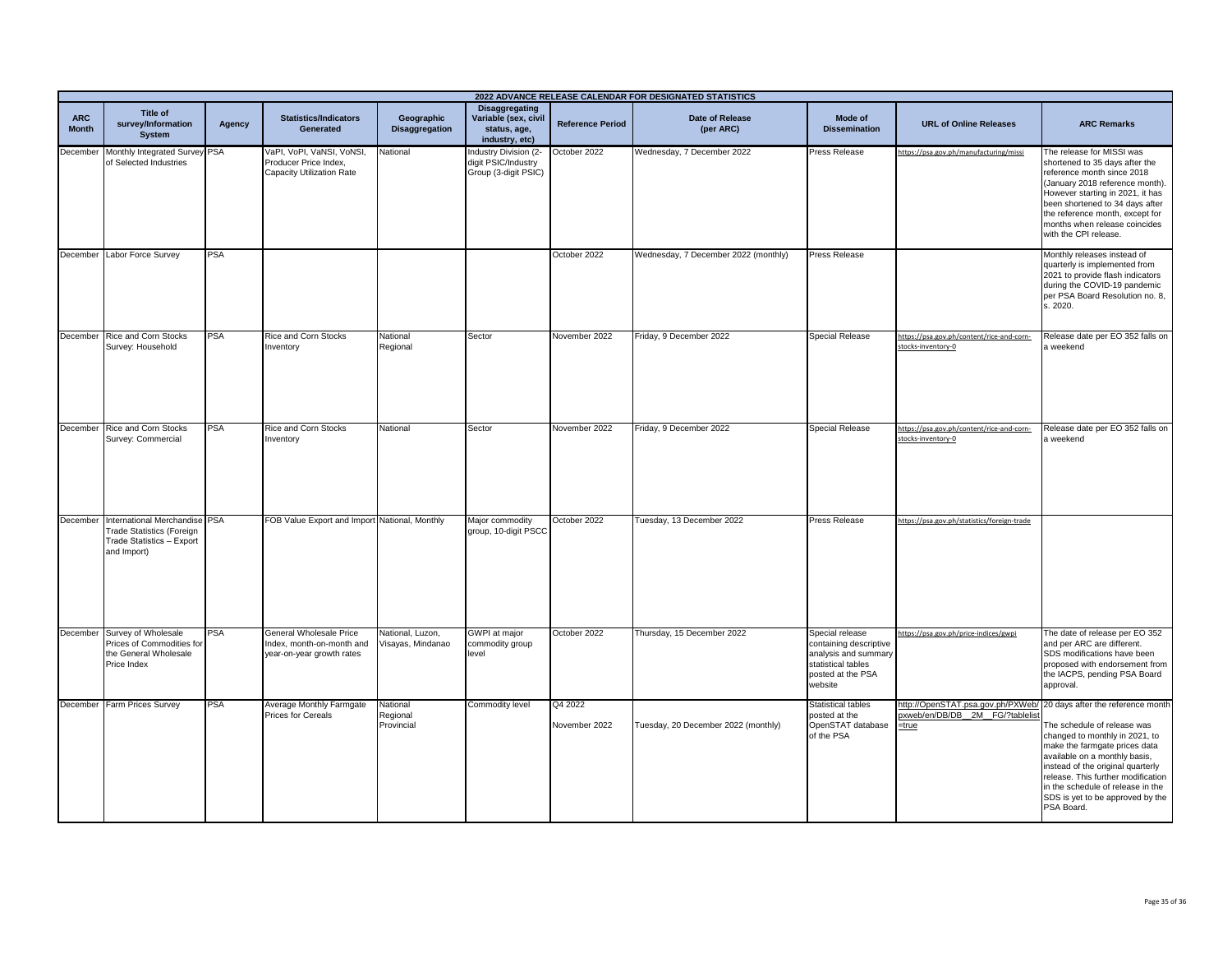|                            |                                                                                                                        |            |                                                                                   |                                       |                                                                                 |                          | 2022 ADVANCE RELEASE CALENDAR FOR DESIGNATED STATISTICS |                                                                                                                         |                                                                               |                                                                                                                                                                                                                                                                                                                                        |
|----------------------------|------------------------------------------------------------------------------------------------------------------------|------------|-----------------------------------------------------------------------------------|---------------------------------------|---------------------------------------------------------------------------------|--------------------------|---------------------------------------------------------|-------------------------------------------------------------------------------------------------------------------------|-------------------------------------------------------------------------------|----------------------------------------------------------------------------------------------------------------------------------------------------------------------------------------------------------------------------------------------------------------------------------------------------------------------------------------|
| <b>ARC</b><br><b>Month</b> | Title of<br>survey/Information<br><b>System</b>                                                                        | Agency     | <b>Statistics/Indicators</b><br>Generated                                         | Geographic<br><b>Disaggregation</b>   | <b>Disaggregating</b><br>Variable (sex, civil<br>status, age,<br>industry, etc) | <b>Reference Period</b>  | <b>Date of Release</b><br>(per ARC)                     | Mode of<br><b>Dissemination</b>                                                                                         | <b>URL of Online Releases</b>                                                 | <b>ARC Remarks</b>                                                                                                                                                                                                                                                                                                                     |
|                            | December Monthly Integrated Survey PSA<br>of Selected Industries                                                       |            | VaPI, VoPI, VaNSI, VoNSI,<br>Producer Price Index,<br>Capacity Utilization Rate   | National                              | Industry Division (2-<br>digit PSIC/Industry<br>Group (3-digit PSIC)            | October 2022             | Wednesday, 7 December 2022                              | <b>Press Release</b>                                                                                                    | https://psa.gov.ph/manufacturing/missi                                        | The release for MISSI was<br>shortened to 35 days after the<br>reference month since 2018<br>(January 2018 reference month).<br>However starting in 2021, it has<br>been shortened to 34 days after<br>the reference month, except for<br>months when release coincides<br>with the CPI release.                                       |
|                            | December Labor Force Survey                                                                                            | <b>PSA</b> |                                                                                   |                                       |                                                                                 | October 2022             | Wednesday, 7 December 2022 (monthly)                    | <b>Press Release</b>                                                                                                    |                                                                               | Monthly releases instead of<br>quarterly is implemented from<br>2021 to provide flash indicators<br>during the COVID-19 pandemic<br>per PSA Board Resolution no. 8,<br>s. 2020.                                                                                                                                                        |
|                            | December Rice and Corn Stocks<br>Survey: Household                                                                     | PSA        | Rice and Corn Stocks<br>Inventory                                                 | National<br>Regional                  | Sector                                                                          | November 2022            | Friday, 9 December 2022                                 | <b>Special Release</b>                                                                                                  | https://psa.gov.ph/content/rice-and-corn-<br>stocks-inventory-0               | Release date per EO 352 falls on<br>a weekend                                                                                                                                                                                                                                                                                          |
|                            | December Rice and Corn Stocks<br>Survey: Commercial                                                                    | <b>PSA</b> | Rice and Corn Stocks<br>Inventory                                                 | National                              | Sector                                                                          | November 2022            | Friday, 9 December 2022                                 | <b>Special Release</b>                                                                                                  | https://psa.gov.ph/content/rice-and-corn-<br>stocks-inventory-0               | Release date per EO 352 falls on<br>a weekend                                                                                                                                                                                                                                                                                          |
|                            | December International Merchandise PSA<br><b>Trade Statistics (Foreign</b><br>Trade Statistics - Export<br>and Import) |            | FOB Value Export and Import                                                       | National, Monthly                     | Major commodity<br>group, 10-digit PSCC                                         | October 2022             | Tuesday, 13 December 2022                               | <b>Press Release</b>                                                                                                    | https://psa.gov.ph/statistics/foreign-trade                                   |                                                                                                                                                                                                                                                                                                                                        |
|                            | December Survey of Wholesale<br>Prices of Commodities for<br>the General Wholesale<br>Price Index                      | <b>PSA</b> | General Wholesale Price<br>Index, month-on-month and<br>year-on-year growth rates | National, Luzon,<br>/isayas, Mindanao | GWPI at major<br>commodity group<br>level                                       | October 2022             | Thursday, 15 December 2022                              | Special release<br>containing descriptive<br>analysis and summary<br>statistical tables<br>posted at the PSA<br>website | https://psa.gov.ph/price-indices/gwpi                                         | The date of release per EO 352<br>and per ARC are different.<br>SDS modifications have been<br>proposed with endorsement from<br>the IACPS, pending PSA Board<br>approval.                                                                                                                                                             |
|                            | December Farm Prices Survey                                                                                            | PSA        | Average Monthly Farmgate<br>Prices for Cereals                                    | National<br>Regional<br>Provincial    | Commodity level                                                                 | Q4 2022<br>November 2022 | Tuesday, 20 December 2022 (monthly)                     | <b>Statistical tables</b><br>posted at the<br>OpenSTAT database<br>of the PSA                                           | http://OpenSTAT.psa.gov.ph/PXWeb/<br>bxweb/en/DB/DB 2M FG/?tablelist<br>=true | 20 days after the reference month<br>The schedule of release was<br>changed to monthly in 2021, to<br>make the farmgate prices data<br>available on a monthly basis,<br>instead of the original quarterly<br>release. This further modification<br>in the schedule of release in the<br>SDS is yet to be approved by the<br>PSA Board. |